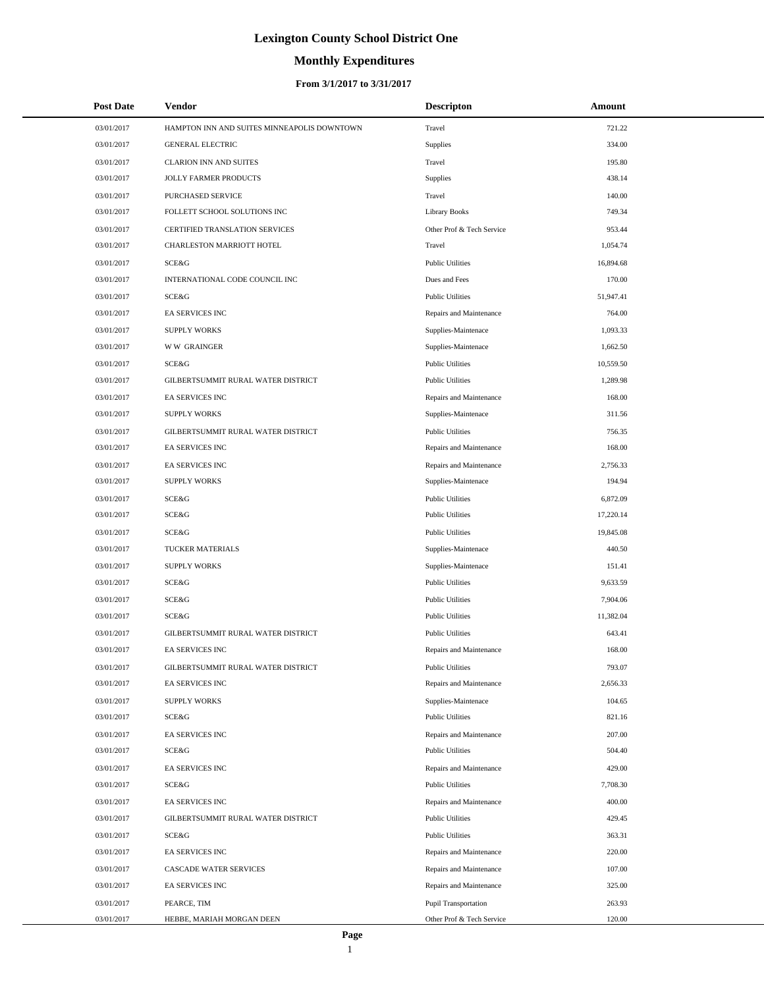# **Monthly Expenditures**

| <b>Post Date</b> | <b>Vendor</b>                               | <b>Descripton</b>           | Amount    |  |
|------------------|---------------------------------------------|-----------------------------|-----------|--|
| 03/01/2017       | HAMPTON INN AND SUITES MINNEAPOLIS DOWNTOWN | Travel                      | 721.22    |  |
| 03/01/2017       | <b>GENERAL ELECTRIC</b>                     | Supplies                    | 334.00    |  |
| 03/01/2017       | <b>CLARION INN AND SUITES</b>               | Travel                      | 195.80    |  |
| 03/01/2017       | JOLLY FARMER PRODUCTS                       | Supplies                    | 438.14    |  |
| 03/01/2017       | PURCHASED SERVICE                           | Travel                      | 140.00    |  |
| 03/01/2017       | FOLLETT SCHOOL SOLUTIONS INC                | <b>Library Books</b>        | 749.34    |  |
| 03/01/2017       | CERTIFIED TRANSLATION SERVICES              | Other Prof & Tech Service   | 953.44    |  |
| 03/01/2017       | CHARLESTON MARRIOTT HOTEL                   | Travel                      | 1,054.74  |  |
| 03/01/2017       | SCE&G                                       | <b>Public Utilities</b>     | 16,894.68 |  |
| 03/01/2017       | INTERNATIONAL CODE COUNCIL INC              | Dues and Fees               | 170.00    |  |
| 03/01/2017       | SCE&G                                       | <b>Public Utilities</b>     | 51,947.41 |  |
| 03/01/2017       | EA SERVICES INC                             | Repairs and Maintenance     | 764.00    |  |
| 03/01/2017       | <b>SUPPLY WORKS</b>                         | Supplies-Maintenace         | 1,093.33  |  |
| 03/01/2017       | <b>WW GRAINGER</b>                          | Supplies-Maintenace         | 1,662.50  |  |
| 03/01/2017       | SCE&G                                       | <b>Public Utilities</b>     | 10,559.50 |  |
| 03/01/2017       | GILBERTSUMMIT RURAL WATER DISTRICT          | <b>Public Utilities</b>     | 1,289.98  |  |
| 03/01/2017       | EA SERVICES INC                             | Repairs and Maintenance     | 168.00    |  |
| 03/01/2017       | <b>SUPPLY WORKS</b>                         | Supplies-Maintenace         | 311.56    |  |
| 03/01/2017       | GILBERTSUMMIT RURAL WATER DISTRICT          | <b>Public Utilities</b>     | 756.35    |  |
| 03/01/2017       | <b>EA SERVICES INC</b>                      | Repairs and Maintenance     | 168.00    |  |
| 03/01/2017       | EA SERVICES INC                             | Repairs and Maintenance     | 2,756.33  |  |
| 03/01/2017       | <b>SUPPLY WORKS</b>                         | Supplies-Maintenace         | 194.94    |  |
| 03/01/2017       | SCE&G                                       | <b>Public Utilities</b>     | 6,872.09  |  |
| 03/01/2017       | SCE&G                                       | <b>Public Utilities</b>     | 17,220.14 |  |
| 03/01/2017       | SCE&G                                       | <b>Public Utilities</b>     | 19,845.08 |  |
| 03/01/2017       | TUCKER MATERIALS                            | Supplies-Maintenace         | 440.50    |  |
| 03/01/2017       | <b>SUPPLY WORKS</b>                         | Supplies-Maintenace         | 151.41    |  |
| 03/01/2017       | SCE&G                                       | <b>Public Utilities</b>     | 9,633.59  |  |
| 03/01/2017       | SCE&G                                       | <b>Public Utilities</b>     | 7,904.06  |  |
| 03/01/2017       | SCE&G                                       | <b>Public Utilities</b>     | 11,382.04 |  |
| 03/01/2017       | GILBERTSUMMIT RURAL WATER DISTRICT          | <b>Public Utilities</b>     | 643.41    |  |
| 03/01/2017       | EA SERVICES INC                             | Repairs and Maintenance     | 168.00    |  |
| 03/01/2017       | GILBERTSUMMIT RURAL WATER DISTRICT          | <b>Public Utilities</b>     | 793.07    |  |
| 03/01/2017       | EA SERVICES INC                             | Repairs and Maintenance     | 2,656.33  |  |
| 03/01/2017       | <b>SUPPLY WORKS</b>                         | Supplies-Maintenace         | 104.65    |  |
| 03/01/2017       | SCE&G                                       | Public Utilities            | 821.16    |  |
| 03/01/2017       | EA SERVICES INC                             | Repairs and Maintenance     | 207.00    |  |
| 03/01/2017       | SCE&G                                       | Public Utilities            | 504.40    |  |
| 03/01/2017       | EA SERVICES INC                             | Repairs and Maintenance     | 429.00    |  |
| 03/01/2017       | SCE&G                                       | <b>Public Utilities</b>     | 7,708.30  |  |
| 03/01/2017       | EA SERVICES INC                             | Repairs and Maintenance     | 400.00    |  |
| 03/01/2017       | GILBERTSUMMIT RURAL WATER DISTRICT          | <b>Public Utilities</b>     | 429.45    |  |
| 03/01/2017       | SCE&G                                       | <b>Public Utilities</b>     | 363.31    |  |
| 03/01/2017       | EA SERVICES INC                             | Repairs and Maintenance     | 220.00    |  |
| 03/01/2017       | CASCADE WATER SERVICES                      | Repairs and Maintenance     | 107.00    |  |
| 03/01/2017       | EA SERVICES INC                             | Repairs and Maintenance     | 325.00    |  |
| 03/01/2017       | PEARCE, TIM                                 | <b>Pupil Transportation</b> | 263.93    |  |
| 03/01/2017       | HEBBE, MARIAH MORGAN DEEN                   | Other Prof & Tech Service   | 120.00    |  |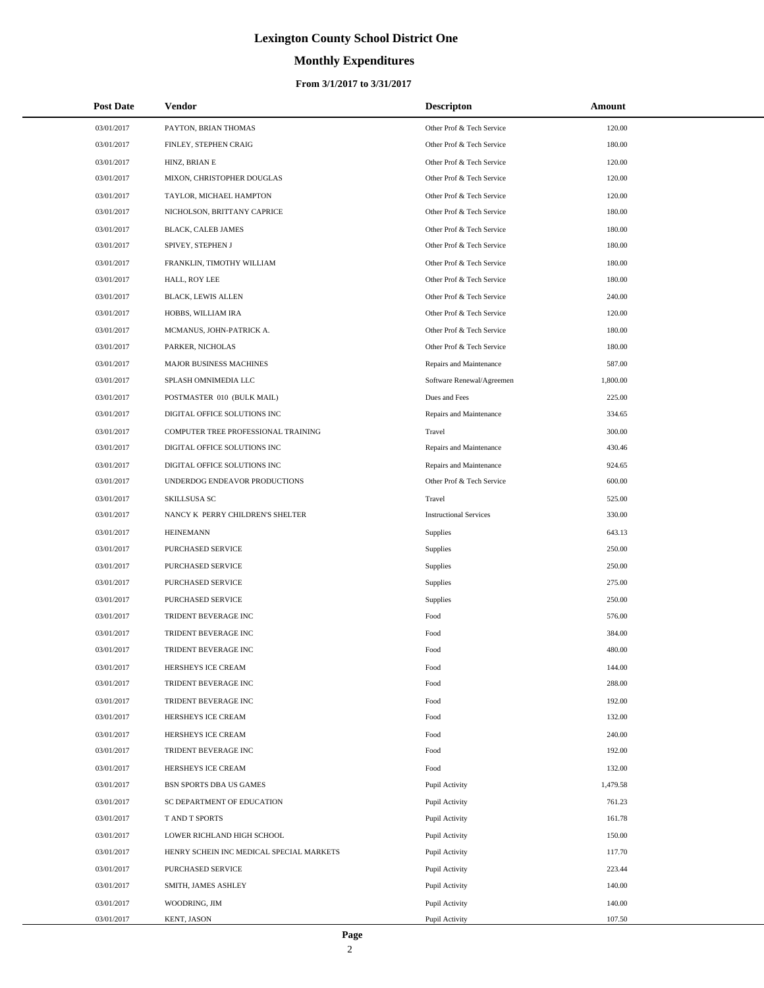# **Monthly Expenditures**

#### **From 3/1/2017 to 3/31/2017**

| <b>Post Date</b> | Vendor                                   | <b>Descripton</b>             | Amount   |
|------------------|------------------------------------------|-------------------------------|----------|
| 03/01/2017       | PAYTON, BRIAN THOMAS                     | Other Prof & Tech Service     | 120.00   |
| 03/01/2017       | FINLEY, STEPHEN CRAIG                    | Other Prof & Tech Service     | 180.00   |
| 03/01/2017       | HINZ, BRIAN E                            | Other Prof & Tech Service     | 120.00   |
| 03/01/2017       | MIXON, CHRISTOPHER DOUGLAS               | Other Prof & Tech Service     | 120.00   |
| 03/01/2017       | TAYLOR, MICHAEL HAMPTON                  | Other Prof & Tech Service     | 120.00   |
| 03/01/2017       | NICHOLSON, BRITTANY CAPRICE              | Other Prof & Tech Service     | 180.00   |
| 03/01/2017       | BLACK, CALEB JAMES                       | Other Prof & Tech Service     | 180.00   |
| 03/01/2017       | SPIVEY, STEPHEN J                        | Other Prof & Tech Service     | 180.00   |
| 03/01/2017       | FRANKLIN, TIMOTHY WILLIAM                | Other Prof & Tech Service     | 180.00   |
| 03/01/2017       | HALL, ROY LEE                            | Other Prof & Tech Service     | 180.00   |
| 03/01/2017       | <b>BLACK, LEWIS ALLEN</b>                | Other Prof & Tech Service     | 240.00   |
| 03/01/2017       | HOBBS, WILLIAM IRA                       | Other Prof & Tech Service     | 120.00   |
| 03/01/2017       | MCMANUS, JOHN-PATRICK A.                 | Other Prof & Tech Service     | 180.00   |
| 03/01/2017       | PARKER, NICHOLAS                         | Other Prof & Tech Service     | 180.00   |
| 03/01/2017       | MAJOR BUSINESS MACHINES                  | Repairs and Maintenance       | 587.00   |
| 03/01/2017       | SPLASH OMNIMEDIA LLC                     | Software Renewal/Agreemen     | 1,800.00 |
| 03/01/2017       | POSTMASTER 010 (BULK MAIL)               | Dues and Fees                 | 225.00   |
| 03/01/2017       | DIGITAL OFFICE SOLUTIONS INC             | Repairs and Maintenance       | 334.65   |
| 03/01/2017       | COMPUTER TREE PROFESSIONAL TRAINING      | Travel                        | 300.00   |
| 03/01/2017       | DIGITAL OFFICE SOLUTIONS INC             | Repairs and Maintenance       | 430.46   |
| 03/01/2017       | DIGITAL OFFICE SOLUTIONS INC             | Repairs and Maintenance       | 924.65   |
| 03/01/2017       | UNDERDOG ENDEAVOR PRODUCTIONS            | Other Prof & Tech Service     | 600.00   |
| 03/01/2017       | SKILLSUSA SC                             | Travel                        | 525.00   |
| 03/01/2017       | NANCY K PERRY CHILDREN'S SHELTER         | <b>Instructional Services</b> | 330.00   |
| 03/01/2017       | <b>HEINEMANN</b>                         | Supplies                      | 643.13   |
| 03/01/2017       | PURCHASED SERVICE                        | <b>Supplies</b>               | 250.00   |
| 03/01/2017       | PURCHASED SERVICE                        | Supplies                      | 250.00   |
| 03/01/2017       | PURCHASED SERVICE                        | <b>Supplies</b>               | 275.00   |
| 03/01/2017       | PURCHASED SERVICE                        | Supplies                      | 250.00   |
| 03/01/2017       | TRIDENT BEVERAGE INC                     | Food                          | 576.00   |
| 03/01/2017       | TRIDENT BEVERAGE INC                     | Food                          | 384.00   |
| 03/01/2017       | TRIDENT BEVERAGE INC                     | Food                          | 480.00   |
| 03/01/2017       | HERSHEYS ICE CREAM                       | Food                          | 144.00   |
| 03/01/2017       | TRIDENT BEVERAGE INC                     | Food                          | 288.00   |
| 03/01/2017       | TRIDENT BEVERAGE INC                     | Food                          | 192.00   |
| 03/01/2017       | HERSHEYS ICE CREAM                       | Food                          | 132.00   |
| 03/01/2017       | HERSHEYS ICE CREAM                       | Food                          | 240.00   |
| 03/01/2017       | TRIDENT BEVERAGE INC                     | Food                          | 192.00   |
| 03/01/2017       | HERSHEYS ICE CREAM                       | Food                          | 132.00   |
| 03/01/2017       | BSN SPORTS DBA US GAMES                  | Pupil Activity                | 1,479.58 |
| 03/01/2017       | SC DEPARTMENT OF EDUCATION               | Pupil Activity                | 761.23   |
| 03/01/2017       | T AND T SPORTS                           | Pupil Activity                | 161.78   |
| 03/01/2017       | LOWER RICHLAND HIGH SCHOOL               | Pupil Activity                | 150.00   |
| 03/01/2017       | HENRY SCHEIN INC MEDICAL SPECIAL MARKETS | Pupil Activity                | 117.70   |
| 03/01/2017       | PURCHASED SERVICE                        | Pupil Activity                | 223.44   |
| 03/01/2017       | SMITH, JAMES ASHLEY                      | Pupil Activity                | 140.00   |
| 03/01/2017       | WOODRING, JIM                            | Pupil Activity                | 140.00   |
| 03/01/2017       | KENT, JASON                              | Pupil Activity                | 107.50   |

L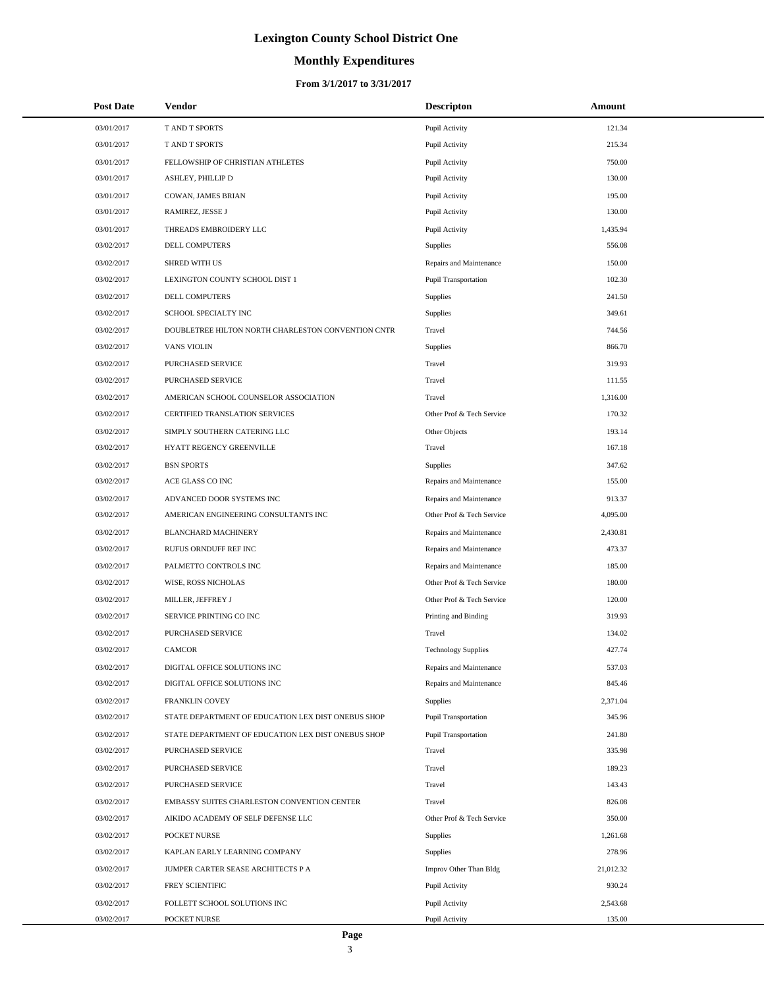# **Monthly Expenditures**

#### **From 3/1/2017 to 3/31/2017**

| <b>Post Date</b> | <b>Vendor</b>                                      | <b>Descripton</b>           | Amount    |  |
|------------------|----------------------------------------------------|-----------------------------|-----------|--|
| 03/01/2017       | T AND T SPORTS                                     | Pupil Activity              | 121.34    |  |
| 03/01/2017       | T AND T SPORTS                                     | Pupil Activity              | 215.34    |  |
| 03/01/2017       | FELLOWSHIP OF CHRISTIAN ATHLETES                   | Pupil Activity              | 750.00    |  |
| 03/01/2017       | ASHLEY, PHILLIP D                                  | Pupil Activity              | 130.00    |  |
| 03/01/2017       | COWAN, JAMES BRIAN                                 | Pupil Activity              | 195.00    |  |
| 03/01/2017       | RAMIREZ, JESSE J                                   | Pupil Activity              | 130.00    |  |
| 03/01/2017       | THREADS EMBROIDERY LLC                             | Pupil Activity              | 1,435.94  |  |
| 03/02/2017       | DELL COMPUTERS                                     | Supplies                    | 556.08    |  |
| 03/02/2017       | <b>SHRED WITH US</b>                               | Repairs and Maintenance     | 150.00    |  |
| 03/02/2017       | LEXINGTON COUNTY SCHOOL DIST 1                     | Pupil Transportation        | 102.30    |  |
| 03/02/2017       | DELL COMPUTERS                                     | Supplies                    | 241.50    |  |
| 03/02/2017       | SCHOOL SPECIALTY INC                               | Supplies                    | 349.61    |  |
| 03/02/2017       | DOUBLETREE HILTON NORTH CHARLESTON CONVENTION CNTR | Travel                      | 744.56    |  |
| 03/02/2017       | <b>VANS VIOLIN</b>                                 | Supplies                    | 866.70    |  |
| 03/02/2017       | PURCHASED SERVICE                                  | Travel                      | 319.93    |  |
| 03/02/2017       | PURCHASED SERVICE                                  | Travel                      | 111.55    |  |
| 03/02/2017       | AMERICAN SCHOOL COUNSELOR ASSOCIATION              | Travel                      | 1,316.00  |  |
| 03/02/2017       | CERTIFIED TRANSLATION SERVICES                     | Other Prof & Tech Service   | 170.32    |  |
| 03/02/2017       | SIMPLY SOUTHERN CATERING LLC                       | Other Objects               | 193.14    |  |
| 03/02/2017       | HYATT REGENCY GREENVILLE                           | Travel                      | 167.18    |  |
| 03/02/2017       | <b>BSN SPORTS</b>                                  | Supplies                    | 347.62    |  |
| 03/02/2017       | ACE GLASS CO INC                                   | Repairs and Maintenance     | 155.00    |  |
| 03/02/2017       | ADVANCED DOOR SYSTEMS INC                          | Repairs and Maintenance     | 913.37    |  |
| 03/02/2017       | AMERICAN ENGINEERING CONSULTANTS INC               | Other Prof & Tech Service   | 4,095.00  |  |
| 03/02/2017       | <b>BLANCHARD MACHINERY</b>                         | Repairs and Maintenance     | 2,430.81  |  |
| 03/02/2017       | RUFUS ORNDUFF REF INC                              | Repairs and Maintenance     | 473.37    |  |
| 03/02/2017       | PALMETTO CONTROLS INC                              | Repairs and Maintenance     | 185.00    |  |
| 03/02/2017       | WISE, ROSS NICHOLAS                                | Other Prof & Tech Service   | 180.00    |  |
| 03/02/2017       | MILLER, JEFFREY J                                  | Other Prof & Tech Service   | 120.00    |  |
| 03/02/2017       | SERVICE PRINTING CO INC                            | Printing and Binding        | 319.93    |  |
| 03/02/2017       | PURCHASED SERVICE                                  | Travel                      | 134.02    |  |
| 03/02/2017       | <b>CAMCOR</b>                                      | <b>Technology Supplies</b>  | 427.74    |  |
| 03/02/2017       | DIGITAL OFFICE SOLUTIONS INC                       | Repairs and Maintenance     | 537.03    |  |
| 03/02/2017       | DIGITAL OFFICE SOLUTIONS INC                       | Repairs and Maintenance     | 845.46    |  |
| 03/02/2017       | FRANKLIN COVEY                                     | Supplies                    | 2,371.04  |  |
| 03/02/2017       | STATE DEPARTMENT OF EDUCATION LEX DIST ONEBUS SHOP | Pupil Transportation        | 345.96    |  |
| 03/02/2017       | STATE DEPARTMENT OF EDUCATION LEX DIST ONEBUS SHOP | <b>Pupil Transportation</b> | 241.80    |  |
| 03/02/2017       | PURCHASED SERVICE                                  | Travel                      | 335.98    |  |
| 03/02/2017       | PURCHASED SERVICE                                  | Travel                      | 189.23    |  |
| 03/02/2017       | PURCHASED SERVICE                                  | Travel                      | 143.43    |  |
| 03/02/2017       | EMBASSY SUITES CHARLESTON CONVENTION CENTER        | Travel                      | 826.08    |  |
| 03/02/2017       | AIKIDO ACADEMY OF SELF DEFENSE LLC                 | Other Prof & Tech Service   | 350.00    |  |
| 03/02/2017       | POCKET NURSE                                       | Supplies                    | 1,261.68  |  |
| 03/02/2017       | KAPLAN EARLY LEARNING COMPANY                      | Supplies                    | 278.96    |  |
| 03/02/2017       | JUMPER CARTER SEASE ARCHITECTS P A                 | Improv Other Than Bldg      | 21,012.32 |  |
| 03/02/2017       | FREY SCIENTIFIC                                    | Pupil Activity              | 930.24    |  |
| 03/02/2017       | FOLLETT SCHOOL SOLUTIONS INC                       | Pupil Activity              | 2,543.68  |  |
| 03/02/2017       | POCKET NURSE                                       | Pupil Activity              | 135.00    |  |

 $\overline{a}$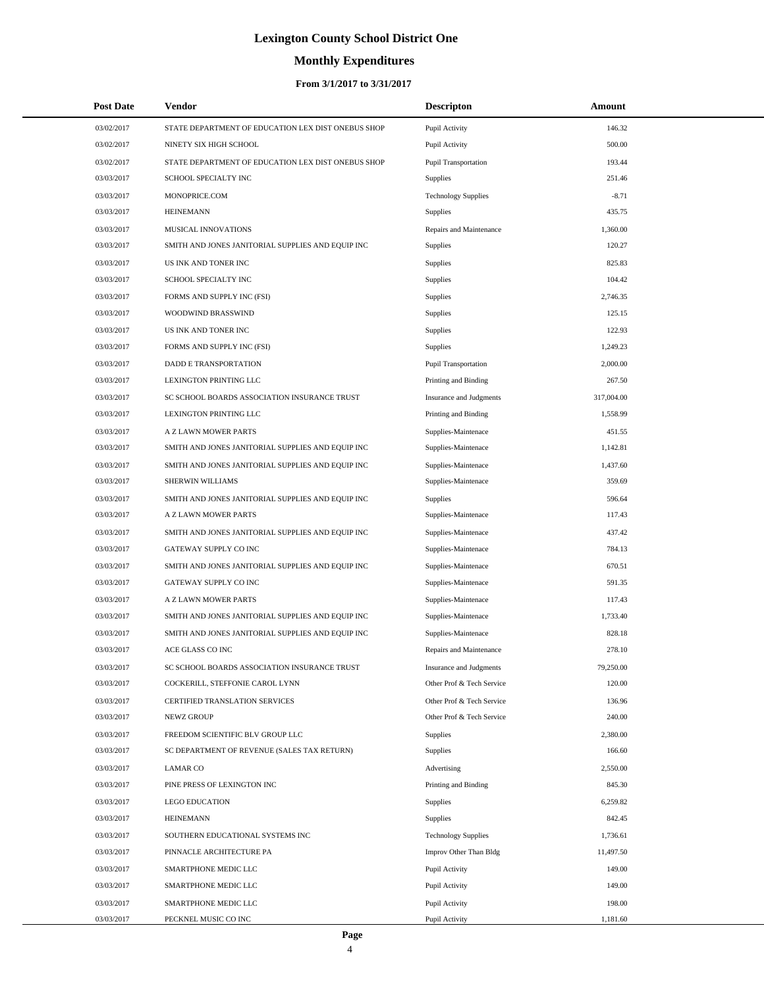# **Monthly Expenditures**

| <b>Post Date</b> | Vendor                                             | <b>Descripton</b>              | Amount     |
|------------------|----------------------------------------------------|--------------------------------|------------|
| 03/02/2017       | STATE DEPARTMENT OF EDUCATION LEX DIST ONEBUS SHOP | Pupil Activity                 | 146.32     |
| 03/02/2017       | NINETY SIX HIGH SCHOOL                             | Pupil Activity                 | 500.00     |
| 03/02/2017       | STATE DEPARTMENT OF EDUCATION LEX DIST ONEBUS SHOP | <b>Pupil Transportation</b>    | 193.44     |
| 03/03/2017       | SCHOOL SPECIALTY INC                               | Supplies                       | 251.46     |
| 03/03/2017       | MONOPRICE.COM                                      | <b>Technology Supplies</b>     | $-8.71$    |
| 03/03/2017       | <b>HEINEMANN</b>                                   | Supplies                       | 435.75     |
| 03/03/2017       | MUSICAL INNOVATIONS                                | Repairs and Maintenance        | 1,360.00   |
| 03/03/2017       | SMITH AND JONES JANITORIAL SUPPLIES AND EQUIP INC  | <b>Supplies</b>                | 120.27     |
| 03/03/2017       | US INK AND TONER INC                               | <b>Supplies</b>                | 825.83     |
| 03/03/2017       | SCHOOL SPECIALTY INC                               | <b>Supplies</b>                | 104.42     |
| 03/03/2017       | FORMS AND SUPPLY INC (FSI)                         | <b>Supplies</b>                | 2,746.35   |
| 03/03/2017       | WOODWIND BRASSWIND                                 | <b>Supplies</b>                | 125.15     |
| 03/03/2017       | US INK AND TONER INC                               | <b>Supplies</b>                | 122.93     |
| 03/03/2017       | FORMS AND SUPPLY INC (FSI)                         | <b>Supplies</b>                | 1,249.23   |
| 03/03/2017       | DADD E TRANSPORTATION                              | Pupil Transportation           | 2,000.00   |
| 03/03/2017       | LEXINGTON PRINTING LLC                             | Printing and Binding           | 267.50     |
| 03/03/2017       | SC SCHOOL BOARDS ASSOCIATION INSURANCE TRUST       | Insurance and Judgments        | 317,004.00 |
| 03/03/2017       | LEXINGTON PRINTING LLC                             | Printing and Binding           | 1,558.99   |
| 03/03/2017       | A Z LAWN MOWER PARTS                               | Supplies-Maintenace            | 451.55     |
| 03/03/2017       | SMITH AND JONES JANITORIAL SUPPLIES AND EQUIP INC  | Supplies-Maintenace            | 1,142.81   |
| 03/03/2017       | SMITH AND JONES JANITORIAL SUPPLIES AND EQUIP INC  | Supplies-Maintenace            | 1,437.60   |
| 03/03/2017       | SHERWIN WILLIAMS                                   | Supplies-Maintenace            | 359.69     |
| 03/03/2017       | SMITH AND JONES JANITORIAL SUPPLIES AND EQUIP INC  | Supplies                       | 596.64     |
| 03/03/2017       | A Z LAWN MOWER PARTS                               | Supplies-Maintenace            | 117.43     |
| 03/03/2017       | SMITH AND JONES JANITORIAL SUPPLIES AND EQUIP INC  | Supplies-Maintenace            | 437.42     |
| 03/03/2017       | GATEWAY SUPPLY CO INC                              | Supplies-Maintenace            | 784.13     |
| 03/03/2017       | SMITH AND JONES JANITORIAL SUPPLIES AND EQUIP INC  | Supplies-Maintenace            | 670.51     |
| 03/03/2017       | GATEWAY SUPPLY CO INC                              | Supplies-Maintenace            | 591.35     |
| 03/03/2017       | A Z LAWN MOWER PARTS                               | Supplies-Maintenace            | 117.43     |
| 03/03/2017       | SMITH AND JONES JANITORIAL SUPPLIES AND EQUIP INC  | Supplies-Maintenace            | 1,733.40   |
| 03/03/2017       | SMITH AND JONES JANITORIAL SUPPLIES AND EQUIP INC  | Supplies-Maintenace            | 828.18     |
| 03/03/2017       | ACE GLASS CO INC                                   | Repairs and Maintenance        | 278.10     |
| 03/03/2017       | SC SCHOOL BOARDS ASSOCIATION INSURANCE TRUST       | <b>Insurance and Judgments</b> | 79,250.00  |
| 03/03/2017       | COCKERILL, STEFFONIE CAROL LYNN                    | Other Prof & Tech Service      | 120.00     |
| 03/03/2017       | CERTIFIED TRANSLATION SERVICES                     | Other Prof & Tech Service      | 136.96     |
| 03/03/2017       | NEWZ GROUP                                         | Other Prof & Tech Service      | 240.00     |
| 03/03/2017       | FREEDOM SCIENTIFIC BLV GROUP LLC                   | <b>Supplies</b>                | 2,380.00   |
| 03/03/2017       | SC DEPARTMENT OF REVENUE (SALES TAX RETURN)        | Supplies                       | 166.60     |
| 03/03/2017       | <b>LAMAR CO</b>                                    | Advertising                    | 2,550.00   |
| 03/03/2017       | PINE PRESS OF LEXINGTON INC                        | Printing and Binding           | 845.30     |
| 03/03/2017       | <b>LEGO EDUCATION</b>                              | <b>Supplies</b>                | 6,259.82   |
| 03/03/2017       | <b>HEINEMANN</b>                                   | Supplies                       | 842.45     |
| 03/03/2017       | SOUTHERN EDUCATIONAL SYSTEMS INC                   | <b>Technology Supplies</b>     | 1,736.61   |
| 03/03/2017       | PINNACLE ARCHITECTURE PA                           | Improv Other Than Bldg         | 11,497.50  |
| 03/03/2017       | SMARTPHONE MEDIC LLC                               | Pupil Activity                 | 149.00     |
| 03/03/2017       | SMARTPHONE MEDIC LLC                               | Pupil Activity                 | 149.00     |
| 03/03/2017       | SMARTPHONE MEDIC LLC                               | Pupil Activity                 | 198.00     |
| 03/03/2017       | PECKNEL MUSIC CO INC                               | Pupil Activity                 | 1,181.60   |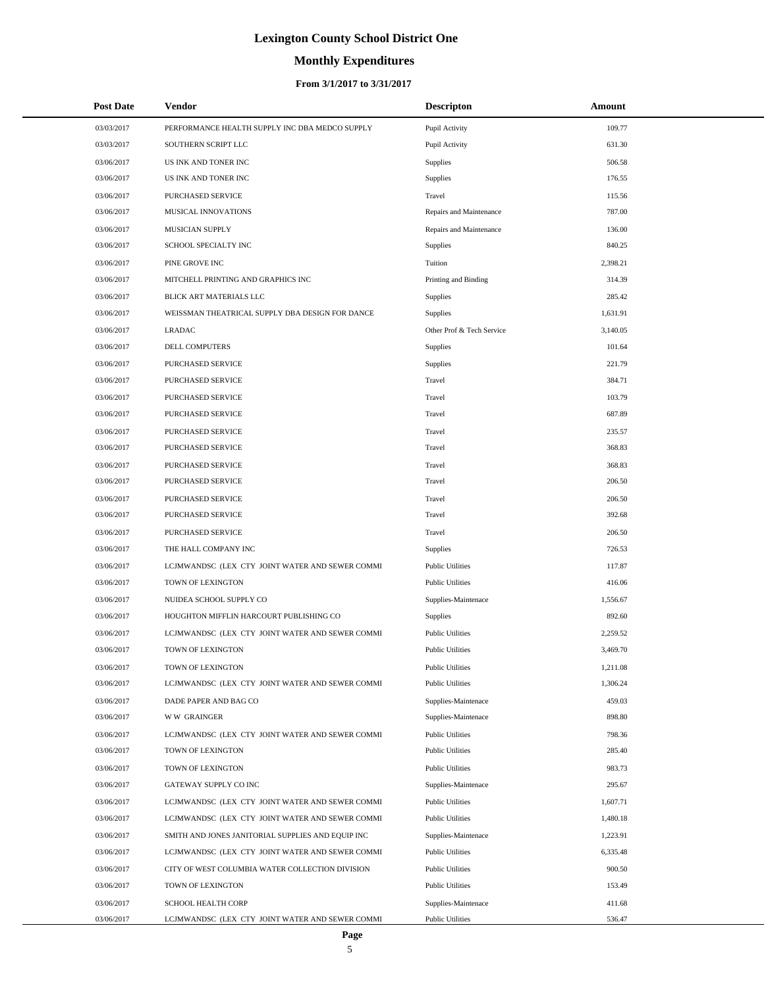# **Monthly Expenditures**

#### **From 3/1/2017 to 3/31/2017**

| <b>Post Date</b> | <b>Vendor</b>                                     | <b>Descripton</b>         | Amount   |
|------------------|---------------------------------------------------|---------------------------|----------|
| 03/03/2017       | PERFORMANCE HEALTH SUPPLY INC DBA MEDCO SUPPLY    | Pupil Activity            | 109.77   |
| 03/03/2017       | SOUTHERN SCRIPT LLC                               | Pupil Activity            | 631.30   |
| 03/06/2017       | US INK AND TONER INC                              | Supplies                  | 506.58   |
| 03/06/2017       | US INK AND TONER INC                              | Supplies                  | 176.55   |
| 03/06/2017       | PURCHASED SERVICE                                 | Travel                    | 115.56   |
| 03/06/2017       | MUSICAL INNOVATIONS                               | Repairs and Maintenance   | 787.00   |
| 03/06/2017       | MUSICIAN SUPPLY                                   | Repairs and Maintenance   | 136.00   |
| 03/06/2017       | SCHOOL SPECIALTY INC                              | Supplies                  | 840.25   |
| 03/06/2017       | PINE GROVE INC                                    | Tuition                   | 2,398.21 |
| 03/06/2017       | MITCHELL PRINTING AND GRAPHICS INC                | Printing and Binding      | 314.39   |
| 03/06/2017       | BLICK ART MATERIALS LLC                           | Supplies                  | 285.42   |
| 03/06/2017       | WEISSMAN THEATRICAL SUPPLY DBA DESIGN FOR DANCE   | Supplies                  | 1,631.91 |
| 03/06/2017       | <b>LRADAC</b>                                     | Other Prof & Tech Service | 3,140.05 |
| 03/06/2017       | <b>DELL COMPUTERS</b>                             | Supplies                  | 101.64   |
| 03/06/2017       | PURCHASED SERVICE                                 | Supplies                  | 221.79   |
| 03/06/2017       | PURCHASED SERVICE                                 | Travel                    | 384.71   |
| 03/06/2017       | PURCHASED SERVICE                                 | Travel                    | 103.79   |
| 03/06/2017       | PURCHASED SERVICE                                 | Travel                    | 687.89   |
| 03/06/2017       | PURCHASED SERVICE                                 | Travel                    | 235.57   |
| 03/06/2017       | PURCHASED SERVICE                                 | Travel                    | 368.83   |
| 03/06/2017       | PURCHASED SERVICE                                 | Travel                    | 368.83   |
| 03/06/2017       | PURCHASED SERVICE                                 | Travel                    | 206.50   |
| 03/06/2017       | PURCHASED SERVICE                                 | Travel                    | 206.50   |
| 03/06/2017       | PURCHASED SERVICE                                 | Travel                    | 392.68   |
| 03/06/2017       | PURCHASED SERVICE                                 | Travel                    | 206.50   |
| 03/06/2017       | THE HALL COMPANY INC                              | Supplies                  | 726.53   |
| 03/06/2017       | LCJMWANDSC (LEX CTY JOINT WATER AND SEWER COMMI   | <b>Public Utilities</b>   | 117.87   |
| 03/06/2017       | TOWN OF LEXINGTON                                 | <b>Public Utilities</b>   | 416.06   |
| 03/06/2017       | NUIDEA SCHOOL SUPPLY CO                           | Supplies-Maintenace       | 1,556.67 |
| 03/06/2017       | HOUGHTON MIFFLIN HARCOURT PUBLISHING CO           | Supplies                  | 892.60   |
| 03/06/2017       | LCJMWANDSC (LEX CTY JOINT WATER AND SEWER COMMI   | <b>Public Utilities</b>   | 2,259.52 |
| 03/06/2017       | TOWN OF LEXINGTON                                 | <b>Public Utilities</b>   | 3,469.70 |
| 03/06/2017       | TOWN OF LEXINGTON                                 | <b>Public Utilities</b>   | 1,211.08 |
| 03/06/2017       | LCJMWANDSC (LEX CTY JOINT WATER AND SEWER COMMI   | <b>Public Utilities</b>   | 1,306.24 |
| 03/06/2017       | DADE PAPER AND BAG CO                             | Supplies-Maintenace       | 459.03   |
| 03/06/2017       | <b>WW GRAINGER</b>                                | Supplies-Maintenace       | 898.80   |
| 03/06/2017       | LCJMWANDSC (LEX CTY JOINT WATER AND SEWER COMMI   | <b>Public Utilities</b>   | 798.36   |
| 03/06/2017       | TOWN OF LEXINGTON                                 | <b>Public Utilities</b>   | 285.40   |
| 03/06/2017       | TOWN OF LEXINGTON                                 | <b>Public Utilities</b>   | 983.73   |
| 03/06/2017       | GATEWAY SUPPLY CO INC                             | Supplies-Maintenace       | 295.67   |
| 03/06/2017       | LCJMWANDSC (LEX CTY JOINT WATER AND SEWER COMMI   | <b>Public Utilities</b>   | 1,607.71 |
| 03/06/2017       | LCJMWANDSC (LEX CTY JOINT WATER AND SEWER COMMI   | <b>Public Utilities</b>   | 1,480.18 |
| 03/06/2017       | SMITH AND JONES JANITORIAL SUPPLIES AND EQUIP INC | Supplies-Maintenace       | 1,223.91 |
| 03/06/2017       | LCJMWANDSC (LEX CTY JOINT WATER AND SEWER COMMI   | <b>Public Utilities</b>   | 6,335.48 |
| 03/06/2017       | CITY OF WEST COLUMBIA WATER COLLECTION DIVISION   | <b>Public Utilities</b>   | 900.50   |
| 03/06/2017       | TOWN OF LEXINGTON                                 | <b>Public Utilities</b>   | 153.49   |
| 03/06/2017       | SCHOOL HEALTH CORP                                | Supplies-Maintenace       | 411.68   |
| 03/06/2017       | LCJMWANDSC (LEX CTY JOINT WATER AND SEWER COMMI   | <b>Public Utilities</b>   | 536.47   |

÷.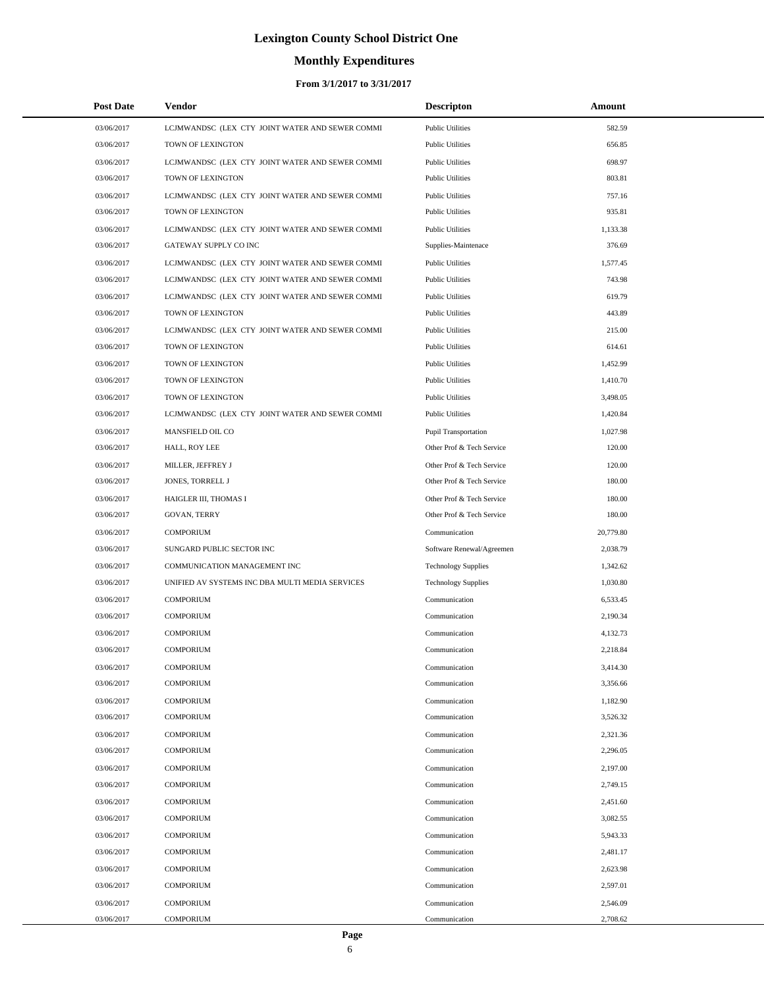# **Monthly Expenditures**

#### **From 3/1/2017 to 3/31/2017**

| <b>Post Date</b> | Vendor                                          | <b>Descripton</b>          | Amount    |
|------------------|-------------------------------------------------|----------------------------|-----------|
| 03/06/2017       | LCJMWANDSC (LEX CTY JOINT WATER AND SEWER COMMI | <b>Public Utilities</b>    | 582.59    |
| 03/06/2017       | TOWN OF LEXINGTON                               | <b>Public Utilities</b>    | 656.85    |
| 03/06/2017       | LCJMWANDSC (LEX CTY JOINT WATER AND SEWER COMMI | <b>Public Utilities</b>    | 698.97    |
| 03/06/2017       | TOWN OF LEXINGTON                               | <b>Public Utilities</b>    | 803.81    |
| 03/06/2017       | LCJMWANDSC (LEX CTY JOINT WATER AND SEWER COMMI | <b>Public Utilities</b>    | 757.16    |
| 03/06/2017       | TOWN OF LEXINGTON                               | <b>Public Utilities</b>    | 935.81    |
| 03/06/2017       | LCJMWANDSC (LEX CTY JOINT WATER AND SEWER COMMI | <b>Public Utilities</b>    | 1,133.38  |
| 03/06/2017       | GATEWAY SUPPLY CO INC                           | Supplies-Maintenace        | 376.69    |
| 03/06/2017       | LCJMWANDSC (LEX CTY JOINT WATER AND SEWER COMMI | <b>Public Utilities</b>    | 1,577.45  |
| 03/06/2017       | LCJMWANDSC (LEX CTY JOINT WATER AND SEWER COMMI | <b>Public Utilities</b>    | 743.98    |
| 03/06/2017       | LCJMWANDSC (LEX CTY JOINT WATER AND SEWER COMMI | <b>Public Utilities</b>    | 619.79    |
| 03/06/2017       | TOWN OF LEXINGTON                               | <b>Public Utilities</b>    | 443.89    |
| 03/06/2017       | LCJMWANDSC (LEX CTY JOINT WATER AND SEWER COMMI | <b>Public Utilities</b>    | 215.00    |
| 03/06/2017       | TOWN OF LEXINGTON                               | <b>Public Utilities</b>    | 614.61    |
| 03/06/2017       | TOWN OF LEXINGTON                               | <b>Public Utilities</b>    | 1,452.99  |
| 03/06/2017       | TOWN OF LEXINGTON                               | <b>Public Utilities</b>    | 1,410.70  |
| 03/06/2017       | TOWN OF LEXINGTON                               | <b>Public Utilities</b>    | 3,498.05  |
| 03/06/2017       | LCJMWANDSC (LEX CTY JOINT WATER AND SEWER COMMI | <b>Public Utilities</b>    | 1,420.84  |
| 03/06/2017       | MANSFIELD OIL CO                                | Pupil Transportation       | 1,027.98  |
| 03/06/2017       | HALL, ROY LEE                                   | Other Prof & Tech Service  | 120.00    |
| 03/06/2017       | MILLER, JEFFREY J                               | Other Prof & Tech Service  | 120.00    |
| 03/06/2017       | JONES, TORRELL J                                | Other Prof & Tech Service  | 180.00    |
| 03/06/2017       | HAIGLER III, THOMAS I                           | Other Prof & Tech Service  | 180.00    |
| 03/06/2017       | <b>GOVAN, TERRY</b>                             | Other Prof & Tech Service  | 180.00    |
| 03/06/2017       | <b>COMPORIUM</b>                                | Communication              | 20,779.80 |
| 03/06/2017       | SUNGARD PUBLIC SECTOR INC                       | Software Renewal/Agreemen  | 2,038.79  |
| 03/06/2017       | COMMUNICATION MANAGEMENT INC                    | <b>Technology Supplies</b> | 1,342.62  |
| 03/06/2017       | UNIFIED AV SYSTEMS INC DBA MULTI MEDIA SERVICES | <b>Technology Supplies</b> | 1,030.80  |
| 03/06/2017       | <b>COMPORIUM</b>                                | Communication              | 6,533.45  |
| 03/06/2017       | <b>COMPORIUM</b>                                | Communication              | 2,190.34  |
| 03/06/2017       | <b>COMPORIUM</b>                                | Communication              | 4,132.73  |
| 03/06/2017       | <b>COMPORIUM</b>                                | Communication              | 2,218.84  |
| 03/06/2017       | <b>COMPORIUM</b>                                | Communication              | 3,414.30  |
| 03/06/2017       | <b>COMPORIUM</b>                                | Communication              | 3,356.66  |
| 03/06/2017       | <b>COMPORIUM</b>                                | Communication              | 1,182.90  |
| 03/06/2017       | <b>COMPORIUM</b>                                | Communication              | 3,526.32  |
| 03/06/2017       | <b>COMPORIUM</b>                                | Communication              | 2,321.36  |
| 03/06/2017       | <b>COMPORIUM</b>                                | Communication              | 2,296.05  |
| 03/06/2017       | <b>COMPORIUM</b>                                | Communication              | 2,197.00  |
| 03/06/2017       | <b>COMPORIUM</b>                                | Communication              | 2,749.15  |
| 03/06/2017       | <b>COMPORIUM</b>                                | Communication              | 2,451.60  |
| 03/06/2017       | <b>COMPORIUM</b>                                | Communication              | 3,082.55  |
| 03/06/2017       | <b>COMPORIUM</b>                                | Communication              | 5,943.33  |
| 03/06/2017       | <b>COMPORIUM</b>                                | Communication              | 2,481.17  |
| 03/06/2017       | <b>COMPORIUM</b>                                | Communication              | 2,623.98  |
| 03/06/2017       | <b>COMPORIUM</b>                                | Communication              | 2,597.01  |
| 03/06/2017       | <b>COMPORIUM</b>                                | Communication              | 2,546.09  |
| 03/06/2017       | <b>COMPORIUM</b>                                | Communication              | 2,708.62  |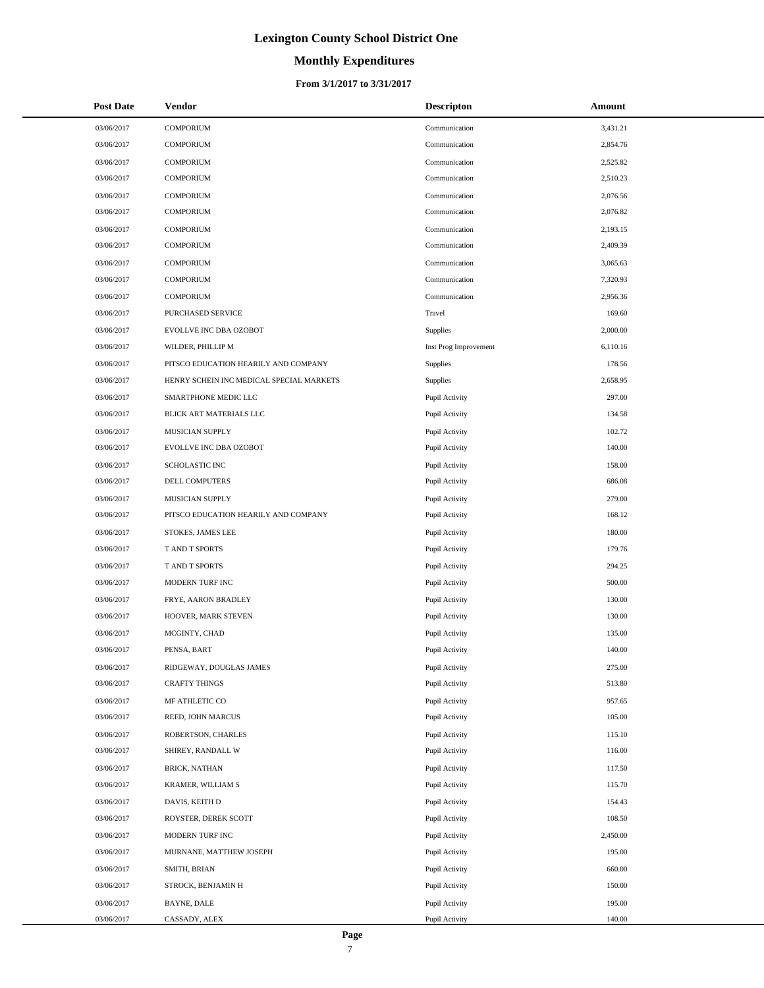# **Monthly Expenditures**

#### **From 3/1/2017 to 3/31/2017**

| <b>Post Date</b> | Vendor                                   | <b>Descripton</b>     | Amount   |
|------------------|------------------------------------------|-----------------------|----------|
| 03/06/2017       | <b>COMPORIUM</b>                         | Communication         | 3,431.21 |
| 03/06/2017       | <b>COMPORIUM</b>                         | Communication         | 2,854.76 |
| 03/06/2017       | <b>COMPORIUM</b>                         | Communication         | 2,525.82 |
| 03/06/2017       | <b>COMPORIUM</b>                         | Communication         | 2,510.23 |
| 03/06/2017       | <b>COMPORIUM</b>                         | Communication         | 2,076.56 |
| 03/06/2017       | <b>COMPORIUM</b>                         | Communication         | 2,076.82 |
| 03/06/2017       | <b>COMPORIUM</b>                         | Communication         | 2,193.15 |
| 03/06/2017       | <b>COMPORIUM</b>                         | Communication         | 2,409.39 |
| 03/06/2017       | <b>COMPORIUM</b>                         | Communication         | 3,065.63 |
| 03/06/2017       | <b>COMPORIUM</b>                         | Communication         | 7,320.93 |
| 03/06/2017       | <b>COMPORIUM</b>                         | Communication         | 2,956.36 |
| 03/06/2017       | PURCHASED SERVICE                        | Travel                | 169.60   |
| 03/06/2017       | EVOLLVE INC DBA OZOBOT                   | Supplies              | 2,000.00 |
| 03/06/2017       | WILDER, PHILLIP M                        | Inst Prog Improvement | 6,110.16 |
| 03/06/2017       | PITSCO EDUCATION HEARILY AND COMPANY     | Supplies              | 178.56   |
| 03/06/2017       | HENRY SCHEIN INC MEDICAL SPECIAL MARKETS | Supplies              | 2,658.95 |
| 03/06/2017       | SMARTPHONE MEDIC LLC                     | Pupil Activity        | 297.00   |
| 03/06/2017       | BLICK ART MATERIALS LLC                  | Pupil Activity        | 134.58   |
| 03/06/2017       | MUSICIAN SUPPLY                          | Pupil Activity        | 102.72   |
| 03/06/2017       | EVOLLVE INC DBA OZOBOT                   | Pupil Activity        | 140.00   |
| 03/06/2017       | <b>SCHOLASTIC INC</b>                    | Pupil Activity        | 158.00   |
| 03/06/2017       | DELL COMPUTERS                           | Pupil Activity        | 686.08   |
| 03/06/2017       | MUSICIAN SUPPLY                          | Pupil Activity        | 279.00   |
| 03/06/2017       | PITSCO EDUCATION HEARILY AND COMPANY     | Pupil Activity        | 168.12   |
| 03/06/2017       | STOKES, JAMES LEE                        | Pupil Activity        | 180.00   |
| 03/06/2017       | T AND T SPORTS                           | Pupil Activity        | 179.76   |
| 03/06/2017       | T AND T SPORTS                           | Pupil Activity        | 294.25   |
| 03/06/2017       | MODERN TURF INC                          | Pupil Activity        | 500.00   |
| 03/06/2017       | FRYE, AARON BRADLEY                      | Pupil Activity        | 130.00   |
| 03/06/2017       | HOOVER, MARK STEVEN                      | Pupil Activity        | 130.00   |
| 03/06/2017       | MCGINTY, CHAD                            | Pupil Activity        | 135.00   |
| 03/06/2017       | PENSA, BART                              | Pupil Activity        | 140.00   |
| 03/06/2017       | RIDGEWAY, DOUGLAS JAMES                  | Pupil Activity        | 275.00   |
| 03/06/2017       | <b>CRAFTY THINGS</b>                     | Pupil Activity        | 513.80   |
| 03/06/2017       | MF ATHLETIC CO                           | Pupil Activity        | 957.65   |
| 03/06/2017       | REED, JOHN MARCUS                        | Pupil Activity        | 105.00   |
| 03/06/2017       | ROBERTSON, CHARLES                       | Pupil Activity        | 115.10   |
| 03/06/2017       | SHIREY, RANDALL W                        | Pupil Activity        | 116.00   |
| 03/06/2017       | <b>BRICK, NATHAN</b>                     | Pupil Activity        | 117.50   |
| 03/06/2017       | KRAMER, WILLIAM S                        | Pupil Activity        | 115.70   |
| 03/06/2017       | DAVIS, KEITH D                           | Pupil Activity        | 154.43   |
| 03/06/2017       | ROYSTER, DEREK SCOTT                     | Pupil Activity        | 108.50   |
| 03/06/2017       | MODERN TURF INC                          | Pupil Activity        | 2,450.00 |
| 03/06/2017       | MURNANE, MATTHEW JOSEPH                  | Pupil Activity        | 195.00   |
| 03/06/2017       | SMITH, BRIAN                             | Pupil Activity        | 660.00   |
| 03/06/2017       | STROCK, BENJAMIN H                       | Pupil Activity        | 150.00   |
| 03/06/2017       | BAYNE, DALE                              | Pupil Activity        | 195.00   |
| 03/06/2017       | CASSADY, ALEX                            | Pupil Activity        | 140.00   |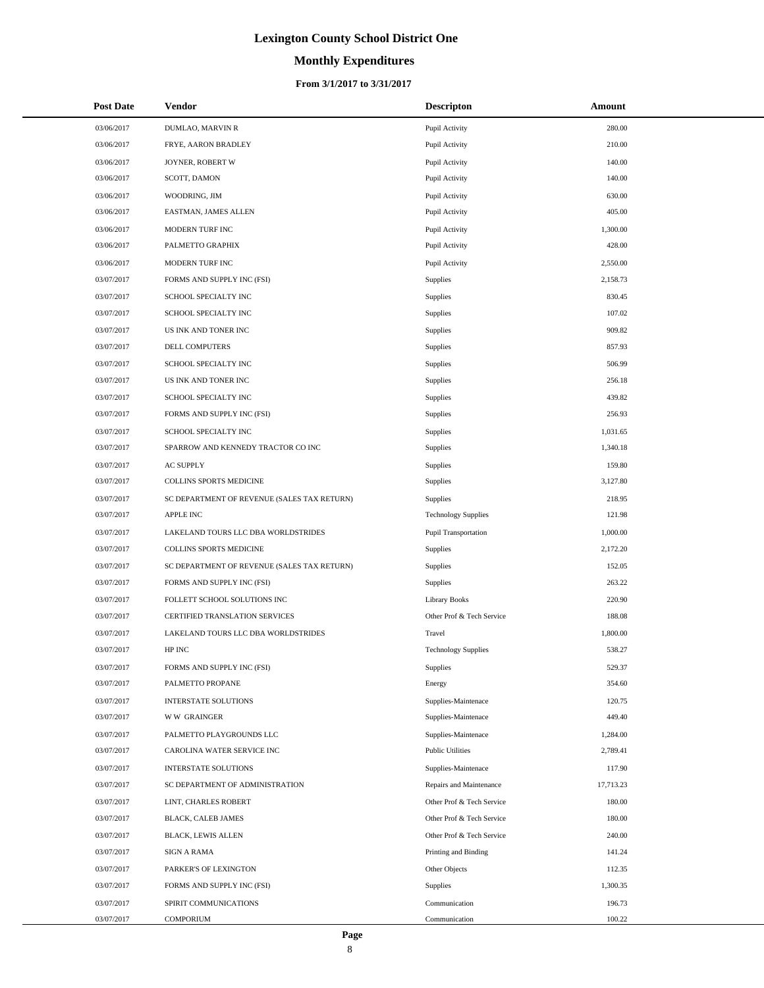# **Monthly Expenditures**

| <b>Post Date</b> | <b>Vendor</b>                               | <b>Descripton</b>           | Amount    |
|------------------|---------------------------------------------|-----------------------------|-----------|
| 03/06/2017       | DUMLAO, MARVIN R                            | Pupil Activity              | 280.00    |
| 03/06/2017       | FRYE, AARON BRADLEY                         | Pupil Activity              | 210.00    |
| 03/06/2017       | JOYNER, ROBERT W                            | Pupil Activity              | 140.00    |
| 03/06/2017       | SCOTT, DAMON                                | Pupil Activity              | 140.00    |
| 03/06/2017       | WOODRING, JIM                               | Pupil Activity              | 630.00    |
| 03/06/2017       | EASTMAN, JAMES ALLEN                        | Pupil Activity              | 405.00    |
| 03/06/2017       | MODERN TURF INC                             | Pupil Activity              | 1,300.00  |
| 03/06/2017       | PALMETTO GRAPHIX                            | Pupil Activity              | 428.00    |
| 03/06/2017       | MODERN TURF INC                             | Pupil Activity              | 2,550.00  |
| 03/07/2017       | FORMS AND SUPPLY INC (FSI)                  | Supplies                    | 2,158.73  |
| 03/07/2017       | SCHOOL SPECIALTY INC                        | Supplies                    | 830.45    |
| 03/07/2017       | SCHOOL SPECIALTY INC                        | Supplies                    | 107.02    |
| 03/07/2017       | US INK AND TONER INC                        | Supplies                    | 909.82    |
| 03/07/2017       | DELL COMPUTERS                              | Supplies                    | 857.93    |
| 03/07/2017       | SCHOOL SPECIALTY INC                        | Supplies                    | 506.99    |
| 03/07/2017       | US INK AND TONER INC                        | Supplies                    | 256.18    |
| 03/07/2017       | SCHOOL SPECIALTY INC                        | Supplies                    | 439.82    |
| 03/07/2017       | FORMS AND SUPPLY INC (FSI)                  | Supplies                    | 256.93    |
| 03/07/2017       | SCHOOL SPECIALTY INC                        | Supplies                    | 1,031.65  |
| 03/07/2017       | SPARROW AND KENNEDY TRACTOR CO INC          | Supplies                    | 1,340.18  |
| 03/07/2017       | <b>AC SUPPLY</b>                            | Supplies                    | 159.80    |
| 03/07/2017       | COLLINS SPORTS MEDICINE                     | Supplies                    | 3,127.80  |
| 03/07/2017       | SC DEPARTMENT OF REVENUE (SALES TAX RETURN) | Supplies                    | 218.95    |
| 03/07/2017       | <b>APPLE INC</b>                            | <b>Technology Supplies</b>  | 121.98    |
| 03/07/2017       | LAKELAND TOURS LLC DBA WORLDSTRIDES         | <b>Pupil Transportation</b> | 1,000.00  |
| 03/07/2017       | COLLINS SPORTS MEDICINE                     | Supplies                    | 2,172.20  |
| 03/07/2017       | SC DEPARTMENT OF REVENUE (SALES TAX RETURN) | Supplies                    | 152.05    |
| 03/07/2017       | FORMS AND SUPPLY INC (FSI)                  | Supplies                    | 263.22    |
| 03/07/2017       | FOLLETT SCHOOL SOLUTIONS INC                | <b>Library Books</b>        | 220.90    |
| 03/07/2017       | CERTIFIED TRANSLATION SERVICES              | Other Prof & Tech Service   | 188.08    |
| 03/07/2017       | LAKELAND TOURS LLC DBA WORLDSTRIDES         | Travel                      | 1,800.00  |
| 03/07/2017       | HP INC                                      | <b>Technology Supplies</b>  | 538.27    |
| 03/07/2017       | FORMS AND SUPPLY INC (FSI)                  | Supplies                    | 529.37    |
| 03/07/2017       | PALMETTO PROPANE                            | Energy                      | 354.60    |
| 03/07/2017       | <b>INTERSTATE SOLUTIONS</b>                 | Supplies-Maintenace         | 120.75    |
| 03/07/2017       | <b>WW GRAINGER</b>                          | Supplies-Maintenace         | 449.40    |
| 03/07/2017       | PALMETTO PLAYGROUNDS LLC                    | Supplies-Maintenace         | 1,284.00  |
| 03/07/2017       | CAROLINA WATER SERVICE INC                  | <b>Public Utilities</b>     | 2,789.41  |
| 03/07/2017       | <b>INTERSTATE SOLUTIONS</b>                 | Supplies-Maintenace         | 117.90    |
| 03/07/2017       | SC DEPARTMENT OF ADMINISTRATION             | Repairs and Maintenance     | 17,713.23 |
| 03/07/2017       | LINT, CHARLES ROBERT                        | Other Prof & Tech Service   | 180.00    |
| 03/07/2017       | <b>BLACK, CALEB JAMES</b>                   | Other Prof & Tech Service   | 180.00    |
| 03/07/2017       | <b>BLACK, LEWIS ALLEN</b>                   | Other Prof & Tech Service   | 240.00    |
| 03/07/2017       | SIGN A RAMA                                 | Printing and Binding        | 141.24    |
| 03/07/2017       | PARKER'S OF LEXINGTON                       | Other Objects               | 112.35    |
| 03/07/2017       | FORMS AND SUPPLY INC (FSI)                  | Supplies                    | 1,300.35  |
| 03/07/2017       | SPIRIT COMMUNICATIONS                       | Communication               | 196.73    |
| 03/07/2017       | COMPORIUM                                   | Communication               | 100.22    |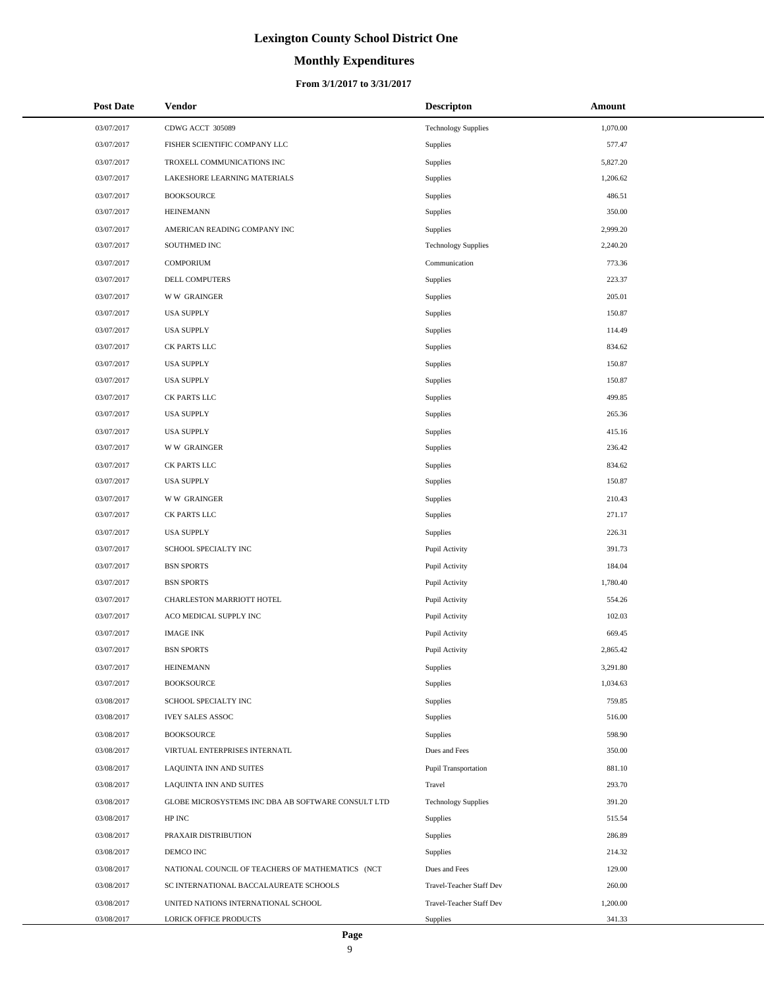# **Monthly Expenditures**

#### **From 3/1/2017 to 3/31/2017**

| <b>Post Date</b> | Vendor                                             | <b>Descripton</b>           | Amount   |  |
|------------------|----------------------------------------------------|-----------------------------|----------|--|
| 03/07/2017       | CDWG ACCT 305089                                   | <b>Technology Supplies</b>  | 1,070.00 |  |
| 03/07/2017       | FISHER SCIENTIFIC COMPANY LLC                      | Supplies                    | 577.47   |  |
| 03/07/2017       | TROXELL COMMUNICATIONS INC                         | Supplies                    | 5,827.20 |  |
| 03/07/2017       | LAKESHORE LEARNING MATERIALS                       | Supplies                    | 1,206.62 |  |
| 03/07/2017       | <b>BOOKSOURCE</b>                                  | Supplies                    | 486.51   |  |
| 03/07/2017       | <b>HEINEMANN</b>                                   | Supplies                    | 350.00   |  |
| 03/07/2017       | AMERICAN READING COMPANY INC                       | Supplies                    | 2,999.20 |  |
| 03/07/2017       | SOUTHMED INC                                       | <b>Technology Supplies</b>  | 2,240.20 |  |
| 03/07/2017       | <b>COMPORIUM</b>                                   | Communication               | 773.36   |  |
| 03/07/2017       | DELL COMPUTERS                                     | Supplies                    | 223.37   |  |
| 03/07/2017       | <b>WW GRAINGER</b>                                 | Supplies                    | 205.01   |  |
| 03/07/2017       | <b>USA SUPPLY</b>                                  | Supplies                    | 150.87   |  |
| 03/07/2017       | <b>USA SUPPLY</b>                                  | Supplies                    | 114.49   |  |
| 03/07/2017       | CK PARTS LLC                                       | Supplies                    | 834.62   |  |
| 03/07/2017       | <b>USA SUPPLY</b>                                  | Supplies                    | 150.87   |  |
| 03/07/2017       | <b>USA SUPPLY</b>                                  | Supplies                    | 150.87   |  |
| 03/07/2017       | CK PARTS LLC                                       | Supplies                    | 499.85   |  |
| 03/07/2017       | <b>USA SUPPLY</b>                                  | Supplies                    | 265.36   |  |
| 03/07/2017       | <b>USA SUPPLY</b>                                  | Supplies                    | 415.16   |  |
| 03/07/2017       | <b>WW GRAINGER</b>                                 | Supplies                    | 236.42   |  |
| 03/07/2017       | CK PARTS LLC                                       | Supplies                    | 834.62   |  |
| 03/07/2017       | <b>USA SUPPLY</b>                                  | Supplies                    | 150.87   |  |
| 03/07/2017       | <b>WW GRAINGER</b>                                 | Supplies                    | 210.43   |  |
| 03/07/2017       | CK PARTS LLC                                       | Supplies                    | 271.17   |  |
| 03/07/2017       | <b>USA SUPPLY</b>                                  | Supplies                    | 226.31   |  |
| 03/07/2017       | SCHOOL SPECIALTY INC                               | Pupil Activity              | 391.73   |  |
| 03/07/2017       | <b>BSN SPORTS</b>                                  | Pupil Activity              | 184.04   |  |
| 03/07/2017       | <b>BSN SPORTS</b>                                  | Pupil Activity              | 1,780.40 |  |
| 03/07/2017       | CHARLESTON MARRIOTT HOTEL                          | Pupil Activity              | 554.26   |  |
| 03/07/2017       | ACO MEDICAL SUPPLY INC                             | Pupil Activity              | 102.03   |  |
| 03/07/2017       | <b>IMAGE INK</b>                                   | Pupil Activity              | 669.45   |  |
| 03/07/2017       | <b>BSN SPORTS</b>                                  | Pupil Activity              | 2,865.42 |  |
| 03/07/2017       | <b>HEINEMANN</b>                                   | Supplies                    | 3,291.80 |  |
| 03/07/2017       | <b>BOOKSOURCE</b>                                  | Supplies                    | 1,034.63 |  |
| 03/08/2017       | SCHOOL SPECIALTY INC                               | Supplies                    | 759.85   |  |
| 03/08/2017       | <b>IVEY SALES ASSOC</b>                            | Supplies                    | 516.00   |  |
| 03/08/2017       | <b>BOOKSOURCE</b>                                  | Supplies                    | 598.90   |  |
| 03/08/2017       | VIRTUAL ENTERPRISES INTERNATL                      | Dues and Fees               | 350.00   |  |
| 03/08/2017       | LAQUINTA INN AND SUITES                            | <b>Pupil Transportation</b> | 881.10   |  |
| 03/08/2017       | LAQUINTA INN AND SUITES                            | Travel                      | 293.70   |  |
| 03/08/2017       | GLOBE MICROSYSTEMS INC DBA AB SOFTWARE CONSULT LTD | <b>Technology Supplies</b>  | 391.20   |  |
| 03/08/2017       | HP INC                                             | Supplies                    | 515.54   |  |
| 03/08/2017       | PRAXAIR DISTRIBUTION                               | Supplies                    | 286.89   |  |
| 03/08/2017       | DEMCO INC                                          | Supplies                    | 214.32   |  |
| 03/08/2017       | NATIONAL COUNCIL OF TEACHERS OF MATHEMATICS (NCT   | Dues and Fees               | 129.00   |  |
| 03/08/2017       | SC INTERNATIONAL BACCALAUREATE SCHOOLS             | Travel-Teacher Staff Dev    | 260.00   |  |
| 03/08/2017       | UNITED NATIONS INTERNATIONAL SCHOOL                | Travel-Teacher Staff Dev    | 1,200.00 |  |
| 03/08/2017       | LORICK OFFICE PRODUCTS                             | Supplies                    | 341.33   |  |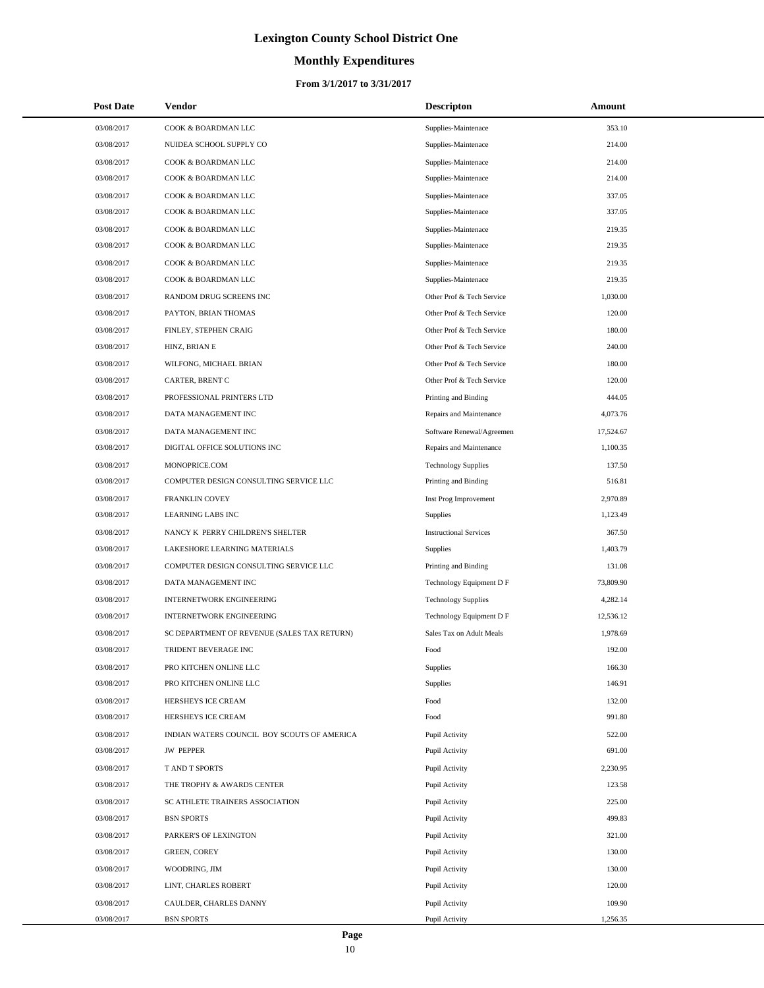# **Monthly Expenditures**

| <b>Post Date</b> | Vendor                                      | <b>Descripton</b>             | Amount    |
|------------------|---------------------------------------------|-------------------------------|-----------|
| 03/08/2017       | COOK & BOARDMAN LLC                         | Supplies-Maintenace           | 353.10    |
| 03/08/2017       | NUIDEA SCHOOL SUPPLY CO                     | Supplies-Maintenace           | 214.00    |
| 03/08/2017       | COOK & BOARDMAN LLC                         | Supplies-Maintenace           | 214.00    |
| 03/08/2017       | COOK & BOARDMAN LLC                         | Supplies-Maintenace           | 214.00    |
| 03/08/2017       | COOK & BOARDMAN LLC                         | Supplies-Maintenace           | 337.05    |
| 03/08/2017       | COOK & BOARDMAN LLC                         | Supplies-Maintenace           | 337.05    |
| 03/08/2017       | COOK & BOARDMAN LLC                         | Supplies-Maintenace           | 219.35    |
| 03/08/2017       | COOK & BOARDMAN LLC                         | Supplies-Maintenace           | 219.35    |
| 03/08/2017       | COOK & BOARDMAN LLC                         | Supplies-Maintenace           | 219.35    |
| 03/08/2017       | COOK & BOARDMAN LLC                         | Supplies-Maintenace           | 219.35    |
| 03/08/2017       | RANDOM DRUG SCREENS INC                     | Other Prof & Tech Service     | 1,030.00  |
| 03/08/2017       | PAYTON, BRIAN THOMAS                        | Other Prof & Tech Service     | 120.00    |
| 03/08/2017       | FINLEY, STEPHEN CRAIG                       | Other Prof & Tech Service     | 180.00    |
| 03/08/2017       | HINZ, BRIAN E                               | Other Prof & Tech Service     | 240.00    |
| 03/08/2017       | WILFONG, MICHAEL BRIAN                      | Other Prof & Tech Service     | 180.00    |
| 03/08/2017       | CARTER, BRENT C                             | Other Prof & Tech Service     | 120.00    |
| 03/08/2017       | PROFESSIONAL PRINTERS LTD                   | Printing and Binding          | 444.05    |
| 03/08/2017       | DATA MANAGEMENT INC                         | Repairs and Maintenance       | 4,073.76  |
| 03/08/2017       | DATA MANAGEMENT INC                         | Software Renewal/Agreemen     | 17,524.67 |
| 03/08/2017       | DIGITAL OFFICE SOLUTIONS INC                | Repairs and Maintenance       | 1,100.35  |
| 03/08/2017       | MONOPRICE.COM                               | <b>Technology Supplies</b>    | 137.50    |
| 03/08/2017       | COMPUTER DESIGN CONSULTING SERVICE LLC      | Printing and Binding          | 516.81    |
| 03/08/2017       | FRANKLIN COVEY                              | Inst Prog Improvement         | 2,970.89  |
| 03/08/2017       | LEARNING LABS INC                           | <b>Supplies</b>               | 1,123.49  |
| 03/08/2017       | NANCY K PERRY CHILDREN'S SHELTER            | <b>Instructional Services</b> | 367.50    |
| 03/08/2017       | LAKESHORE LEARNING MATERIALS                | Supplies                      | 1,403.79  |
| 03/08/2017       | COMPUTER DESIGN CONSULTING SERVICE LLC      | Printing and Binding          | 131.08    |
| 03/08/2017       | DATA MANAGEMENT INC                         | Technology Equipment D F      | 73,809.90 |
| 03/08/2017       | <b>INTERNETWORK ENGINEERING</b>             | <b>Technology Supplies</b>    | 4,282.14  |
| 03/08/2017       | <b>INTERNETWORK ENGINEERING</b>             | Technology Equipment D F      | 12,536.12 |
| 03/08/2017       | SC DEPARTMENT OF REVENUE (SALES TAX RETURN) | Sales Tax on Adult Meals      | 1,978.69  |
| 03/08/2017       | TRIDENT BEVERAGE INC                        | Food                          | 192.00    |
| 03/08/2017       | PRO KITCHEN ONLINE LLC                      | Supplies                      | 166.30    |
| 03/08/2017       | PRO KITCHEN ONLINE LLC                      | Supplies                      | 146.91    |
| 03/08/2017       | HERSHEYS ICE CREAM                          | Food                          | 132.00    |
| 03/08/2017       | HERSHEYS ICE CREAM                          | Food                          | 991.80    |
| 03/08/2017       | INDIAN WATERS COUNCIL BOY SCOUTS OF AMERICA | Pupil Activity                | 522.00    |
| 03/08/2017       | <b>JW PEPPER</b>                            | Pupil Activity                | 691.00    |
| 03/08/2017       | T AND T SPORTS                              | Pupil Activity                | 2,230.95  |
| 03/08/2017       | THE TROPHY & AWARDS CENTER                  | Pupil Activity                | 123.58    |
| 03/08/2017       | SC ATHLETE TRAINERS ASSOCIATION             | Pupil Activity                | 225.00    |
| 03/08/2017       | <b>BSN SPORTS</b>                           | Pupil Activity                | 499.83    |
| 03/08/2017       | PARKER'S OF LEXINGTON                       | Pupil Activity                | 321.00    |
| 03/08/2017       | <b>GREEN, COREY</b>                         | Pupil Activity                | 130.00    |
| 03/08/2017       | WOODRING, JIM                               | Pupil Activity                | 130.00    |
| 03/08/2017       | LINT, CHARLES ROBERT                        | Pupil Activity                | 120.00    |
| 03/08/2017       | CAULDER, CHARLES DANNY                      | Pupil Activity                | 109.90    |
| 03/08/2017       | <b>BSN SPORTS</b>                           | Pupil Activity                | 1,256.35  |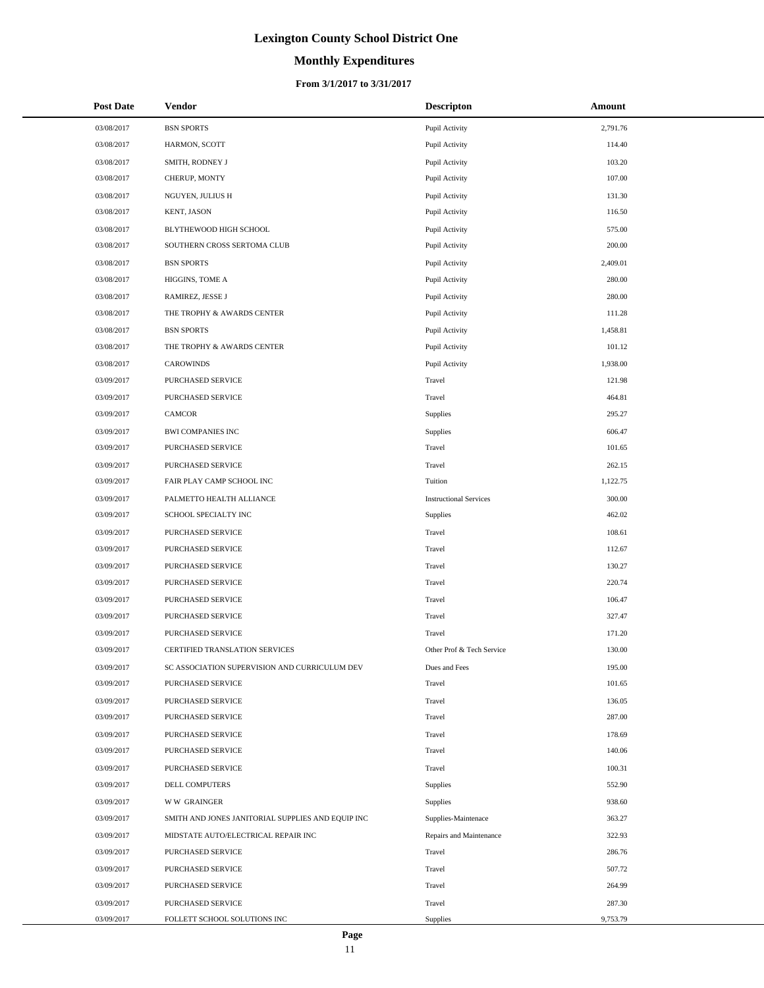# **Monthly Expenditures**

#### **From 3/1/2017 to 3/31/2017**

| <b>Post Date</b> | <b>Vendor</b>                                     | <b>Descripton</b>             | Amount   |
|------------------|---------------------------------------------------|-------------------------------|----------|
| 03/08/2017       | <b>BSN SPORTS</b>                                 | Pupil Activity                | 2,791.76 |
| 03/08/2017       | HARMON, SCOTT                                     | Pupil Activity                | 114.40   |
| 03/08/2017       | SMITH, RODNEY J                                   | Pupil Activity                | 103.20   |
| 03/08/2017       | CHERUP, MONTY                                     | Pupil Activity                | 107.00   |
| 03/08/2017       | NGUYEN, JULIUS H                                  | Pupil Activity                | 131.30   |
| 03/08/2017       | KENT, JASON                                       | Pupil Activity                | 116.50   |
| 03/08/2017       | BLYTHEWOOD HIGH SCHOOL                            | Pupil Activity                | 575.00   |
| 03/08/2017       | SOUTHERN CROSS SERTOMA CLUB                       | Pupil Activity                | 200.00   |
| 03/08/2017       | <b>BSN SPORTS</b>                                 | Pupil Activity                | 2,409.01 |
| 03/08/2017       | HIGGINS, TOME A                                   | Pupil Activity                | 280.00   |
| 03/08/2017       | RAMIREZ, JESSE J                                  | Pupil Activity                | 280.00   |
| 03/08/2017       | THE TROPHY & AWARDS CENTER                        | Pupil Activity                | 111.28   |
| 03/08/2017       | <b>BSN SPORTS</b>                                 | Pupil Activity                | 1,458.81 |
| 03/08/2017       | THE TROPHY & AWARDS CENTER                        | Pupil Activity                | 101.12   |
| 03/08/2017       | <b>CAROWINDS</b>                                  | Pupil Activity                | 1,938.00 |
| 03/09/2017       | PURCHASED SERVICE                                 | Travel                        | 121.98   |
| 03/09/2017       | PURCHASED SERVICE                                 | Travel                        | 464.81   |
| 03/09/2017       | CAMCOR                                            | Supplies                      | 295.27   |
| 03/09/2017       | <b>BWI COMPANIES INC</b>                          | Supplies                      | 606.47   |
| 03/09/2017       | PURCHASED SERVICE                                 | Travel                        | 101.65   |
| 03/09/2017       | PURCHASED SERVICE                                 | Travel                        | 262.15   |
| 03/09/2017       | FAIR PLAY CAMP SCHOOL INC                         | Tuition                       | 1,122.75 |
| 03/09/2017       | PALMETTO HEALTH ALLIANCE                          | <b>Instructional Services</b> | 300.00   |
| 03/09/2017       | SCHOOL SPECIALTY INC                              | Supplies                      | 462.02   |
| 03/09/2017       | PURCHASED SERVICE                                 | Travel                        | 108.61   |
| 03/09/2017       | PURCHASED SERVICE                                 | Travel                        | 112.67   |
| 03/09/2017       | PURCHASED SERVICE                                 | Travel                        | 130.27   |
| 03/09/2017       | PURCHASED SERVICE                                 | Travel                        | 220.74   |
| 03/09/2017       | PURCHASED SERVICE                                 | Travel                        | 106.47   |
| 03/09/2017       | PURCHASED SERVICE                                 | Travel                        | 327.47   |
| 03/09/2017       | PURCHASED SERVICE                                 | Travel                        | 171.20   |
| 03/09/2017       | CERTIFIED TRANSLATION SERVICES                    | Other Prof & Tech Service     | 130.00   |
| 03/09/2017       | SC ASSOCIATION SUPERVISION AND CURRICULUM DEV     | Dues and Fees                 | 195.00   |
| 03/09/2017       | PURCHASED SERVICE                                 | Travel                        | 101.65   |
| 03/09/2017       | PURCHASED SERVICE                                 | Travel                        | 136.05   |
| 03/09/2017       | PURCHASED SERVICE                                 | Travel                        | 287.00   |
| 03/09/2017       | PURCHASED SERVICE                                 | Travel                        | 178.69   |
| 03/09/2017       | PURCHASED SERVICE                                 | Travel                        | 140.06   |
| 03/09/2017       | PURCHASED SERVICE                                 | Travel                        | 100.31   |
| 03/09/2017       | DELL COMPUTERS                                    | Supplies                      | 552.90   |
| 03/09/2017       | <b>WW GRAINGER</b>                                | Supplies                      | 938.60   |
| 03/09/2017       | SMITH AND JONES JANITORIAL SUPPLIES AND EQUIP INC | Supplies-Maintenace           | 363.27   |
| 03/09/2017       | MIDSTATE AUTO/ELECTRICAL REPAIR INC               | Repairs and Maintenance       | 322.93   |
| 03/09/2017       | PURCHASED SERVICE                                 | Travel                        | 286.76   |
| 03/09/2017       | PURCHASED SERVICE                                 | Travel                        | 507.72   |
| 03/09/2017       | PURCHASED SERVICE                                 | Travel                        | 264.99   |
| 03/09/2017       | PURCHASED SERVICE                                 | Travel                        | 287.30   |
| 03/09/2017       | FOLLETT SCHOOL SOLUTIONS INC                      | Supplies                      | 9,753.79 |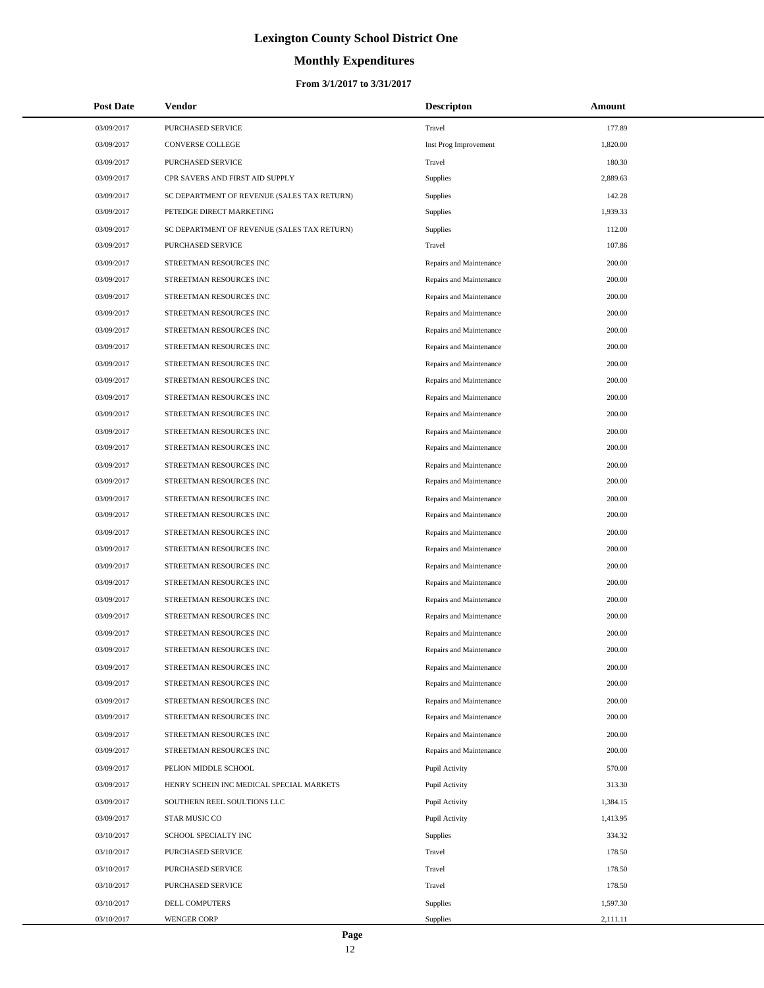# **Monthly Expenditures**

#### **From 3/1/2017 to 3/31/2017**

| <b>Post Date</b> | Vendor                                      | <b>Descripton</b>       | Amount   |
|------------------|---------------------------------------------|-------------------------|----------|
| 03/09/2017       | PURCHASED SERVICE                           | Travel                  | 177.89   |
| 03/09/2017       | CONVERSE COLLEGE                            | Inst Prog Improvement   | 1,820.00 |
| 03/09/2017       | <b>PURCHASED SERVICE</b>                    | Travel                  | 180.30   |
| 03/09/2017       | CPR SAVERS AND FIRST AID SUPPLY             | <b>Supplies</b>         | 2,889.63 |
| 03/09/2017       | SC DEPARTMENT OF REVENUE (SALES TAX RETURN) | <b>Supplies</b>         | 142.28   |
| 03/09/2017       | PETEDGE DIRECT MARKETING                    | Supplies                | 1,939.33 |
| 03/09/2017       | SC DEPARTMENT OF REVENUE (SALES TAX RETURN) | <b>Supplies</b>         | 112.00   |
| 03/09/2017       | PURCHASED SERVICE                           | Travel                  | 107.86   |
| 03/09/2017       | STREETMAN RESOURCES INC                     | Repairs and Maintenance | 200.00   |
| 03/09/2017       | STREETMAN RESOURCES INC                     | Repairs and Maintenance | 200.00   |
| 03/09/2017       | STREETMAN RESOURCES INC                     | Repairs and Maintenance | 200.00   |
| 03/09/2017       | STREETMAN RESOURCES INC                     | Repairs and Maintenance | 200.00   |
| 03/09/2017       | STREETMAN RESOURCES INC                     | Repairs and Maintenance | 200.00   |
| 03/09/2017       | STREETMAN RESOURCES INC                     | Repairs and Maintenance | 200.00   |
| 03/09/2017       | STREETMAN RESOURCES INC                     | Repairs and Maintenance | 200.00   |
| 03/09/2017       | STREETMAN RESOURCES INC                     | Repairs and Maintenance | 200.00   |
| 03/09/2017       | STREETMAN RESOURCES INC                     | Repairs and Maintenance | 200.00   |
| 03/09/2017       | STREETMAN RESOURCES INC                     | Repairs and Maintenance | 200.00   |
| 03/09/2017       | STREETMAN RESOURCES INC                     | Repairs and Maintenance | 200.00   |
| 03/09/2017       | STREETMAN RESOURCES INC                     | Repairs and Maintenance | 200.00   |
| 03/09/2017       | STREETMAN RESOURCES INC                     | Repairs and Maintenance | 200.00   |
| 03/09/2017       | STREETMAN RESOURCES INC                     | Repairs and Maintenance | 200.00   |
| 03/09/2017       | STREETMAN RESOURCES INC                     | Repairs and Maintenance | 200.00   |
| 03/09/2017       | STREETMAN RESOURCES INC                     | Repairs and Maintenance | 200.00   |
| 03/09/2017       | STREETMAN RESOURCES INC                     | Repairs and Maintenance | 200.00   |
| 03/09/2017       | STREETMAN RESOURCES INC                     | Repairs and Maintenance | 200.00   |
| 03/09/2017       | STREETMAN RESOURCES INC                     | Repairs and Maintenance | 200.00   |
| 03/09/2017       | STREETMAN RESOURCES INC                     | Repairs and Maintenance | 200.00   |
| 03/09/2017       | STREETMAN RESOURCES INC                     | Repairs and Maintenance | 200.00   |
| 03/09/2017       | STREETMAN RESOURCES INC                     | Repairs and Maintenance | 200.00   |
| 03/09/2017       | STREETMAN RESOURCES INC                     | Repairs and Maintenance | 200.00   |
| 03/09/2017       | STREETMAN RESOURCES INC                     | Repairs and Maintenance | 200.00   |
| 03/09/2017       | STREETMAN RESOURCES INC                     | Repairs and Maintenance | 200.00   |
| 03/09/2017       | STREETMAN RESOURCES INC                     | Repairs and Maintenance | 200.00   |
| 03/09/2017       | STREETMAN RESOURCES INC                     | Repairs and Maintenance | 200.00   |
| 03/09/2017       | STREETMAN RESOURCES INC                     | Repairs and Maintenance | 200.00   |
| 03/09/2017       | STREETMAN RESOURCES INC                     | Repairs and Maintenance | 200.00   |
| 03/09/2017       | STREETMAN RESOURCES INC                     | Repairs and Maintenance | 200.00   |
| 03/09/2017       | PELION MIDDLE SCHOOL                        | Pupil Activity          | 570.00   |
| 03/09/2017       | HENRY SCHEIN INC MEDICAL SPECIAL MARKETS    | Pupil Activity          | 313.30   |
| 03/09/2017       | SOUTHERN REEL SOULTIONS LLC                 | Pupil Activity          | 1,384.15 |
| 03/09/2017       | STAR MUSIC CO                               | Pupil Activity          | 1,413.95 |
| 03/10/2017       | SCHOOL SPECIALTY INC                        | <b>Supplies</b>         | 334.32   |
| 03/10/2017       | PURCHASED SERVICE                           | Travel                  | 178.50   |
| 03/10/2017       | PURCHASED SERVICE                           | Travel                  | 178.50   |
| 03/10/2017       | PURCHASED SERVICE                           | Travel                  | 178.50   |
| 03/10/2017       | DELL COMPUTERS                              | <b>Supplies</b>         | 1,597.30 |
| 03/10/2017       | <b>WENGER CORP</b>                          | <b>Supplies</b>         | 2,111.11 |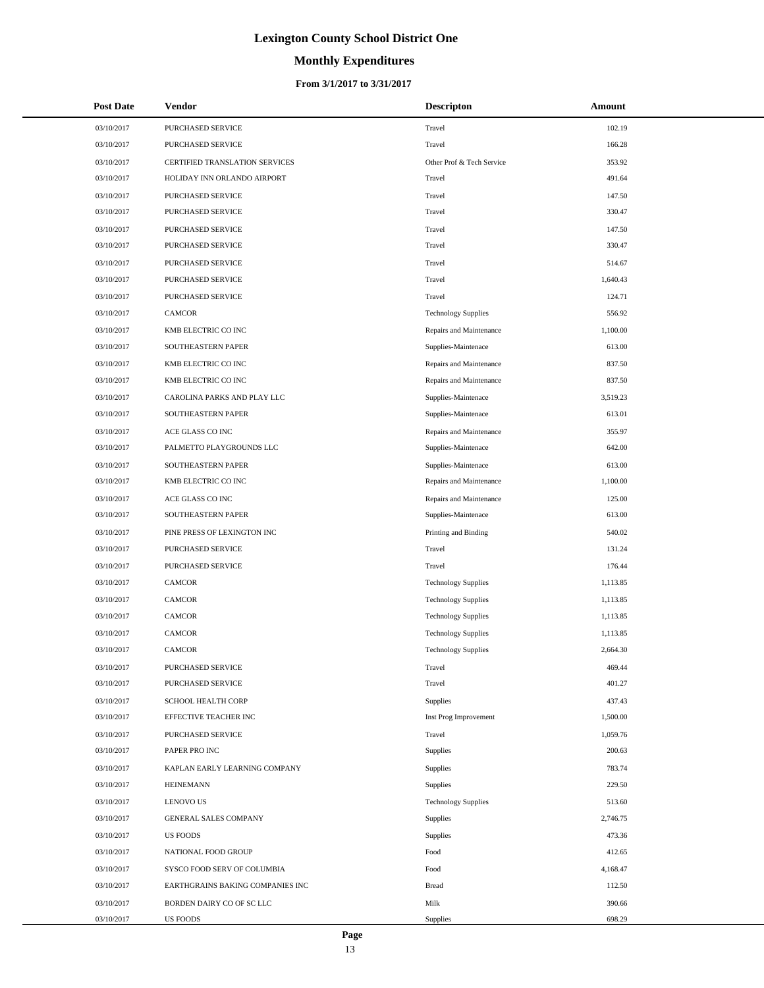# **Monthly Expenditures**

#### **From 3/1/2017 to 3/31/2017**

| <b>Post Date</b> | <b>Vendor</b>                         | <b>Descripton</b>          | Amount   |
|------------------|---------------------------------------|----------------------------|----------|
| 03/10/2017       | PURCHASED SERVICE                     | Travel                     | 102.19   |
| 03/10/2017       | PURCHASED SERVICE                     | Travel                     | 166.28   |
| 03/10/2017       | <b>CERTIFIED TRANSLATION SERVICES</b> | Other Prof & Tech Service  | 353.92   |
| 03/10/2017       | HOLIDAY INN ORLANDO AIRPORT           | Travel                     | 491.64   |
| 03/10/2017       | PURCHASED SERVICE                     | Travel                     | 147.50   |
| 03/10/2017       | PURCHASED SERVICE                     | Travel                     | 330.47   |
| 03/10/2017       | PURCHASED SERVICE                     | Travel                     | 147.50   |
| 03/10/2017       | PURCHASED SERVICE                     | Travel                     | 330.47   |
| 03/10/2017       | PURCHASED SERVICE                     | Travel                     | 514.67   |
| 03/10/2017       | PURCHASED SERVICE                     | Travel                     | 1,640.43 |
| 03/10/2017       | PURCHASED SERVICE                     | Travel                     | 124.71   |
| 03/10/2017       | <b>CAMCOR</b>                         | <b>Technology Supplies</b> | 556.92   |
| 03/10/2017       | KMB ELECTRIC CO INC                   | Repairs and Maintenance    | 1,100.00 |
| 03/10/2017       | SOUTHEASTERN PAPER                    | Supplies-Maintenace        | 613.00   |
| 03/10/2017       | KMB ELECTRIC CO INC                   | Repairs and Maintenance    | 837.50   |
| 03/10/2017       | KMB ELECTRIC CO INC                   | Repairs and Maintenance    | 837.50   |
| 03/10/2017       | CAROLINA PARKS AND PLAY LLC           | Supplies-Maintenace        | 3,519.23 |
| 03/10/2017       | SOUTHEASTERN PAPER                    | Supplies-Maintenace        | 613.01   |
| 03/10/2017       | ACE GLASS CO INC                      | Repairs and Maintenance    | 355.97   |
| 03/10/2017       | PALMETTO PLAYGROUNDS LLC              | Supplies-Maintenace        | 642.00   |
| 03/10/2017       | SOUTHEASTERN PAPER                    | Supplies-Maintenace        | 613.00   |
| 03/10/2017       | KMB ELECTRIC CO INC                   | Repairs and Maintenance    | 1,100.00 |
| 03/10/2017       | ACE GLASS CO INC                      | Repairs and Maintenance    | 125.00   |
| 03/10/2017       | SOUTHEASTERN PAPER                    | Supplies-Maintenace        | 613.00   |
| 03/10/2017       | PINE PRESS OF LEXINGTON INC           | Printing and Binding       | 540.02   |
| 03/10/2017       | PURCHASED SERVICE                     | Travel                     | 131.24   |
| 03/10/2017       | PURCHASED SERVICE                     | Travel                     | 176.44   |
| 03/10/2017       | <b>CAMCOR</b>                         | <b>Technology Supplies</b> | 1,113.85 |
| 03/10/2017       | CAMCOR                                | <b>Technology Supplies</b> | 1,113.85 |
| 03/10/2017       | <b>CAMCOR</b>                         | <b>Technology Supplies</b> | 1,113.85 |
| 03/10/2017       | CAMCOR                                | <b>Technology Supplies</b> | 1,113.85 |
| 03/10/2017       | <b>CAMCOR</b>                         | <b>Technology Supplies</b> | 2,664.30 |
| 03/10/2017       | PURCHASED SERVICE                     | Travel                     | 469.44   |
| 03/10/2017       | PURCHASED SERVICE                     | Travel                     | 401.27   |
| 03/10/2017       | SCHOOL HEALTH CORP                    | Supplies                   | 437.43   |
| 03/10/2017       | EFFECTIVE TEACHER INC                 | Inst Prog Improvement      | 1,500.00 |
| 03/10/2017       | PURCHASED SERVICE                     | Travel                     | 1,059.76 |
| 03/10/2017       | PAPER PRO INC                         | Supplies                   | 200.63   |
| 03/10/2017       | KAPLAN EARLY LEARNING COMPANY         | Supplies                   | 783.74   |
| 03/10/2017       | <b>HEINEMANN</b>                      | Supplies                   | 229.50   |
| 03/10/2017       | <b>LENOVO US</b>                      | <b>Technology Supplies</b> | 513.60   |
| 03/10/2017       | GENERAL SALES COMPANY                 | Supplies                   | 2,746.75 |
| 03/10/2017       | <b>US FOODS</b>                       | Supplies                   | 473.36   |
| 03/10/2017       | NATIONAL FOOD GROUP                   | Food                       | 412.65   |
| 03/10/2017       | SYSCO FOOD SERV OF COLUMBIA           | Food                       | 4,168.47 |
| 03/10/2017       | EARTHGRAINS BAKING COMPANIES INC      | <b>Bread</b>               | 112.50   |
| 03/10/2017       | BORDEN DAIRY CO OF SC LLC             | Milk                       | 390.66   |
| 03/10/2017       | US FOODS                              | Supplies                   | 698.29   |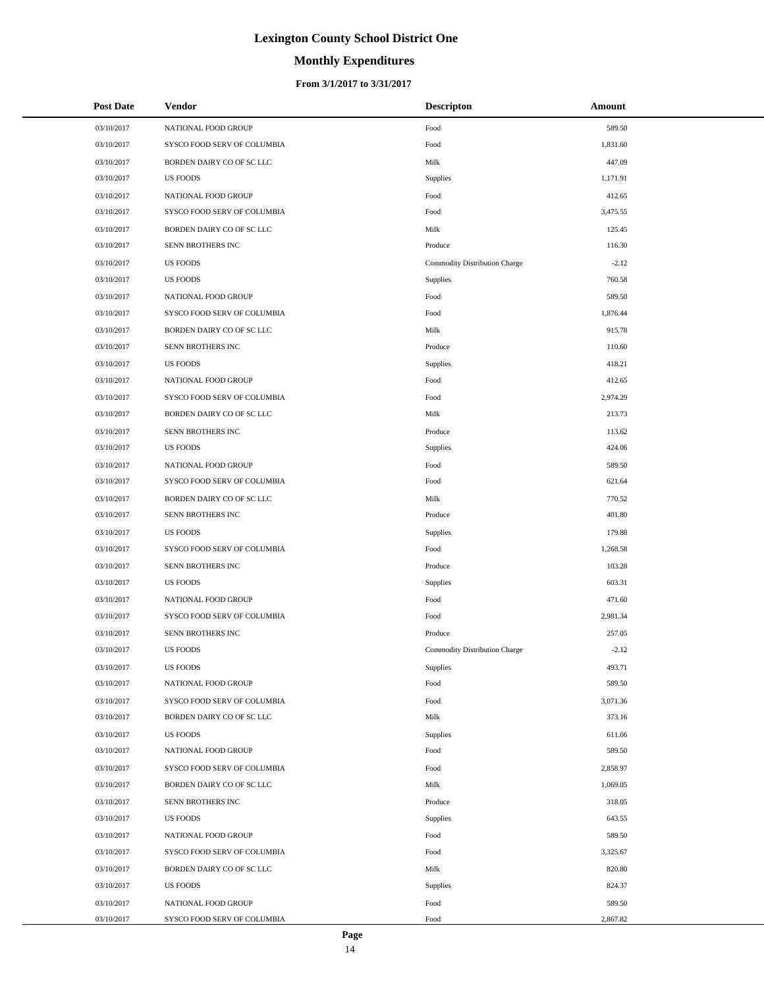# **Monthly Expenditures**

| <b>Post Date</b> | Vendor                      | <b>Descripton</b>             | Amount   |  |
|------------------|-----------------------------|-------------------------------|----------|--|
| 03/10/2017       | NATIONAL FOOD GROUP         | Food                          | 589.50   |  |
| 03/10/2017       | SYSCO FOOD SERV OF COLUMBIA | Food                          | 1,831.60 |  |
| 03/10/2017       | BORDEN DAIRY CO OF SC LLC   | Milk                          | 447.09   |  |
| 03/10/2017       | <b>US FOODS</b>             | Supplies                      | 1,171.91 |  |
| 03/10/2017       | NATIONAL FOOD GROUP         | Food                          | 412.65   |  |
| 03/10/2017       | SYSCO FOOD SERV OF COLUMBIA | Food                          | 3,475.55 |  |
| 03/10/2017       | BORDEN DAIRY CO OF SC LLC   | Milk                          | 125.45   |  |
| 03/10/2017       | SENN BROTHERS INC           | Produce                       | 116.30   |  |
| 03/10/2017       | <b>US FOODS</b>             | Commodity Distribution Charge | $-2.12$  |  |
| 03/10/2017       | <b>US FOODS</b>             | Supplies                      | 760.58   |  |
| 03/10/2017       | NATIONAL FOOD GROUP         | Food                          | 589.50   |  |
| 03/10/2017       | SYSCO FOOD SERV OF COLUMBIA | Food                          | 1,876.44 |  |
| 03/10/2017       | BORDEN DAIRY CO OF SC LLC   | Milk                          | 915.78   |  |
| 03/10/2017       | SENN BROTHERS INC           | Produce                       | 110.60   |  |
| 03/10/2017       | <b>US FOODS</b>             | Supplies                      | 418.21   |  |
| 03/10/2017       | NATIONAL FOOD GROUP         | Food                          | 412.65   |  |
| 03/10/2017       | SYSCO FOOD SERV OF COLUMBIA | Food                          | 2,974.29 |  |
| 03/10/2017       | BORDEN DAIRY CO OF SC LLC   | Milk                          | 213.73   |  |
| 03/10/2017       | SENN BROTHERS INC           | Produce                       | 113.62   |  |
| 03/10/2017       | <b>US FOODS</b>             | Supplies                      | 424.06   |  |
| 03/10/2017       | NATIONAL FOOD GROUP         | Food                          | 589.50   |  |
| 03/10/2017       | SYSCO FOOD SERV OF COLUMBIA | Food                          | 621.64   |  |
| 03/10/2017       | BORDEN DAIRY CO OF SC LLC   | Milk                          | 770.52   |  |
| 03/10/2017       | SENN BROTHERS INC           | Produce                       | 401.80   |  |
| 03/10/2017       | <b>US FOODS</b>             | Supplies                      | 179.88   |  |
| 03/10/2017       | SYSCO FOOD SERV OF COLUMBIA | Food                          | 1,268.58 |  |
| 03/10/2017       | SENN BROTHERS INC           | Produce                       | 103.28   |  |
| 03/10/2017       | <b>US FOODS</b>             | Supplies                      | 603.31   |  |
| 03/10/2017       | NATIONAL FOOD GROUP         | Food                          | 471.60   |  |
| 03/10/2017       | SYSCO FOOD SERV OF COLUMBIA | Food                          | 2,981.34 |  |
| 03/10/2017       | SENN BROTHERS INC           | Produce                       | 257.05   |  |
| 03/10/2017       | <b>US FOODS</b>             | Commodity Distribution Charge | $-2.12$  |  |
| 03/10/2017       | <b>US FOODS</b>             | <b>Supplies</b>               | 493.71   |  |
| 03/10/2017       | NATIONAL FOOD GROUP         | Food                          | 589.50   |  |
| 03/10/2017       | SYSCO FOOD SERV OF COLUMBIA | Food                          | 3,071.36 |  |
| 03/10/2017       | BORDEN DAIRY CO OF SC LLC   | Milk                          | 373.16   |  |
| 03/10/2017       | US FOODS                    | <b>Supplies</b>               | 611.66   |  |
| 03/10/2017       | NATIONAL FOOD GROUP         | Food                          | 589.50   |  |
| 03/10/2017       | SYSCO FOOD SERV OF COLUMBIA | Food                          | 2,858.97 |  |
| 03/10/2017       | BORDEN DAIRY CO OF SC LLC   | Milk                          | 1,069.05 |  |
| 03/10/2017       | SENN BROTHERS INC           | Produce                       | 318.05   |  |
| 03/10/2017       | <b>US FOODS</b>             | <b>Supplies</b>               | 643.55   |  |
| 03/10/2017       | NATIONAL FOOD GROUP         | Food                          | 589.50   |  |
| 03/10/2017       | SYSCO FOOD SERV OF COLUMBIA | Food                          | 3,325.67 |  |
| 03/10/2017       | BORDEN DAIRY CO OF SC LLC   | Milk                          | 820.80   |  |
| 03/10/2017       | <b>US FOODS</b>             | <b>Supplies</b>               | 824.37   |  |
| 03/10/2017       | NATIONAL FOOD GROUP         | Food                          | 589.50   |  |
| 03/10/2017       | SYSCO FOOD SERV OF COLUMBIA | Food                          | 2,867.82 |  |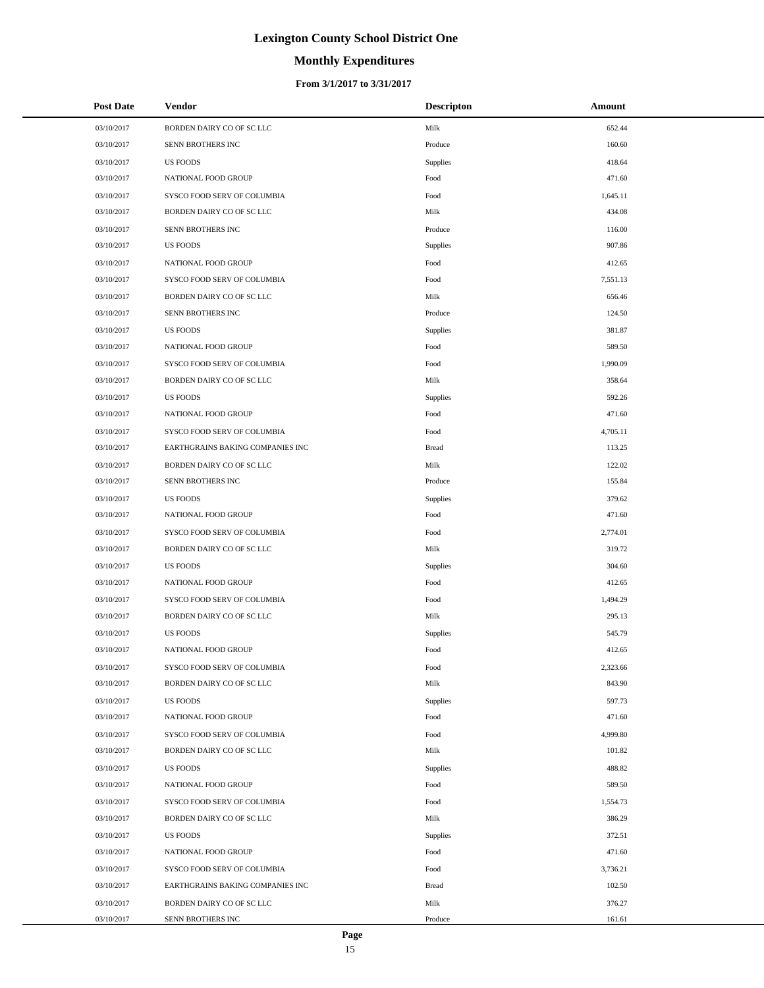# **Monthly Expenditures**

#### **From 3/1/2017 to 3/31/2017**

| <b>Post Date</b> | Vendor                           | <b>Descripton</b> | Amount   |
|------------------|----------------------------------|-------------------|----------|
| 03/10/2017       | BORDEN DAIRY CO OF SC LLC        | Milk              | 652.44   |
| 03/10/2017       | SENN BROTHERS INC                | Produce           | 160.60   |
| 03/10/2017       | <b>US FOODS</b>                  | <b>Supplies</b>   | 418.64   |
| 03/10/2017       | NATIONAL FOOD GROUP              | Food              | 471.60   |
| 03/10/2017       | SYSCO FOOD SERV OF COLUMBIA      | Food              | 1,645.11 |
| 03/10/2017       | BORDEN DAIRY CO OF SC LLC        | Milk              | 434.08   |
| 03/10/2017       | SENN BROTHERS INC                | Produce           | 116.00   |
| 03/10/2017       | <b>US FOODS</b>                  | <b>Supplies</b>   | 907.86   |
| 03/10/2017       | NATIONAL FOOD GROUP              | Food              | 412.65   |
| 03/10/2017       | SYSCO FOOD SERV OF COLUMBIA      | Food              | 7,551.13 |
| 03/10/2017       | BORDEN DAIRY CO OF SC LLC        | Milk              | 656.46   |
| 03/10/2017       | SENN BROTHERS INC                | Produce           | 124.50   |
| 03/10/2017       | <b>US FOODS</b>                  | <b>Supplies</b>   | 381.87   |
| 03/10/2017       | NATIONAL FOOD GROUP              | Food              | 589.50   |
| 03/10/2017       | SYSCO FOOD SERV OF COLUMBIA      | Food              | 1,990.09 |
| 03/10/2017       | BORDEN DAIRY CO OF SC LLC        | Milk              | 358.64   |
| 03/10/2017       | <b>US FOODS</b>                  | Supplies          | 592.26   |
| 03/10/2017       | NATIONAL FOOD GROUP              | Food              | 471.60   |
| 03/10/2017       | SYSCO FOOD SERV OF COLUMBIA      | Food              | 4,705.11 |
| 03/10/2017       | EARTHGRAINS BAKING COMPANIES INC | <b>Bread</b>      | 113.25   |
| 03/10/2017       | BORDEN DAIRY CO OF SC LLC        | Milk              | 122.02   |
| 03/10/2017       | SENN BROTHERS INC                | Produce           | 155.84   |
| 03/10/2017       | <b>US FOODS</b>                  | Supplies          | 379.62   |
| 03/10/2017       | NATIONAL FOOD GROUP              | Food              | 471.60   |
| 03/10/2017       | SYSCO FOOD SERV OF COLUMBIA      | Food              | 2,774.01 |
| 03/10/2017       | BORDEN DAIRY CO OF SC LLC        | Milk              | 319.72   |
| 03/10/2017       | <b>US FOODS</b>                  | Supplies          | 304.60   |
| 03/10/2017       | NATIONAL FOOD GROUP              | Food              | 412.65   |
| 03/10/2017       | SYSCO FOOD SERV OF COLUMBIA      | Food              | 1,494.29 |
| 03/10/2017       | BORDEN DAIRY CO OF SC LLC        | Milk              | 295.13   |
| 03/10/2017       | <b>US FOODS</b>                  | Supplies          | 545.79   |
| 03/10/2017       | NATIONAL FOOD GROUP              | Food              | 412.65   |
| 03/10/2017       | SYSCO FOOD SERV OF COLUMBIA      | Food              | 2,323.66 |
| 03/10/2017       | BORDEN DAIRY CO OF SC LLC        | Milk              | 843.90   |
| 03/10/2017       | <b>US FOODS</b>                  | Supplies          | 597.73   |
| 03/10/2017       | NATIONAL FOOD GROUP              | Food              | 471.60   |
| 03/10/2017       | SYSCO FOOD SERV OF COLUMBIA      | Food              | 4,999.80 |
| 03/10/2017       | BORDEN DAIRY CO OF SC LLC        | Milk              | 101.82   |
| 03/10/2017       | US FOODS                         | Supplies          | 488.82   |
| 03/10/2017       | NATIONAL FOOD GROUP              | Food              | 589.50   |
| 03/10/2017       | SYSCO FOOD SERV OF COLUMBIA      | Food              | 1,554.73 |
| 03/10/2017       | BORDEN DAIRY CO OF SC LLC        | Milk              | 386.29   |
| 03/10/2017       | <b>US FOODS</b>                  | Supplies          | 372.51   |
| 03/10/2017       | NATIONAL FOOD GROUP              | Food              | 471.60   |
| 03/10/2017       | SYSCO FOOD SERV OF COLUMBIA      | Food              | 3,736.21 |
| 03/10/2017       | EARTHGRAINS BAKING COMPANIES INC | <b>Bread</b>      | 102.50   |
| 03/10/2017       | BORDEN DAIRY CO OF SC LLC        | Milk              | 376.27   |
| 03/10/2017       | SENN BROTHERS INC                | Produce           | 161.61   |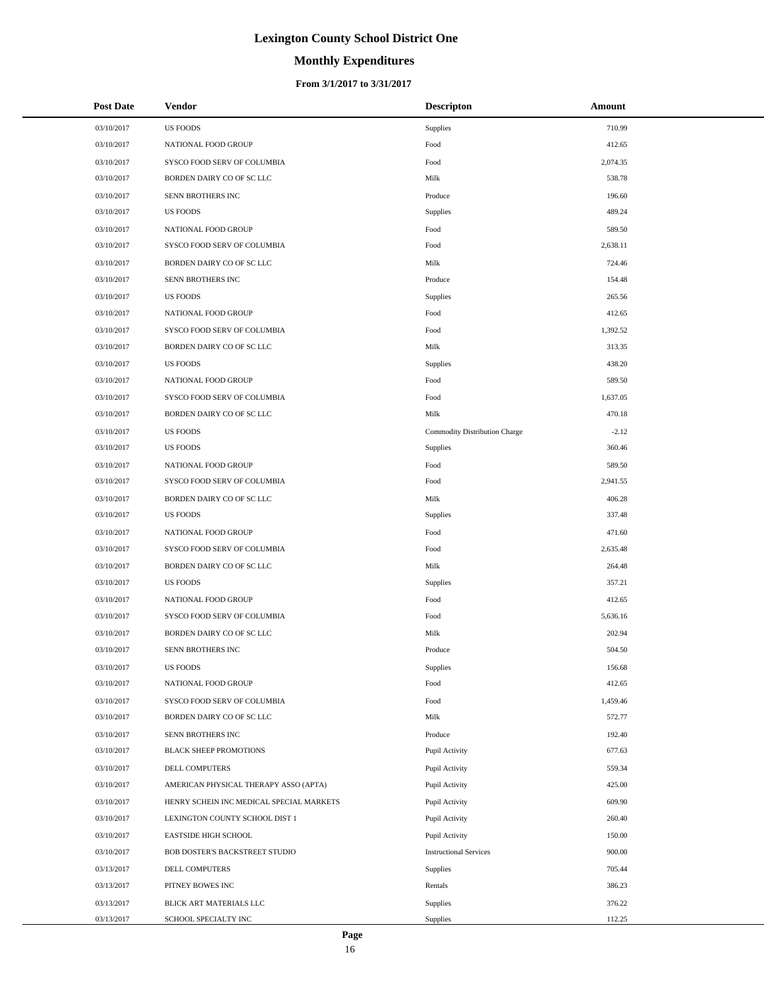# **Monthly Expenditures**

| <b>Post Date</b> | Vendor                                   | <b>Descripton</b>             | Amount   |
|------------------|------------------------------------------|-------------------------------|----------|
| 03/10/2017       | <b>US FOODS</b>                          | Supplies                      | 710.99   |
| 03/10/2017       | NATIONAL FOOD GROUP                      | Food                          | 412.65   |
| 03/10/2017       | SYSCO FOOD SERV OF COLUMBIA              | Food                          | 2,074.35 |
| 03/10/2017       | BORDEN DAIRY CO OF SC LLC                | Milk                          | 538.78   |
| 03/10/2017       | SENN BROTHERS INC                        | Produce                       | 196.60   |
| 03/10/2017       | <b>US FOODS</b>                          | Supplies                      | 489.24   |
| 03/10/2017       | NATIONAL FOOD GROUP                      | Food                          | 589.50   |
| 03/10/2017       | SYSCO FOOD SERV OF COLUMBIA              | Food                          | 2,638.11 |
| 03/10/2017       | BORDEN DAIRY CO OF SC LLC                | Milk                          | 724.46   |
| 03/10/2017       | SENN BROTHERS INC                        | Produce                       | 154.48   |
| 03/10/2017       | <b>US FOODS</b>                          | Supplies                      | 265.56   |
| 03/10/2017       | NATIONAL FOOD GROUP                      | Food                          | 412.65   |
| 03/10/2017       | SYSCO FOOD SERV OF COLUMBIA              | Food                          | 1,392.52 |
| 03/10/2017       | BORDEN DAIRY CO OF SC LLC                | Milk                          | 313.35   |
| 03/10/2017       | <b>US FOODS</b>                          | Supplies                      | 438.20   |
| 03/10/2017       | NATIONAL FOOD GROUP                      | Food                          | 589.50   |
| 03/10/2017       | SYSCO FOOD SERV OF COLUMBIA              | Food                          | 1,637.05 |
| 03/10/2017       | BORDEN DAIRY CO OF SC LLC                | Milk                          | 470.18   |
| 03/10/2017       | <b>US FOODS</b>                          | Commodity Distribution Charge | $-2.12$  |
| 03/10/2017       | <b>US FOODS</b>                          | Supplies                      | 360.46   |
| 03/10/2017       | NATIONAL FOOD GROUP                      | Food                          | 589.50   |
| 03/10/2017       | SYSCO FOOD SERV OF COLUMBIA              | Food                          | 2,941.55 |
| 03/10/2017       | BORDEN DAIRY CO OF SC LLC                | Milk                          | 406.28   |
| 03/10/2017       | <b>US FOODS</b>                          | Supplies                      | 337.48   |
| 03/10/2017       | NATIONAL FOOD GROUP                      | Food                          | 471.60   |
| 03/10/2017       | SYSCO FOOD SERV OF COLUMBIA              | Food                          | 2,635.48 |
| 03/10/2017       | BORDEN DAIRY CO OF SC LLC                | Milk                          | 264.48   |
| 03/10/2017       | <b>US FOODS</b>                          | Supplies                      | 357.21   |
| 03/10/2017       | NATIONAL FOOD GROUP                      | Food                          | 412.65   |
| 03/10/2017       | SYSCO FOOD SERV OF COLUMBIA              | Food                          | 5,636.16 |
| 03/10/2017       | BORDEN DAIRY CO OF SC LLC                | Milk                          | 202.94   |
| 03/10/2017       | <b>SENN BROTHERS INC</b>                 | Produce                       | 504.50   |
| 03/10/2017       | <b>US FOODS</b>                          | Supplies                      | 156.68   |
| 03/10/2017       | NATIONAL FOOD GROUP                      | Food                          | 412.65   |
| 03/10/2017       | SYSCO FOOD SERV OF COLUMBIA              | Food                          | 1,459.46 |
| 03/10/2017       | BORDEN DAIRY CO OF SC LLC                | Milk                          | 572.77   |
| 03/10/2017       | SENN BROTHERS INC                        | Produce                       | 192.40   |
| 03/10/2017       | <b>BLACK SHEEP PROMOTIONS</b>            | Pupil Activity                | 677.63   |
| 03/10/2017       | DELL COMPUTERS                           | Pupil Activity                | 559.34   |
| 03/10/2017       | AMERICAN PHYSICAL THERAPY ASSO (APTA)    | Pupil Activity                | 425.00   |
| 03/10/2017       | HENRY SCHEIN INC MEDICAL SPECIAL MARKETS | Pupil Activity                | 609.90   |
| 03/10/2017       | LEXINGTON COUNTY SCHOOL DIST 1           | Pupil Activity                | 260.40   |
| 03/10/2017       | EASTSIDE HIGH SCHOOL                     | Pupil Activity                | 150.00   |
| 03/10/2017       | BOB DOSTER'S BACKSTREET STUDIO           | <b>Instructional Services</b> | 900.00   |
| 03/13/2017       | DELL COMPUTERS                           | Supplies                      | 705.44   |
| 03/13/2017       | PITNEY BOWES INC                         | Rentals                       | 386.23   |
| 03/13/2017       | BLICK ART MATERIALS LLC                  | Supplies                      | 376.22   |
| 03/13/2017       | SCHOOL SPECIALTY INC                     | Supplies                      | 112.25   |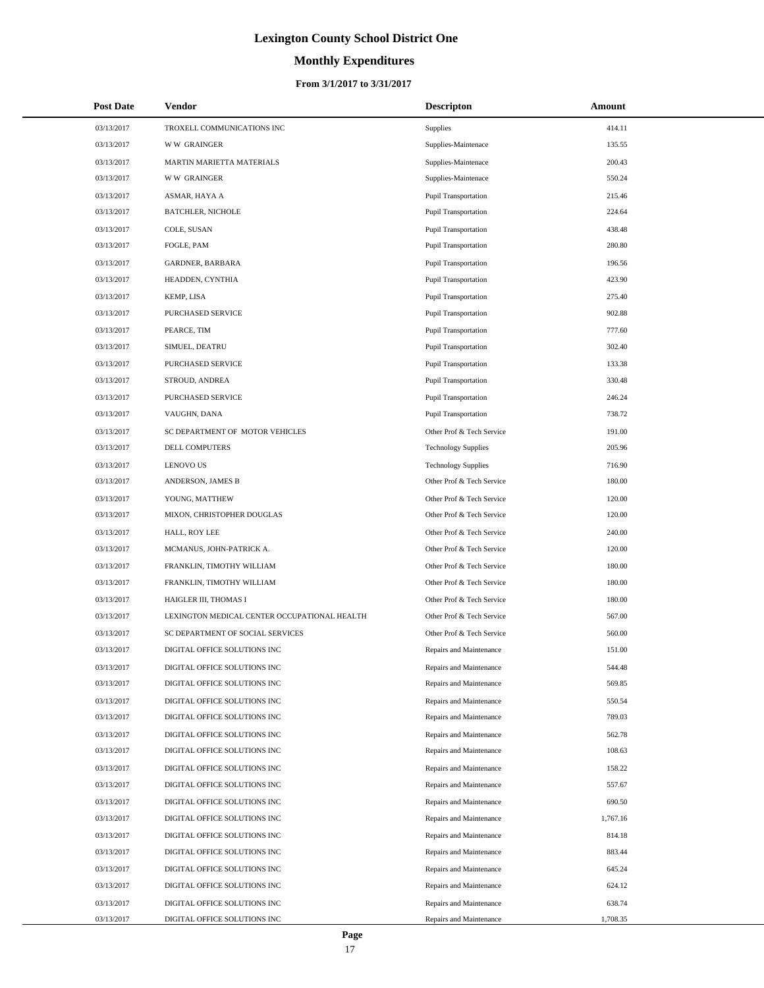# **Monthly Expenditures**

#### **From 3/1/2017 to 3/31/2017**

| <b>Post Date</b> | Vendor                                       | <b>Descripton</b>           | Amount   |
|------------------|----------------------------------------------|-----------------------------|----------|
| 03/13/2017       | TROXELL COMMUNICATIONS INC                   | <b>Supplies</b>             | 414.11   |
| 03/13/2017       | <b>WW GRAINGER</b>                           | Supplies-Maintenace         | 135.55   |
| 03/13/2017       | MARTIN MARIETTA MATERIALS                    | Supplies-Maintenace         | 200.43   |
| 03/13/2017       | <b>WW GRAINGER</b>                           | Supplies-Maintenace         | 550.24   |
| 03/13/2017       | ASMAR, HAYA A                                | <b>Pupil Transportation</b> | 215.46   |
| 03/13/2017       | <b>BATCHLER, NICHOLE</b>                     | <b>Pupil Transportation</b> | 224.64   |
| 03/13/2017       | COLE, SUSAN                                  | <b>Pupil Transportation</b> | 438.48   |
| 03/13/2017       | FOGLE, PAM                                   | <b>Pupil Transportation</b> | 280.80   |
| 03/13/2017       | <b>GARDNER, BARBARA</b>                      | <b>Pupil Transportation</b> | 196.56   |
| 03/13/2017       | HEADDEN, CYNTHIA                             | <b>Pupil Transportation</b> | 423.90   |
| 03/13/2017       | KEMP, LISA                                   | <b>Pupil Transportation</b> | 275.40   |
| 03/13/2017       | PURCHASED SERVICE                            | <b>Pupil Transportation</b> | 902.88   |
| 03/13/2017       | PEARCE, TIM                                  | <b>Pupil Transportation</b> | 777.60   |
| 03/13/2017       | SIMUEL, DEATRU                               | <b>Pupil Transportation</b> | 302.40   |
| 03/13/2017       | PURCHASED SERVICE                            | <b>Pupil Transportation</b> | 133.38   |
| 03/13/2017       | STROUD, ANDREA                               | <b>Pupil Transportation</b> | 330.48   |
| 03/13/2017       | PURCHASED SERVICE                            | <b>Pupil Transportation</b> | 246.24   |
| 03/13/2017       | VAUGHN, DANA                                 | <b>Pupil Transportation</b> | 738.72   |
| 03/13/2017       | SC DEPARTMENT OF MOTOR VEHICLES              | Other Prof & Tech Service   | 191.00   |
| 03/13/2017       | DELL COMPUTERS                               | <b>Technology Supplies</b>  | 205.96   |
| 03/13/2017       | <b>LENOVO US</b>                             | <b>Technology Supplies</b>  | 716.90   |
| 03/13/2017       | ANDERSON, JAMES B                            | Other Prof & Tech Service   | 180.00   |
| 03/13/2017       | YOUNG, MATTHEW                               | Other Prof & Tech Service   | 120.00   |
| 03/13/2017       | MIXON, CHRISTOPHER DOUGLAS                   | Other Prof & Tech Service   | 120.00   |
| 03/13/2017       | HALL, ROY LEE                                | Other Prof & Tech Service   | 240.00   |
| 03/13/2017       | MCMANUS, JOHN-PATRICK A.                     | Other Prof & Tech Service   | 120.00   |
| 03/13/2017       | FRANKLIN, TIMOTHY WILLIAM                    | Other Prof & Tech Service   | 180.00   |
| 03/13/2017       | FRANKLIN, TIMOTHY WILLIAM                    | Other Prof & Tech Service   | 180.00   |
| 03/13/2017       | HAIGLER III, THOMAS I                        | Other Prof & Tech Service   | 180.00   |
| 03/13/2017       | LEXINGTON MEDICAL CENTER OCCUPATIONAL HEALTH | Other Prof & Tech Service   | 567.00   |
| 03/13/2017       | SC DEPARTMENT OF SOCIAL SERVICES             | Other Prof & Tech Service   | 560.00   |
| 03/13/2017       | DIGITAL OFFICE SOLUTIONS INC                 | Repairs and Maintenance     | 151.00   |
| 03/13/2017       | DIGITAL OFFICE SOLUTIONS INC                 | Repairs and Maintenance     | 544.48   |
| 03/13/2017       | DIGITAL OFFICE SOLUTIONS INC                 | Repairs and Maintenance     | 569.85   |
| 03/13/2017       | DIGITAL OFFICE SOLUTIONS INC                 | Repairs and Maintenance     | 550.54   |
| 03/13/2017       | DIGITAL OFFICE SOLUTIONS INC                 | Repairs and Maintenance     | 789.03   |
| 03/13/2017       | DIGITAL OFFICE SOLUTIONS INC                 | Repairs and Maintenance     | 562.78   |
| 03/13/2017       | DIGITAL OFFICE SOLUTIONS INC                 | Repairs and Maintenance     | 108.63   |
| 03/13/2017       | DIGITAL OFFICE SOLUTIONS INC                 | Repairs and Maintenance     | 158.22   |
| 03/13/2017       | DIGITAL OFFICE SOLUTIONS INC                 | Repairs and Maintenance     | 557.67   |
| 03/13/2017       | DIGITAL OFFICE SOLUTIONS INC                 | Repairs and Maintenance     | 690.50   |
| 03/13/2017       | DIGITAL OFFICE SOLUTIONS INC                 | Repairs and Maintenance     | 1,767.16 |
| 03/13/2017       | DIGITAL OFFICE SOLUTIONS INC                 | Repairs and Maintenance     | 814.18   |
| 03/13/2017       | DIGITAL OFFICE SOLUTIONS INC                 | Repairs and Maintenance     | 883.44   |
| 03/13/2017       | DIGITAL OFFICE SOLUTIONS INC                 | Repairs and Maintenance     | 645.24   |
| 03/13/2017       | DIGITAL OFFICE SOLUTIONS INC                 | Repairs and Maintenance     | 624.12   |
| 03/13/2017       | DIGITAL OFFICE SOLUTIONS INC                 | Repairs and Maintenance     | 638.74   |
| 03/13/2017       | DIGITAL OFFICE SOLUTIONS INC                 | Repairs and Maintenance     | 1,708.35 |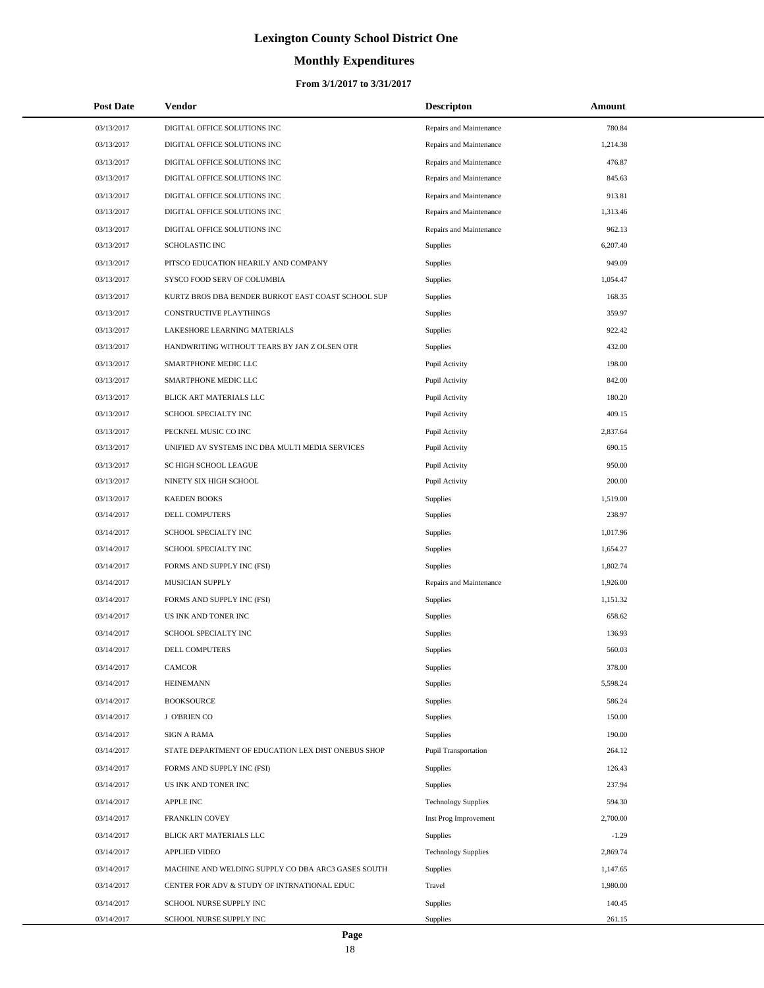# **Monthly Expenditures**

#### **From 3/1/2017 to 3/31/2017**

| <b>Post Date</b> | <b>Vendor</b>                                      | <b>Descripton</b>          | Amount   |
|------------------|----------------------------------------------------|----------------------------|----------|
| 03/13/2017       | DIGITAL OFFICE SOLUTIONS INC                       | Repairs and Maintenance    | 780.84   |
| 03/13/2017       | DIGITAL OFFICE SOLUTIONS INC                       | Repairs and Maintenance    | 1,214.38 |
| 03/13/2017       | DIGITAL OFFICE SOLUTIONS INC                       | Repairs and Maintenance    | 476.87   |
| 03/13/2017       | DIGITAL OFFICE SOLUTIONS INC                       | Repairs and Maintenance    | 845.63   |
| 03/13/2017       | DIGITAL OFFICE SOLUTIONS INC                       | Repairs and Maintenance    | 913.81   |
| 03/13/2017       | DIGITAL OFFICE SOLUTIONS INC                       | Repairs and Maintenance    | 1,313.46 |
| 03/13/2017       | DIGITAL OFFICE SOLUTIONS INC                       | Repairs and Maintenance    | 962.13   |
| 03/13/2017       | <b>SCHOLASTIC INC</b>                              | <b>Supplies</b>            | 6,207.40 |
| 03/13/2017       | PITSCO EDUCATION HEARILY AND COMPANY               | <b>Supplies</b>            | 949.09   |
| 03/13/2017       | SYSCO FOOD SERV OF COLUMBIA                        | <b>Supplies</b>            | 1,054.47 |
| 03/13/2017       | KURTZ BROS DBA BENDER BURKOT EAST COAST SCHOOL SUP | Supplies                   | 168.35   |
| 03/13/2017       | CONSTRUCTIVE PLAYTHINGS                            | <b>Supplies</b>            | 359.97   |
| 03/13/2017       | LAKESHORE LEARNING MATERIALS                       | <b>Supplies</b>            | 922.42   |
| 03/13/2017       | HANDWRITING WITHOUT TEARS BY JAN Z OLSEN OTR       | <b>Supplies</b>            | 432.00   |
| 03/13/2017       | SMARTPHONE MEDIC LLC                               | Pupil Activity             | 198.00   |
| 03/13/2017       | SMARTPHONE MEDIC LLC                               | Pupil Activity             | 842.00   |
| 03/13/2017       | BLICK ART MATERIALS LLC                            | Pupil Activity             | 180.20   |
| 03/13/2017       | SCHOOL SPECIALTY INC                               | Pupil Activity             | 409.15   |
| 03/13/2017       | PECKNEL MUSIC CO INC                               | Pupil Activity             | 2,837.64 |
| 03/13/2017       | UNIFIED AV SYSTEMS INC DBA MULTI MEDIA SERVICES    | Pupil Activity             | 690.15   |
| 03/13/2017       | SC HIGH SCHOOL LEAGUE                              | Pupil Activity             | 950.00   |
| 03/13/2017       | NINETY SIX HIGH SCHOOL                             | Pupil Activity             | 200.00   |
| 03/13/2017       | <b>KAEDEN BOOKS</b>                                | <b>Supplies</b>            | 1,519.00 |
| 03/14/2017       | DELL COMPUTERS                                     | <b>Supplies</b>            | 238.97   |
| 03/14/2017       | SCHOOL SPECIALTY INC                               | <b>Supplies</b>            | 1,017.96 |
| 03/14/2017       | SCHOOL SPECIALTY INC                               | Supplies                   | 1,654.27 |
| 03/14/2017       | FORMS AND SUPPLY INC (FSI)                         | <b>Supplies</b>            | 1,802.74 |
| 03/14/2017       | <b>MUSICIAN SUPPLY</b>                             | Repairs and Maintenance    | 1,926.00 |
| 03/14/2017       | FORMS AND SUPPLY INC (FSI)                         | <b>Supplies</b>            | 1,151.32 |
| 03/14/2017       | US INK AND TONER INC                               | Supplies                   | 658.62   |
| 03/14/2017       | SCHOOL SPECIALTY INC                               | Supplies                   | 136.93   |
| 03/14/2017       | <b>DELL COMPUTERS</b>                              | Supplies                   | 560.03   |
| 03/14/2017       | <b>CAMCOR</b>                                      | Supplies                   | 378.00   |
| 03/14/2017       | <b>HEINEMANN</b>                                   | Supplies                   | 5,598.24 |
| 03/14/2017       | <b>BOOKSOURCE</b>                                  | Supplies                   | 586.24   |
| 03/14/2017       | J O'BRIEN CO                                       | Supplies                   | 150.00   |
| 03/14/2017       | <b>SIGN A RAMA</b>                                 | Supplies                   | 190.00   |
| 03/14/2017       | STATE DEPARTMENT OF EDUCATION LEX DIST ONEBUS SHOP | Pupil Transportation       | 264.12   |
| 03/14/2017       | FORMS AND SUPPLY INC (FSI)                         | Supplies                   | 126.43   |
| 03/14/2017       | US INK AND TONER INC                               | Supplies                   | 237.94   |
| 03/14/2017       | APPLE INC                                          | <b>Technology Supplies</b> | 594.30   |
| 03/14/2017       | FRANKLIN COVEY                                     | Inst Prog Improvement      | 2,700.00 |
| 03/14/2017       | BLICK ART MATERIALS LLC                            | Supplies                   | $-1.29$  |
| 03/14/2017       | <b>APPLIED VIDEO</b>                               | <b>Technology Supplies</b> | 2,869.74 |
| 03/14/2017       | MACHINE AND WELDING SUPPLY CO DBA ARC3 GASES SOUTH | Supplies                   | 1,147.65 |
| 03/14/2017       | CENTER FOR ADV & STUDY OF INTRNATIONAL EDUC        | Travel                     | 1,980.00 |
| 03/14/2017       | SCHOOL NURSE SUPPLY INC                            | Supplies                   | 140.45   |
| 03/14/2017       | SCHOOL NURSE SUPPLY INC                            | Supplies                   | 261.15   |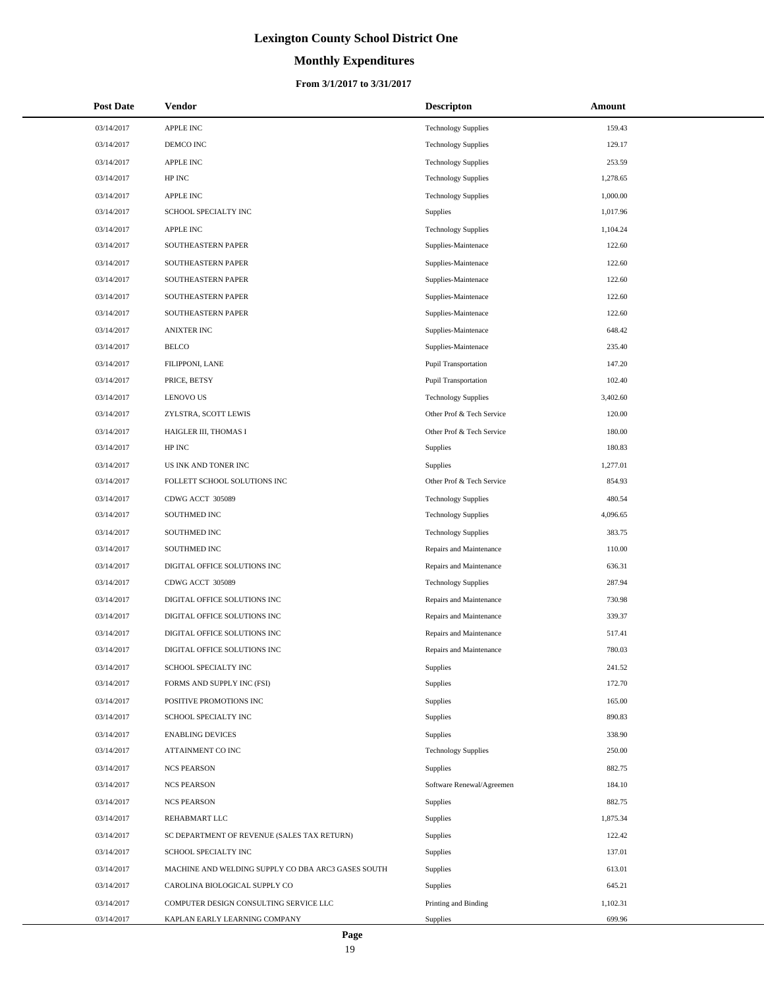# **Monthly Expenditures**

#### **From 3/1/2017 to 3/31/2017**

| <b>Post Date</b> | Vendor                                             | <b>Descripton</b>           | Amount   |
|------------------|----------------------------------------------------|-----------------------------|----------|
| 03/14/2017       | APPLE INC                                          | <b>Technology Supplies</b>  | 159.43   |
| 03/14/2017       | DEMCO INC                                          | <b>Technology Supplies</b>  | 129.17   |
| 03/14/2017       | APPLE INC                                          | <b>Technology Supplies</b>  | 253.59   |
| 03/14/2017       | ${\rm HP}$ INC                                     | <b>Technology Supplies</b>  | 1,278.65 |
| 03/14/2017       | APPLE INC                                          | <b>Technology Supplies</b>  | 1,000.00 |
| 03/14/2017       | SCHOOL SPECIALTY INC                               | Supplies                    | 1,017.96 |
| 03/14/2017       | APPLE INC                                          | <b>Technology Supplies</b>  | 1,104.24 |
| 03/14/2017       | SOUTHEASTERN PAPER                                 | Supplies-Maintenace         | 122.60   |
| 03/14/2017       | SOUTHEASTERN PAPER                                 | Supplies-Maintenace         | 122.60   |
| 03/14/2017       | SOUTHEASTERN PAPER                                 | Supplies-Maintenace         | 122.60   |
| 03/14/2017       | SOUTHEASTERN PAPER                                 | Supplies-Maintenace         | 122.60   |
| 03/14/2017       | SOUTHEASTERN PAPER                                 | Supplies-Maintenace         | 122.60   |
| 03/14/2017       | <b>ANIXTER INC</b>                                 | Supplies-Maintenace         | 648.42   |
| 03/14/2017       | <b>BELCO</b>                                       | Supplies-Maintenace         | 235.40   |
| 03/14/2017       | FILIPPONI, LANE                                    | <b>Pupil Transportation</b> | 147.20   |
| 03/14/2017       | PRICE, BETSY                                       | Pupil Transportation        | 102.40   |
| 03/14/2017       | <b>LENOVO US</b>                                   | <b>Technology Supplies</b>  | 3,402.60 |
| 03/14/2017       | ZYLSTRA, SCOTT LEWIS                               | Other Prof & Tech Service   | 120.00   |
| 03/14/2017       | HAIGLER III, THOMAS I                              | Other Prof & Tech Service   | 180.00   |
| 03/14/2017       | HP INC                                             | Supplies                    | 180.83   |
| 03/14/2017       | US INK AND TONER INC                               | Supplies                    | 1,277.01 |
| 03/14/2017       | FOLLETT SCHOOL SOLUTIONS INC                       | Other Prof & Tech Service   | 854.93   |
| 03/14/2017       | CDWG ACCT 305089                                   | <b>Technology Supplies</b>  | 480.54   |
| 03/14/2017       | SOUTHMED INC                                       | <b>Technology Supplies</b>  | 4,096.65 |
| 03/14/2017       | SOUTHMED INC                                       | <b>Technology Supplies</b>  | 383.75   |
| 03/14/2017       | SOUTHMED INC                                       | Repairs and Maintenance     | 110.00   |
| 03/14/2017       | DIGITAL OFFICE SOLUTIONS INC                       | Repairs and Maintenance     | 636.31   |
| 03/14/2017       | CDWG ACCT 305089                                   | <b>Technology Supplies</b>  | 287.94   |
| 03/14/2017       | DIGITAL OFFICE SOLUTIONS INC                       | Repairs and Maintenance     | 730.98   |
| 03/14/2017       | DIGITAL OFFICE SOLUTIONS INC                       | Repairs and Maintenance     | 339.37   |
| 03/14/2017       | DIGITAL OFFICE SOLUTIONS INC                       | Repairs and Maintenance     | 517.41   |
| 03/14/2017       | DIGITAL OFFICE SOLUTIONS INC                       | Repairs and Maintenance     | 780.03   |
| 03/14/2017       | SCHOOL SPECIALTY INC                               | Supplies                    | 241.52   |
| 03/14/2017       | FORMS AND SUPPLY INC (FSI)                         | Supplies                    | 172.70   |
| 03/14/2017       | POSITIVE PROMOTIONS INC                            | Supplies                    | 165.00   |
| 03/14/2017       | SCHOOL SPECIALTY INC                               | Supplies                    | 890.83   |
| 03/14/2017       | <b>ENABLING DEVICES</b>                            | Supplies                    | 338.90   |
| 03/14/2017       | ATTAINMENT CO INC                                  | <b>Technology Supplies</b>  | 250.00   |
| 03/14/2017       | <b>NCS PEARSON</b>                                 | Supplies                    | 882.75   |
| 03/14/2017       | <b>NCS PEARSON</b>                                 | Software Renewal/Agreemen   | 184.10   |
| 03/14/2017       | <b>NCS PEARSON</b>                                 | Supplies                    | 882.75   |
| 03/14/2017       | REHABMART LLC                                      | Supplies                    | 1,875.34 |
| 03/14/2017       | SC DEPARTMENT OF REVENUE (SALES TAX RETURN)        | Supplies                    | 122.42   |
| 03/14/2017       | SCHOOL SPECIALTY INC                               | Supplies                    | 137.01   |
| 03/14/2017       | MACHINE AND WELDING SUPPLY CO DBA ARC3 GASES SOUTH | Supplies                    | 613.01   |
| 03/14/2017       | CAROLINA BIOLOGICAL SUPPLY CO                      | Supplies                    | 645.21   |
| 03/14/2017       | COMPUTER DESIGN CONSULTING SERVICE LLC             | Printing and Binding        | 1,102.31 |
| 03/14/2017       | KAPLAN EARLY LEARNING COMPANY                      | Supplies                    | 699.96   |

 $\overline{a}$  $\overline{\phantom{a}}$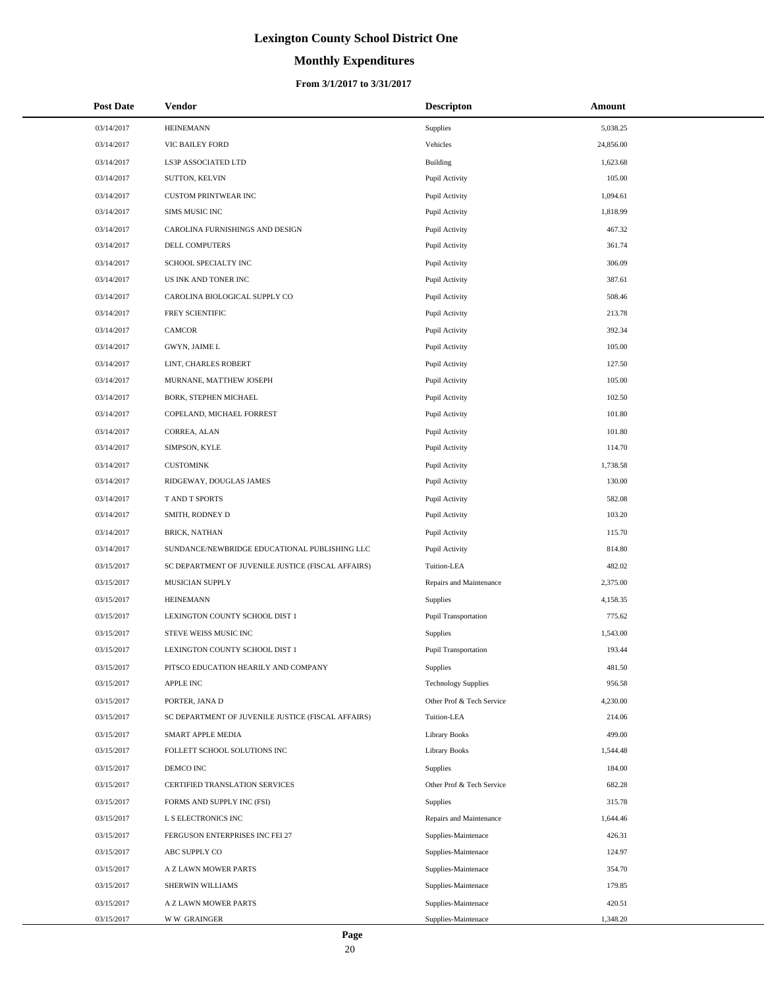# **Monthly Expenditures**

| <b>Post Date</b> | Vendor                                             | <b>Descripton</b>           | Amount    |
|------------------|----------------------------------------------------|-----------------------------|-----------|
| 03/14/2017       | <b>HEINEMANN</b>                                   | Supplies                    | 5,038.25  |
| 03/14/2017       | VIC BAILEY FORD                                    | Vehicles                    | 24,856.00 |
| 03/14/2017       | LS3P ASSOCIATED LTD                                | Building                    | 1,623.68  |
| 03/14/2017       | SUTTON, KELVIN                                     | Pupil Activity              | 105.00    |
| 03/14/2017       | <b>CUSTOM PRINTWEAR INC</b>                        | Pupil Activity              | 1,094.61  |
| 03/14/2017       | SIMS MUSIC INC                                     | Pupil Activity              | 1,818.99  |
| 03/14/2017       | CAROLINA FURNISHINGS AND DESIGN                    | Pupil Activity              | 467.32    |
| 03/14/2017       | <b>DELL COMPUTERS</b>                              | Pupil Activity              | 361.74    |
| 03/14/2017       | SCHOOL SPECIALTY INC                               | Pupil Activity              | 306.09    |
| 03/14/2017       | US INK AND TONER INC                               | Pupil Activity              | 387.61    |
| 03/14/2017       | CAROLINA BIOLOGICAL SUPPLY CO                      | Pupil Activity              | 508.46    |
| 03/14/2017       | FREY SCIENTIFIC                                    | Pupil Activity              | 213.78    |
| 03/14/2017       | <b>CAMCOR</b>                                      | Pupil Activity              | 392.34    |
| 03/14/2017       | GWYN, JAIME L                                      | Pupil Activity              | 105.00    |
| 03/14/2017       | LINT, CHARLES ROBERT                               | Pupil Activity              | 127.50    |
| 03/14/2017       | MURNANE, MATTHEW JOSEPH                            | Pupil Activity              | 105.00    |
| 03/14/2017       | BORK, STEPHEN MICHAEL                              | Pupil Activity              | 102.50    |
| 03/14/2017       | COPELAND, MICHAEL FORREST                          | Pupil Activity              | 101.80    |
| 03/14/2017       | CORREA, ALAN                                       | Pupil Activity              | 101.80    |
| 03/14/2017       | SIMPSON, KYLE                                      | Pupil Activity              | 114.70    |
| 03/14/2017       | <b>CUSTOMINK</b>                                   | Pupil Activity              | 1,738.58  |
| 03/14/2017       | RIDGEWAY, DOUGLAS JAMES                            | Pupil Activity              | 130.00    |
| 03/14/2017       | T AND T SPORTS                                     | Pupil Activity              | 582.08    |
| 03/14/2017       | SMITH, RODNEY D                                    | Pupil Activity              | 103.20    |
| 03/14/2017       | <b>BRICK, NATHAN</b>                               | Pupil Activity              | 115.70    |
| 03/14/2017       | SUNDANCE/NEWBRIDGE EDUCATIONAL PUBLISHING LLC      | Pupil Activity              | 814.80    |
| 03/15/2017       | SC DEPARTMENT OF JUVENILE JUSTICE (FISCAL AFFAIRS) | Tuition-LEA                 | 482.02    |
| 03/15/2017       | MUSICIAN SUPPLY                                    | Repairs and Maintenance     | 2,375.00  |
| 03/15/2017       | <b>HEINEMANN</b>                                   | <b>Supplies</b>             | 4,158.35  |
| 03/15/2017       | LEXINGTON COUNTY SCHOOL DIST 1                     | <b>Pupil Transportation</b> | 775.62    |
| 03/15/2017       | STEVE WEISS MUSIC INC                              | Supplies                    | 1,543.00  |
| 03/15/2017       | LEXINGTON COUNTY SCHOOL DIST 1                     | <b>Pupil Transportation</b> | 193.44    |
| 03/15/2017       | PITSCO EDUCATION HEARILY AND COMPANY               | Supplies                    | 481.50    |
| 03/15/2017       | APPLE INC                                          | <b>Technology Supplies</b>  | 956.58    |
| 03/15/2017       | PORTER, JANA D                                     | Other Prof & Tech Service   | 4,230.00  |
| 03/15/2017       | SC DEPARTMENT OF JUVENILE JUSTICE (FISCAL AFFAIRS) | Tuition-LEA                 | 214.06    |
| 03/15/2017       | SMART APPLE MEDIA                                  | <b>Library Books</b>        | 499.00    |
| 03/15/2017       | FOLLETT SCHOOL SOLUTIONS INC                       | <b>Library Books</b>        | 1,544.48  |
| 03/15/2017       | DEMCO INC                                          | Supplies                    | 184.00    |
| 03/15/2017       | CERTIFIED TRANSLATION SERVICES                     | Other Prof & Tech Service   | 682.28    |
| 03/15/2017       | FORMS AND SUPPLY INC (FSI)                         | <b>Supplies</b>             | 315.78    |
| 03/15/2017       | L S ELECTRONICS INC                                | Repairs and Maintenance     | 1,644.46  |
| 03/15/2017       | FERGUSON ENTERPRISES INC FEI 27                    | Supplies-Maintenace         | 426.31    |
| 03/15/2017       | ABC SUPPLY CO                                      | Supplies-Maintenace         | 124.97    |
| 03/15/2017       | A Z LAWN MOWER PARTS                               | Supplies-Maintenace         | 354.70    |
| 03/15/2017       | SHERWIN WILLIAMS                                   | Supplies-Maintenace         | 179.85    |
| 03/15/2017       | A Z LAWN MOWER PARTS                               | Supplies-Maintenace         | 420.51    |
| 03/15/2017       | <b>WW GRAINGER</b>                                 | Supplies-Maintenace         | 1,348.20  |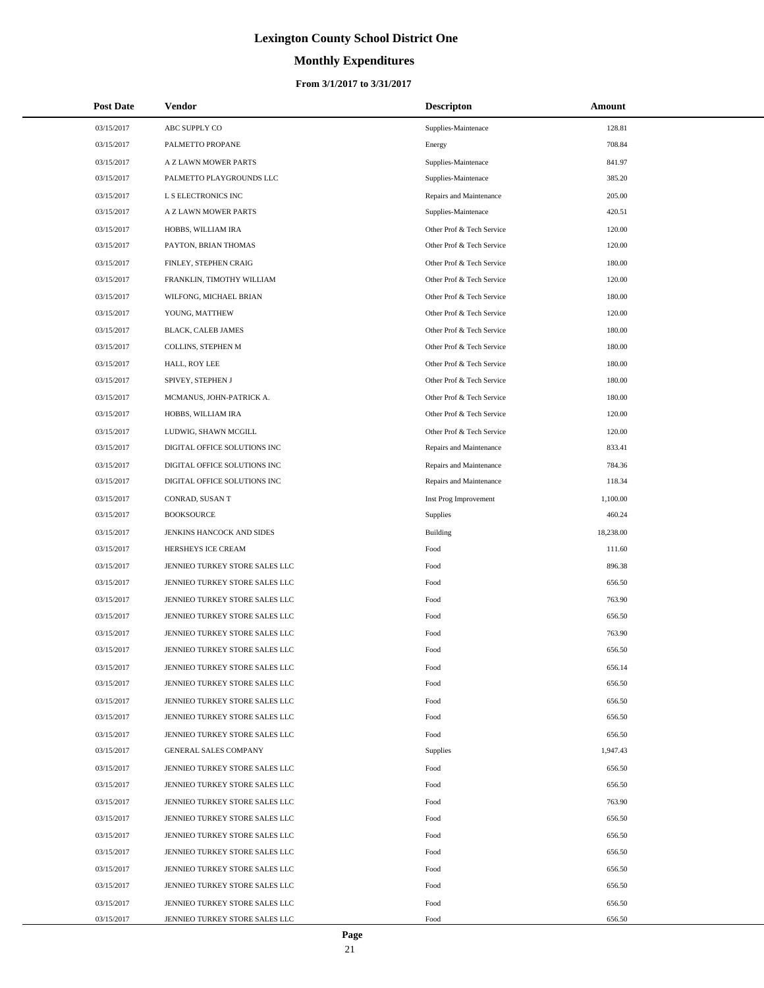# **Monthly Expenditures**

| <b>Post Date</b> | <b>Vendor</b>                  | <b>Descripton</b>         | Amount    |
|------------------|--------------------------------|---------------------------|-----------|
| 03/15/2017       | ABC SUPPLY CO                  | Supplies-Maintenace       | 128.81    |
| 03/15/2017       | PALMETTO PROPANE               | Energy                    | 708.84    |
| 03/15/2017       | A Z LAWN MOWER PARTS           | Supplies-Maintenace       | 841.97    |
| 03/15/2017       | PALMETTO PLAYGROUNDS LLC       | Supplies-Maintenace       | 385.20    |
| 03/15/2017       | L S ELECTRONICS INC            | Repairs and Maintenance   | 205.00    |
| 03/15/2017       | A Z LAWN MOWER PARTS           | Supplies-Maintenace       | 420.51    |
| 03/15/2017       | HOBBS, WILLIAM IRA             | Other Prof & Tech Service | 120.00    |
| 03/15/2017       | PAYTON, BRIAN THOMAS           | Other Prof & Tech Service | 120.00    |
| 03/15/2017       | FINLEY, STEPHEN CRAIG          | Other Prof & Tech Service | 180.00    |
| 03/15/2017       | FRANKLIN, TIMOTHY WILLIAM      | Other Prof & Tech Service | 120.00    |
| 03/15/2017       | WILFONG, MICHAEL BRIAN         | Other Prof & Tech Service | 180.00    |
| 03/15/2017       | YOUNG, MATTHEW                 | Other Prof & Tech Service | 120.00    |
| 03/15/2017       | BLACK, CALEB JAMES             | Other Prof & Tech Service | 180.00    |
| 03/15/2017       | COLLINS, STEPHEN M             | Other Prof & Tech Service | 180.00    |
| 03/15/2017       | HALL, ROY LEE                  | Other Prof & Tech Service | 180.00    |
| 03/15/2017       | SPIVEY, STEPHEN J              | Other Prof & Tech Service | 180.00    |
| 03/15/2017       | MCMANUS, JOHN-PATRICK A.       | Other Prof & Tech Service | 180.00    |
| 03/15/2017       | HOBBS, WILLIAM IRA             | Other Prof & Tech Service | 120.00    |
| 03/15/2017       | LUDWIG, SHAWN MCGILL           | Other Prof & Tech Service | 120.00    |
| 03/15/2017       | DIGITAL OFFICE SOLUTIONS INC   | Repairs and Maintenance   | 833.41    |
| 03/15/2017       | DIGITAL OFFICE SOLUTIONS INC   | Repairs and Maintenance   | 784.36    |
| 03/15/2017       | DIGITAL OFFICE SOLUTIONS INC   | Repairs and Maintenance   | 118.34    |
| 03/15/2017       | CONRAD, SUSAN T                | Inst Prog Improvement     | 1,100.00  |
| 03/15/2017       | <b>BOOKSOURCE</b>              | Supplies                  | 460.24    |
| 03/15/2017       | JENKINS HANCOCK AND SIDES      | Building                  | 18,238.00 |
| 03/15/2017       | HERSHEYS ICE CREAM             | Food                      | 111.60    |
| 03/15/2017       | JENNIEO TURKEY STORE SALES LLC | Food                      | 896.38    |
| 03/15/2017       | JENNIEO TURKEY STORE SALES LLC | Food                      | 656.50    |
| 03/15/2017       | JENNIEO TURKEY STORE SALES LLC | Food                      | 763.90    |
| 03/15/2017       | JENNIEO TURKEY STORE SALES LLC | Food                      | 656.50    |
| 03/15/2017       | JENNIEO TURKEY STORE SALES LLC | Food                      | 763.90    |
| 03/15/2017       | JENNIEO TURKEY STORE SALES LLC | Food                      | 656.50    |
| 03/15/2017       | JENNIEO TURKEY STORE SALES LLC | Food                      | 656.14    |
| 03/15/2017       | JENNIEO TURKEY STORE SALES LLC | Food                      | 656.50    |
| 03/15/2017       | JENNIEO TURKEY STORE SALES LLC | Food                      | 656.50    |
| 03/15/2017       | JENNIEO TURKEY STORE SALES LLC | Food                      | 656.50    |
| 03/15/2017       | JENNIEO TURKEY STORE SALES LLC | Food                      | 656.50    |
| 03/15/2017       | GENERAL SALES COMPANY          | Supplies                  | 1,947.43  |
| 03/15/2017       | JENNIEO TURKEY STORE SALES LLC | Food                      | 656.50    |
| 03/15/2017       | JENNIEO TURKEY STORE SALES LLC | Food                      | 656.50    |
| 03/15/2017       | JENNIEO TURKEY STORE SALES LLC | Food                      | 763.90    |
| 03/15/2017       | JENNIEO TURKEY STORE SALES LLC | Food                      | 656.50    |
| 03/15/2017       | JENNIEO TURKEY STORE SALES LLC | Food                      | 656.50    |
| 03/15/2017       | JENNIEO TURKEY STORE SALES LLC | Food                      | 656.50    |
| 03/15/2017       | JENNIEO TURKEY STORE SALES LLC | Food                      | 656.50    |
| 03/15/2017       | JENNIEO TURKEY STORE SALES LLC | Food                      | 656.50    |
| 03/15/2017       | JENNIEO TURKEY STORE SALES LLC | Food                      | 656.50    |
| 03/15/2017       | JENNIEO TURKEY STORE SALES LLC | Food                      | 656.50    |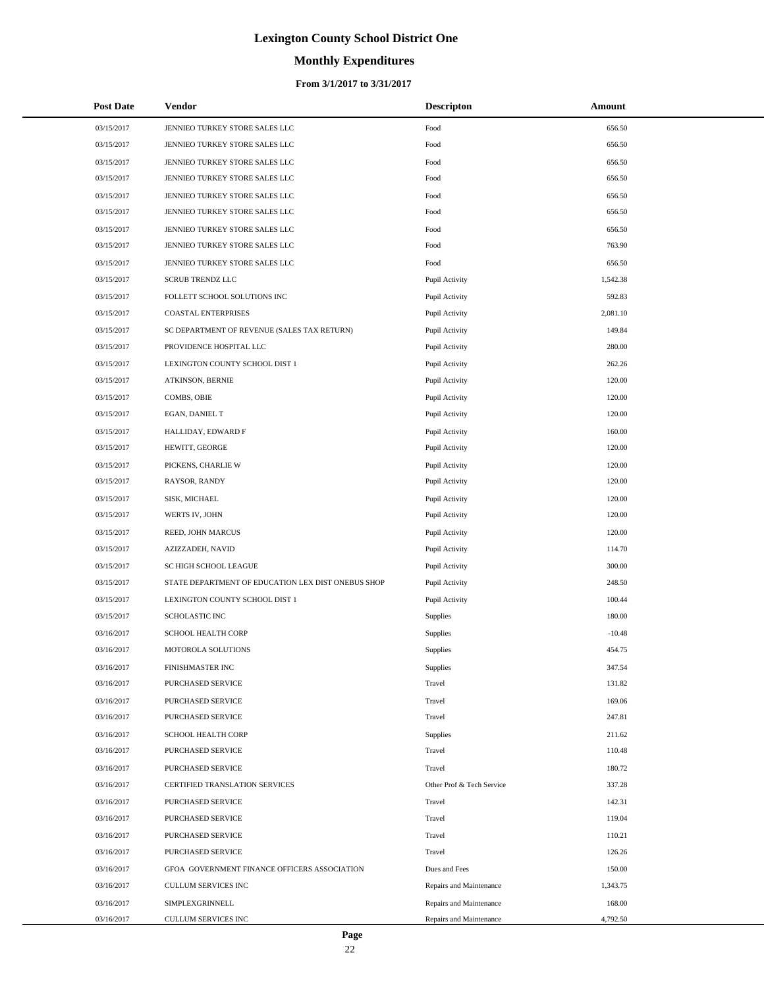# **Monthly Expenditures**

#### **From 3/1/2017 to 3/31/2017**

| <b>Post Date</b> | Vendor                                             | <b>Descripton</b>         | Amount   |
|------------------|----------------------------------------------------|---------------------------|----------|
| 03/15/2017       | JENNIEO TURKEY STORE SALES LLC                     | Food                      | 656.50   |
| 03/15/2017       | JENNIEO TURKEY STORE SALES LLC                     | Food                      | 656.50   |
| 03/15/2017       | JENNIEO TURKEY STORE SALES LLC                     | Food                      | 656.50   |
| 03/15/2017       | JENNIEO TURKEY STORE SALES LLC                     | Food                      | 656.50   |
| 03/15/2017       | JENNIEO TURKEY STORE SALES LLC                     | Food                      | 656.50   |
| 03/15/2017       | JENNIEO TURKEY STORE SALES LLC                     | Food                      | 656.50   |
| 03/15/2017       | JENNIEO TURKEY STORE SALES LLC                     | Food                      | 656.50   |
| 03/15/2017       | JENNIEO TURKEY STORE SALES LLC                     | Food                      | 763.90   |
| 03/15/2017       | JENNIEO TURKEY STORE SALES LLC                     | Food                      | 656.50   |
| 03/15/2017       | <b>SCRUB TRENDZ LLC</b>                            | Pupil Activity            | 1,542.38 |
| 03/15/2017       | FOLLETT SCHOOL SOLUTIONS INC                       | Pupil Activity            | 592.83   |
| 03/15/2017       | <b>COASTAL ENTERPRISES</b>                         | Pupil Activity            | 2,081.10 |
| 03/15/2017       | SC DEPARTMENT OF REVENUE (SALES TAX RETURN)        | Pupil Activity            | 149.84   |
| 03/15/2017       | PROVIDENCE HOSPITAL LLC                            | Pupil Activity            | 280.00   |
| 03/15/2017       | LEXINGTON COUNTY SCHOOL DIST 1                     | Pupil Activity            | 262.26   |
| 03/15/2017       | ATKINSON, BERNIE                                   | Pupil Activity            | 120.00   |
| 03/15/2017       | COMBS, OBIE                                        | Pupil Activity            | 120.00   |
| 03/15/2017       | EGAN, DANIEL T                                     | Pupil Activity            | 120.00   |
| 03/15/2017       | HALLIDAY, EDWARD F                                 | Pupil Activity            | 160.00   |
| 03/15/2017       | HEWITT, GEORGE                                     | Pupil Activity            | 120.00   |
| 03/15/2017       | PICKENS, CHARLIE W                                 | Pupil Activity            | 120.00   |
| 03/15/2017       | RAYSOR, RANDY                                      | Pupil Activity            | 120.00   |
| 03/15/2017       | SISK, MICHAEL                                      | Pupil Activity            | 120.00   |
| 03/15/2017       | WERTS IV, JOHN                                     | Pupil Activity            | 120.00   |
| 03/15/2017       | REED, JOHN MARCUS                                  | Pupil Activity            | 120.00   |
| 03/15/2017       | AZIZZADEH, NAVID                                   | Pupil Activity            | 114.70   |
| 03/15/2017       | SC HIGH SCHOOL LEAGUE                              | Pupil Activity            | 300.00   |
| 03/15/2017       | STATE DEPARTMENT OF EDUCATION LEX DIST ONEBUS SHOP | Pupil Activity            | 248.50   |
| 03/15/2017       | LEXINGTON COUNTY SCHOOL DIST 1                     | Pupil Activity            | 100.44   |
| 03/15/2017       | SCHOLASTIC INC                                     | Supplies                  | 180.00   |
| 03/16/2017       | SCHOOL HEALTH CORP                                 | Supplies                  | $-10.48$ |
| 03/16/2017       | MOTOROLA SOLUTIONS                                 | Supplies                  | 454.75   |
| 03/16/2017       | FINISHMASTER INC                                   | Supplies                  | 347.54   |
| 03/16/2017       | PURCHASED SERVICE                                  | Travel                    | 131.82   |
| 03/16/2017       | PURCHASED SERVICE                                  | Travel                    | 169.06   |
| 03/16/2017       | PURCHASED SERVICE                                  | Travel                    | 247.81   |
| 03/16/2017       | SCHOOL HEALTH CORP                                 | Supplies                  | 211.62   |
| 03/16/2017       | PURCHASED SERVICE                                  | Travel                    | 110.48   |
| 03/16/2017       | PURCHASED SERVICE                                  | Travel                    | 180.72   |
| 03/16/2017       | CERTIFIED TRANSLATION SERVICES                     | Other Prof & Tech Service | 337.28   |
| 03/16/2017       | PURCHASED SERVICE                                  | Travel                    | 142.31   |
| 03/16/2017       | PURCHASED SERVICE                                  | Travel                    | 119.04   |
| 03/16/2017       | PURCHASED SERVICE                                  | Travel                    | 110.21   |
| 03/16/2017       | PURCHASED SERVICE                                  | Travel                    | 126.26   |
| 03/16/2017       | GFOA GOVERNMENT FINANCE OFFICERS ASSOCIATION       | Dues and Fees             | 150.00   |
| 03/16/2017       | CULLUM SERVICES INC                                | Repairs and Maintenance   | 1,343.75 |
| 03/16/2017       | SIMPLEXGRINNELL                                    | Repairs and Maintenance   | 168.00   |
| 03/16/2017       | CULLUM SERVICES INC                                | Repairs and Maintenance   | 4,792.50 |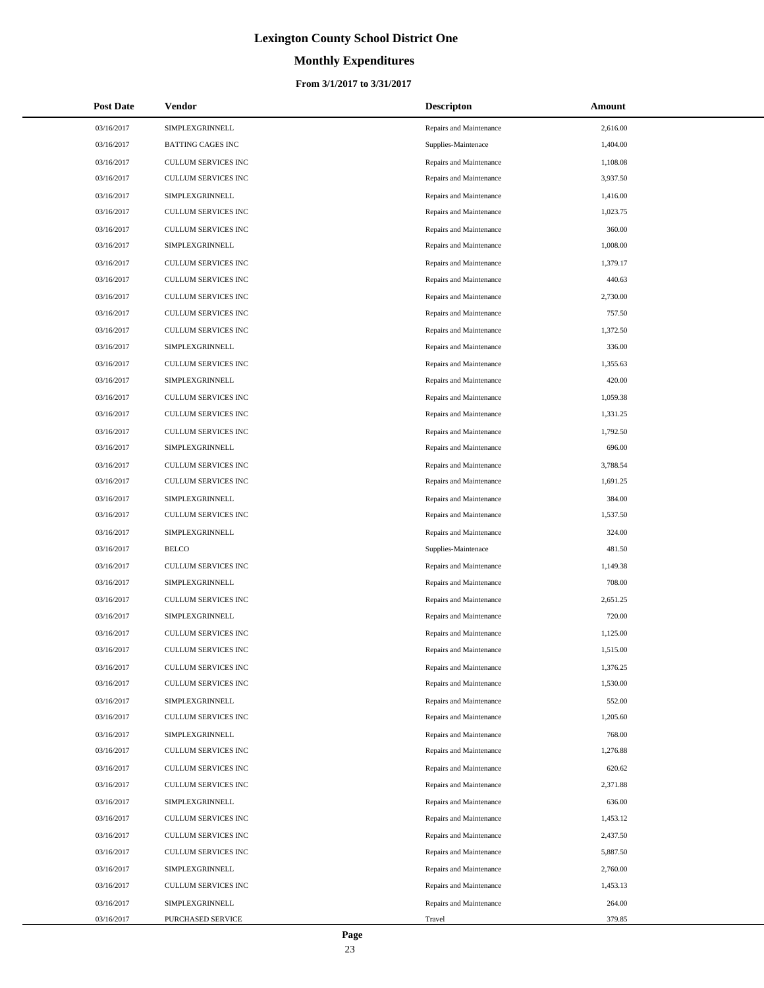# **Monthly Expenditures**

| <b>Post Date</b> | <b>Vendor</b>              | <b>Descripton</b>       | Amount   |
|------------------|----------------------------|-------------------------|----------|
| 03/16/2017       | SIMPLEXGRINNELL            | Repairs and Maintenance | 2,616.00 |
| 03/16/2017       | <b>BATTING CAGES INC</b>   | Supplies-Maintenace     | 1,404.00 |
| 03/16/2017       | CULLUM SERVICES INC        | Repairs and Maintenance | 1,108.08 |
| 03/16/2017       | CULLUM SERVICES INC        | Repairs and Maintenance | 3,937.50 |
| 03/16/2017       | SIMPLEXGRINNELL            | Repairs and Maintenance | 1,416.00 |
| 03/16/2017       | CULLUM SERVICES INC        | Repairs and Maintenance | 1,023.75 |
| 03/16/2017       | CULLUM SERVICES INC        | Repairs and Maintenance | 360.00   |
| 03/16/2017       | SIMPLEXGRINNELL            | Repairs and Maintenance | 1,008.00 |
| 03/16/2017       | CULLUM SERVICES INC        | Repairs and Maintenance | 1,379.17 |
| 03/16/2017       | CULLUM SERVICES INC        | Repairs and Maintenance | 440.63   |
| 03/16/2017       | CULLUM SERVICES INC        | Repairs and Maintenance | 2,730.00 |
| 03/16/2017       | CULLUM SERVICES INC        | Repairs and Maintenance | 757.50   |
| 03/16/2017       | CULLUM SERVICES INC        | Repairs and Maintenance | 1,372.50 |
| 03/16/2017       | SIMPLEXGRINNELL            | Repairs and Maintenance | 336.00   |
| 03/16/2017       | CULLUM SERVICES INC        | Repairs and Maintenance | 1,355.63 |
| 03/16/2017       | SIMPLEXGRINNELL            | Repairs and Maintenance | 420.00   |
| 03/16/2017       | CULLUM SERVICES INC        | Repairs and Maintenance | 1,059.38 |
| 03/16/2017       | CULLUM SERVICES INC        | Repairs and Maintenance | 1,331.25 |
| 03/16/2017       | CULLUM SERVICES INC        | Repairs and Maintenance | 1,792.50 |
| 03/16/2017       | SIMPLEXGRINNELL            | Repairs and Maintenance | 696.00   |
| 03/16/2017       | CULLUM SERVICES INC        | Repairs and Maintenance | 3,788.54 |
| 03/16/2017       | CULLUM SERVICES INC        | Repairs and Maintenance | 1,691.25 |
| 03/16/2017       | SIMPLEXGRINNELL            | Repairs and Maintenance | 384.00   |
| 03/16/2017       | CULLUM SERVICES INC        | Repairs and Maintenance | 1,537.50 |
| 03/16/2017       | SIMPLEXGRINNELL            | Repairs and Maintenance | 324.00   |
| 03/16/2017       | <b>BELCO</b>               | Supplies-Maintenace     | 481.50   |
| 03/16/2017       | CULLUM SERVICES INC        | Repairs and Maintenance | 1,149.38 |
| 03/16/2017       | <b>SIMPLEXGRINNELL</b>     | Repairs and Maintenance | 708.00   |
| 03/16/2017       | <b>CULLUM SERVICES INC</b> | Repairs and Maintenance | 2,651.25 |
| 03/16/2017       | SIMPLEXGRINNELL            | Repairs and Maintenance | 720.00   |
| 03/16/2017       | <b>CULLUM SERVICES INC</b> | Repairs and Maintenance | 1,125.00 |
| 03/16/2017       | CULLUM SERVICES INC        | Repairs and Maintenance | 1,515.00 |
| 03/16/2017       | CULLUM SERVICES INC        | Repairs and Maintenance | 1,376.25 |
| 03/16/2017       | CULLUM SERVICES INC        | Repairs and Maintenance | 1,530.00 |
| 03/16/2017       | SIMPLEXGRINNELL            | Repairs and Maintenance | 552.00   |
| 03/16/2017       | CULLUM SERVICES INC        | Repairs and Maintenance | 1,205.60 |
| 03/16/2017       | SIMPLEXGRINNELL            | Repairs and Maintenance | 768.00   |
| 03/16/2017       | CULLUM SERVICES INC        | Repairs and Maintenance | 1,276.88 |
| 03/16/2017       | CULLUM SERVICES INC        | Repairs and Maintenance | 620.62   |
| 03/16/2017       | CULLUM SERVICES INC        | Repairs and Maintenance | 2,371.88 |
| 03/16/2017       | SIMPLEXGRINNELL            | Repairs and Maintenance | 636.00   |
| 03/16/2017       | CULLUM SERVICES INC        | Repairs and Maintenance | 1,453.12 |
| 03/16/2017       | CULLUM SERVICES INC        | Repairs and Maintenance | 2,437.50 |
| 03/16/2017       | CULLUM SERVICES INC        | Repairs and Maintenance | 5,887.50 |
| 03/16/2017       | SIMPLEXGRINNELL            | Repairs and Maintenance | 2,760.00 |
| 03/16/2017       | CULLUM SERVICES INC        | Repairs and Maintenance | 1,453.13 |
| 03/16/2017       | SIMPLEXGRINNELL            | Repairs and Maintenance | 264.00   |
| 03/16/2017       | PURCHASED SERVICE          | Travel                  | 379.85   |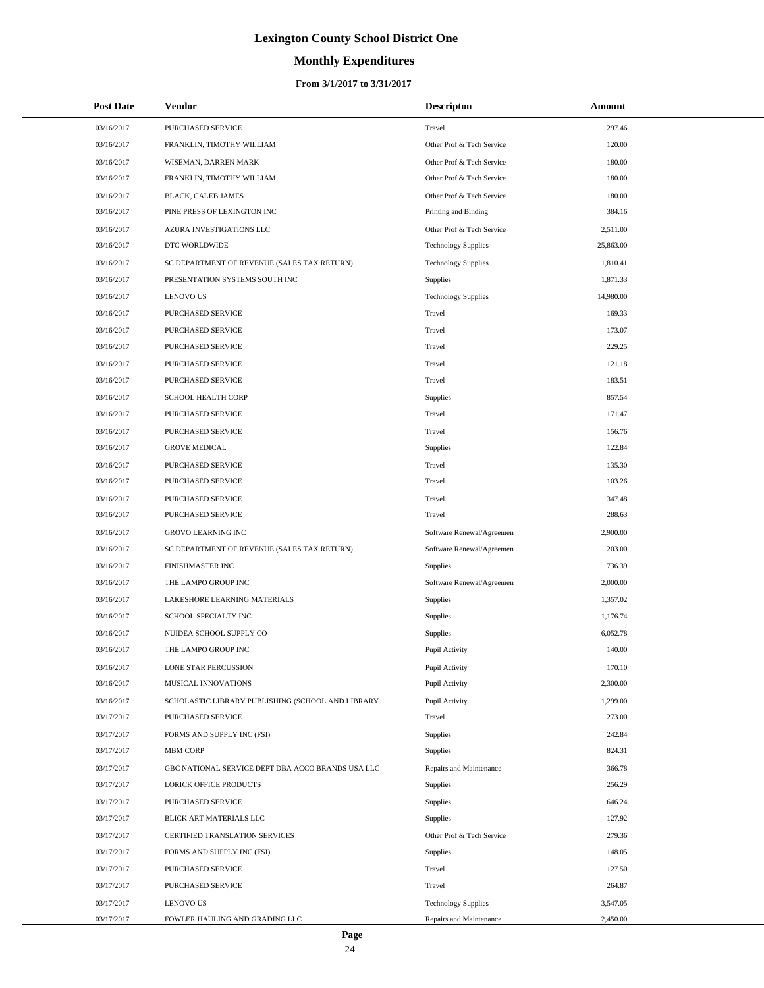# **Monthly Expenditures**

#### **From 3/1/2017 to 3/31/2017**

| <b>Post Date</b> | Vendor                                            | <b>Descripton</b>          | Amount    |
|------------------|---------------------------------------------------|----------------------------|-----------|
| 03/16/2017       | PURCHASED SERVICE                                 | Travel                     | 297.46    |
| 03/16/2017       | FRANKLIN, TIMOTHY WILLIAM                         | Other Prof & Tech Service  | 120.00    |
| 03/16/2017       | WISEMAN, DARREN MARK                              | Other Prof & Tech Service  | 180.00    |
| 03/16/2017       | FRANKLIN, TIMOTHY WILLIAM                         | Other Prof & Tech Service  | 180.00    |
| 03/16/2017       | BLACK, CALEB JAMES                                | Other Prof & Tech Service  | 180.00    |
| 03/16/2017       | PINE PRESS OF LEXINGTON INC                       | Printing and Binding       | 384.16    |
| 03/16/2017       | AZURA INVESTIGATIONS LLC                          | Other Prof & Tech Service  | 2,511.00  |
| 03/16/2017       | DTC WORLDWIDE                                     | <b>Technology Supplies</b> | 25,863.00 |
| 03/16/2017       | SC DEPARTMENT OF REVENUE (SALES TAX RETURN)       | <b>Technology Supplies</b> | 1,810.41  |
| 03/16/2017       | PRESENTATION SYSTEMS SOUTH INC                    | Supplies                   | 1,871.33  |
| 03/16/2017       | <b>LENOVO US</b>                                  | <b>Technology Supplies</b> | 14,980.00 |
| 03/16/2017       | PURCHASED SERVICE                                 | Travel                     | 169.33    |
| 03/16/2017       | PURCHASED SERVICE                                 | Travel                     | 173.07    |
| 03/16/2017       | PURCHASED SERVICE                                 | Travel                     | 229.25    |
| 03/16/2017       | PURCHASED SERVICE                                 | Travel                     | 121.18    |
| 03/16/2017       | PURCHASED SERVICE                                 | Travel                     | 183.51    |
| 03/16/2017       | <b>SCHOOL HEALTH CORP</b>                         | Supplies                   | 857.54    |
| 03/16/2017       | PURCHASED SERVICE                                 | Travel                     | 171.47    |
| 03/16/2017       | PURCHASED SERVICE                                 | Travel                     | 156.76    |
| 03/16/2017       | <b>GROVE MEDICAL</b>                              | Supplies                   | 122.84    |
| 03/16/2017       | PURCHASED SERVICE                                 | Travel                     | 135.30    |
| 03/16/2017       | PURCHASED SERVICE                                 | Travel                     | 103.26    |
| 03/16/2017       | PURCHASED SERVICE                                 | Travel                     | 347.48    |
| 03/16/2017       | PURCHASED SERVICE                                 | Travel                     | 288.63    |
| 03/16/2017       | GROVO LEARNING INC                                | Software Renewal/Agreemen  | 2,900.00  |
| 03/16/2017       | SC DEPARTMENT OF REVENUE (SALES TAX RETURN)       | Software Renewal/Agreemen  | 203.00    |
| 03/16/2017       | FINISHMASTER INC                                  | Supplies                   | 736.39    |
| 03/16/2017       | THE LAMPO GROUP INC                               | Software Renewal/Agreemen  | 2,000.00  |
| 03/16/2017       | LAKESHORE LEARNING MATERIALS                      | Supplies                   | 1,357.02  |
| 03/16/2017       | SCHOOL SPECIALTY INC                              | Supplies                   | 1,176.74  |
| 03/16/2017       | NUIDEA SCHOOL SUPPLY CO                           | Supplies                   | 6,052.78  |
| 03/16/2017       | THE LAMPO GROUP INC                               | Pupil Activity             | 140.00    |
| 03/16/2017       | <b>LONE STAR PERCUSSION</b>                       | Pupil Activity             | 170.10    |
| 03/16/2017       | MUSICAL INNOVATIONS                               | Pupil Activity             | 2,300.00  |
| 03/16/2017       | SCHOLASTIC LIBRARY PUBLISHING (SCHOOL AND LIBRARY | Pupil Activity             | 1,299.00  |
| 03/17/2017       | PURCHASED SERVICE                                 | Travel                     | 273.00    |
| 03/17/2017       | FORMS AND SUPPLY INC (FSI)                        | Supplies                   | 242.84    |
| 03/17/2017       | <b>MBM CORP</b>                                   | Supplies                   | 824.31    |
| 03/17/2017       | GBC NATIONAL SERVICE DEPT DBA ACCO BRANDS USA LLC | Repairs and Maintenance    | 366.78    |
| 03/17/2017       | LORICK OFFICE PRODUCTS                            | Supplies                   | 256.29    |
| 03/17/2017       | PURCHASED SERVICE                                 | Supplies                   | 646.24    |
| 03/17/2017       | BLICK ART MATERIALS LLC                           | Supplies                   | 127.92    |
| 03/17/2017       | CERTIFIED TRANSLATION SERVICES                    | Other Prof & Tech Service  | 279.36    |
| 03/17/2017       | FORMS AND SUPPLY INC (FSI)                        | Supplies                   | 148.05    |
| 03/17/2017       | PURCHASED SERVICE                                 | Travel                     | 127.50    |
| 03/17/2017       | PURCHASED SERVICE                                 | Travel                     | 264.87    |
| 03/17/2017       | <b>LENOVO US</b>                                  | <b>Technology Supplies</b> | 3,547.05  |
| 03/17/2017       | FOWLER HAULING AND GRADING LLC                    | Repairs and Maintenance    | 2,450.00  |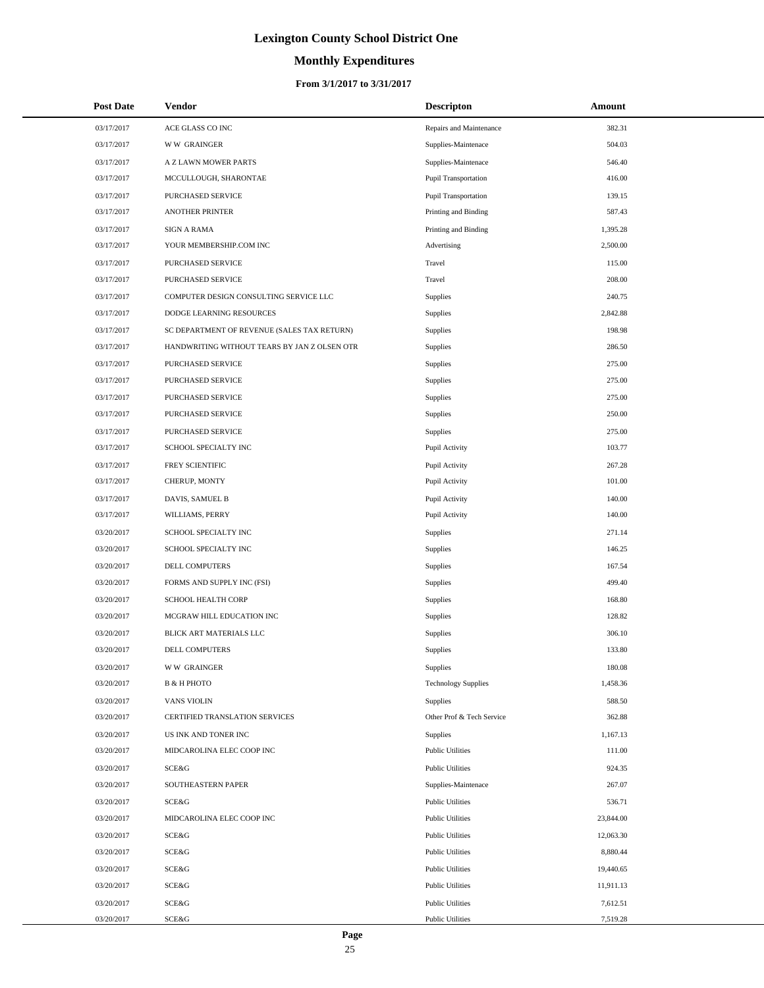# **Monthly Expenditures**

#### **From 3/1/2017 to 3/31/2017**

| <b>Post Date</b> | Vendor                                       | <b>Descripton</b>           | Amount    |
|------------------|----------------------------------------------|-----------------------------|-----------|
| 03/17/2017       | ACE GLASS CO INC                             | Repairs and Maintenance     | 382.31    |
| 03/17/2017       | <b>WW GRAINGER</b>                           | Supplies-Maintenace         | 504.03    |
| 03/17/2017       | A Z LAWN MOWER PARTS                         | Supplies-Maintenace         | 546.40    |
| 03/17/2017       | MCCULLOUGH, SHARONTAE                        | <b>Pupil Transportation</b> | 416.00    |
| 03/17/2017       | PURCHASED SERVICE                            | <b>Pupil Transportation</b> | 139.15    |
| 03/17/2017       | ANOTHER PRINTER                              | Printing and Binding        | 587.43    |
| 03/17/2017       | <b>SIGN A RAMA</b>                           | Printing and Binding        | 1,395.28  |
| 03/17/2017       | YOUR MEMBERSHIP.COM INC                      | Advertising                 | 2,500.00  |
| 03/17/2017       | PURCHASED SERVICE                            | Travel                      | 115.00    |
| 03/17/2017       | PURCHASED SERVICE                            | Travel                      | 208.00    |
| 03/17/2017       | COMPUTER DESIGN CONSULTING SERVICE LLC       | <b>Supplies</b>             | 240.75    |
| 03/17/2017       | DODGE LEARNING RESOURCES                     | <b>Supplies</b>             | 2,842.88  |
| 03/17/2017       | SC DEPARTMENT OF REVENUE (SALES TAX RETURN)  | <b>Supplies</b>             | 198.98    |
| 03/17/2017       | HANDWRITING WITHOUT TEARS BY JAN Z OLSEN OTR | <b>Supplies</b>             | 286.50    |
| 03/17/2017       | PURCHASED SERVICE                            | <b>Supplies</b>             | 275.00    |
| 03/17/2017       | PURCHASED SERVICE                            | <b>Supplies</b>             | 275.00    |
| 03/17/2017       | PURCHASED SERVICE                            | <b>Supplies</b>             | 275.00    |
| 03/17/2017       | PURCHASED SERVICE                            | <b>Supplies</b>             | 250.00    |
| 03/17/2017       | PURCHASED SERVICE                            | <b>Supplies</b>             | 275.00    |
| 03/17/2017       | SCHOOL SPECIALTY INC                         | Pupil Activity              | 103.77    |
| 03/17/2017       | FREY SCIENTIFIC                              | Pupil Activity              | 267.28    |
| 03/17/2017       | CHERUP, MONTY                                | Pupil Activity              | 101.00    |
| 03/17/2017       | DAVIS, SAMUEL B                              | Pupil Activity              | 140.00    |
| 03/17/2017       | WILLIAMS, PERRY                              | Pupil Activity              | 140.00    |
| 03/20/2017       | SCHOOL SPECIALTY INC                         | <b>Supplies</b>             | 271.14    |
| 03/20/2017       | SCHOOL SPECIALTY INC                         | <b>Supplies</b>             | 146.25    |
| 03/20/2017       | DELL COMPUTERS                               | <b>Supplies</b>             | 167.54    |
| 03/20/2017       | FORMS AND SUPPLY INC (FSI)                   | <b>Supplies</b>             | 499.40    |
| 03/20/2017       | <b>SCHOOL HEALTH CORP</b>                    | <b>Supplies</b>             | 168.80    |
| 03/20/2017       | MCGRAW HILL EDUCATION INC                    | <b>Supplies</b>             | 128.82    |
| 03/20/2017       | BLICK ART MATERIALS LLC                      | <b>Supplies</b>             | 306.10    |
| 03/20/2017       | DELL COMPUTERS                               | <b>Supplies</b>             | 133.80    |
| 03/20/2017       | <b>WW GRAINGER</b>                           | <b>Supplies</b>             | 180.08    |
| 03/20/2017       | <b>B &amp; H PHOTO</b>                       | <b>Technology Supplies</b>  | 1,458.36  |
| 03/20/2017       | <b>VANS VIOLIN</b>                           | Supplies                    | 588.50    |
| 03/20/2017       | CERTIFIED TRANSLATION SERVICES               | Other Prof & Tech Service   | 362.88    |
| 03/20/2017       | US INK AND TONER INC                         | Supplies                    | 1,167.13  |
| 03/20/2017       | MIDCAROLINA ELEC COOP INC                    | <b>Public Utilities</b>     | 111.00    |
| 03/20/2017       | SCE&G                                        | <b>Public Utilities</b>     | 924.35    |
| 03/20/2017       | SOUTHEASTERN PAPER                           | Supplies-Maintenace         | 267.07    |
| 03/20/2017       | <b>SCE&amp;G</b>                             | <b>Public Utilities</b>     | 536.71    |
| 03/20/2017       | MIDCAROLINA ELEC COOP INC                    | <b>Public Utilities</b>     | 23,844.00 |
| 03/20/2017       | <b>SCE&amp;G</b>                             | <b>Public Utilities</b>     | 12,063.30 |
| 03/20/2017       | <b>SCE&amp;G</b>                             | <b>Public Utilities</b>     | 8,880.44  |
| 03/20/2017       | <b>SCE&amp;G</b>                             | <b>Public Utilities</b>     | 19,440.65 |
| 03/20/2017       | SCE&G                                        | <b>Public Utilities</b>     | 11,911.13 |
| 03/20/2017       | <b>SCE&amp;G</b>                             | <b>Public Utilities</b>     | 7,612.51  |
| 03/20/2017       | SCE&G                                        | <b>Public Utilities</b>     | 7,519.28  |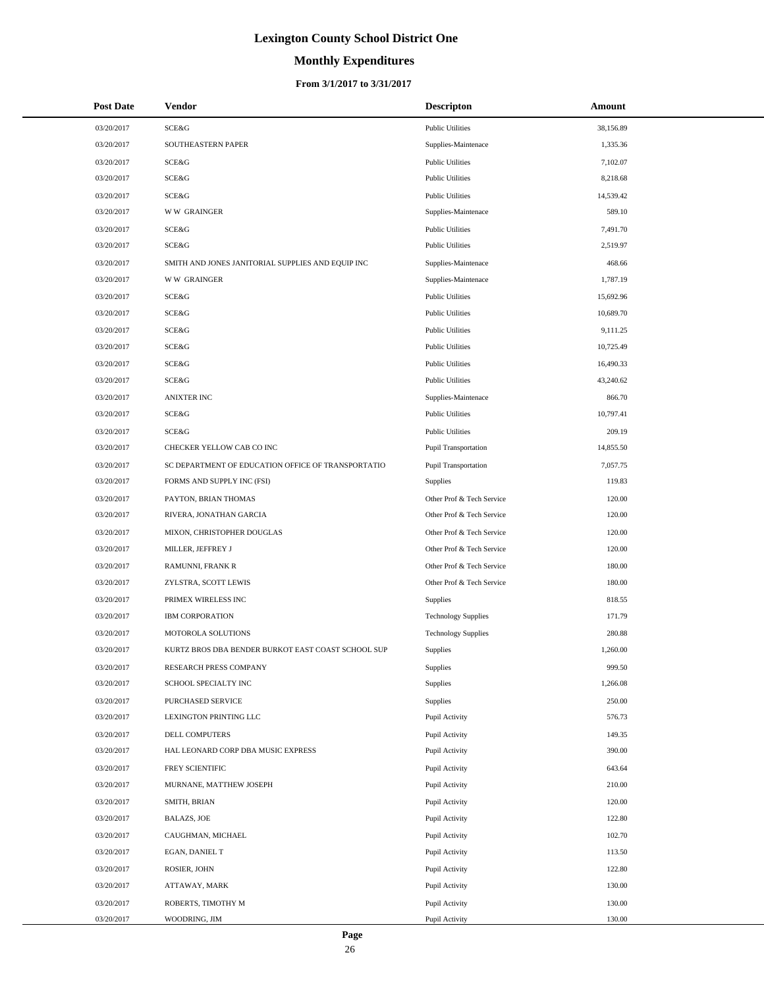# **Monthly Expenditures**

#### **From 3/1/2017 to 3/31/2017**

| <b>Post Date</b> | Vendor                                             | <b>Descripton</b>           | Amount    |
|------------------|----------------------------------------------------|-----------------------------|-----------|
| 03/20/2017       | <b>SCE&amp;G</b>                                   | <b>Public Utilities</b>     | 38,156.89 |
| 03/20/2017       | SOUTHEASTERN PAPER                                 | Supplies-Maintenace         | 1,335.36  |
| 03/20/2017       | SCE&G                                              | <b>Public Utilities</b>     | 7,102.07  |
| 03/20/2017       | SCE&G                                              | <b>Public Utilities</b>     | 8,218.68  |
| 03/20/2017       | SCE&G                                              | <b>Public Utilities</b>     | 14,539.42 |
| 03/20/2017       | <b>WW GRAINGER</b>                                 | Supplies-Maintenace         | 589.10    |
| 03/20/2017       | SCE&G                                              | <b>Public Utilities</b>     | 7,491.70  |
| 03/20/2017       | SCE&G                                              | <b>Public Utilities</b>     | 2,519.97  |
| 03/20/2017       | SMITH AND JONES JANITORIAL SUPPLIES AND EQUIP INC  | Supplies-Maintenace         | 468.66    |
| 03/20/2017       | <b>WW GRAINGER</b>                                 | Supplies-Maintenace         | 1,787.19  |
| 03/20/2017       | <b>SCE&amp;G</b>                                   | <b>Public Utilities</b>     | 15,692.96 |
| 03/20/2017       | SCE&G                                              | <b>Public Utilities</b>     | 10,689.70 |
| 03/20/2017       | SCE&G                                              | <b>Public Utilities</b>     | 9,111.25  |
| 03/20/2017       | <b>SCE&amp;G</b>                                   | <b>Public Utilities</b>     | 10,725.49 |
| 03/20/2017       | SCE&G                                              | <b>Public Utilities</b>     | 16,490.33 |
| 03/20/2017       | SCE&G                                              | <b>Public Utilities</b>     | 43,240.62 |
| 03/20/2017       | <b>ANIXTER INC</b>                                 | Supplies-Maintenace         | 866.70    |
| 03/20/2017       | <b>SCE&amp;G</b>                                   | <b>Public Utilities</b>     | 10,797.41 |
| 03/20/2017       | <b>SCE&amp;G</b>                                   | <b>Public Utilities</b>     | 209.19    |
| 03/20/2017       | CHECKER YELLOW CAB CO INC                          | <b>Pupil Transportation</b> | 14,855.50 |
| 03/20/2017       | SC DEPARTMENT OF EDUCATION OFFICE OF TRANSPORTATIO | Pupil Transportation        | 7,057.75  |
| 03/20/2017       | FORMS AND SUPPLY INC (FSI)                         | Supplies                    | 119.83    |
| 03/20/2017       | PAYTON, BRIAN THOMAS                               | Other Prof & Tech Service   | 120.00    |
| 03/20/2017       | RIVERA, JONATHAN GARCIA                            | Other Prof & Tech Service   | 120.00    |
| 03/20/2017       | MIXON, CHRISTOPHER DOUGLAS                         | Other Prof & Tech Service   | 120.00    |
| 03/20/2017       | MILLER, JEFFREY J                                  | Other Prof & Tech Service   | 120.00    |
| 03/20/2017       | RAMUNNI, FRANK R                                   | Other Prof & Tech Service   | 180.00    |
| 03/20/2017       | ZYLSTRA, SCOTT LEWIS                               | Other Prof & Tech Service   | 180.00    |
| 03/20/2017       | PRIMEX WIRELESS INC                                | Supplies                    | 818.55    |
| 03/20/2017       | <b>IBM CORPORATION</b>                             | <b>Technology Supplies</b>  | 171.79    |
| 03/20/2017       | MOTOROLA SOLUTIONS                                 | <b>Technology Supplies</b>  | 280.88    |
| 03/20/2017       | KURTZ BROS DBA BENDER BURKOT EAST COAST SCHOOL SUP | Supplies                    | 1,260.00  |
| 03/20/2017       | RESEARCH PRESS COMPANY                             | Supplies                    | 999.50    |
| 03/20/2017       | SCHOOL SPECIALTY INC                               | Supplies                    | 1,266.08  |
| 03/20/2017       | PURCHASED SERVICE                                  | Supplies                    | 250.00    |
| 03/20/2017       | LEXINGTON PRINTING LLC                             | Pupil Activity              | 576.73    |
| 03/20/2017       | DELL COMPUTERS                                     | Pupil Activity              | 149.35    |
| 03/20/2017       | HAL LEONARD CORP DBA MUSIC EXPRESS                 | Pupil Activity              | 390.00    |
| 03/20/2017       | FREY SCIENTIFIC                                    | Pupil Activity              | 643.64    |
| 03/20/2017       | MURNANE, MATTHEW JOSEPH                            | Pupil Activity              | 210.00    |
| 03/20/2017       | SMITH, BRIAN                                       | Pupil Activity              | 120.00    |
| 03/20/2017       | <b>BALAZS, JOE</b>                                 | Pupil Activity              | 122.80    |
| 03/20/2017       | CAUGHMAN, MICHAEL                                  | Pupil Activity              | 102.70    |
| 03/20/2017       | EGAN, DANIEL T                                     | Pupil Activity              | 113.50    |
| 03/20/2017       | ROSIER, JOHN                                       | Pupil Activity              | 122.80    |
| 03/20/2017       | ATTAWAY, MARK                                      | Pupil Activity              | 130.00    |
| 03/20/2017       | ROBERTS, TIMOTHY M                                 | Pupil Activity              | 130.00    |
| 03/20/2017       | WOODRING, JIM                                      | Pupil Activity              | 130.00    |

 $\overline{a}$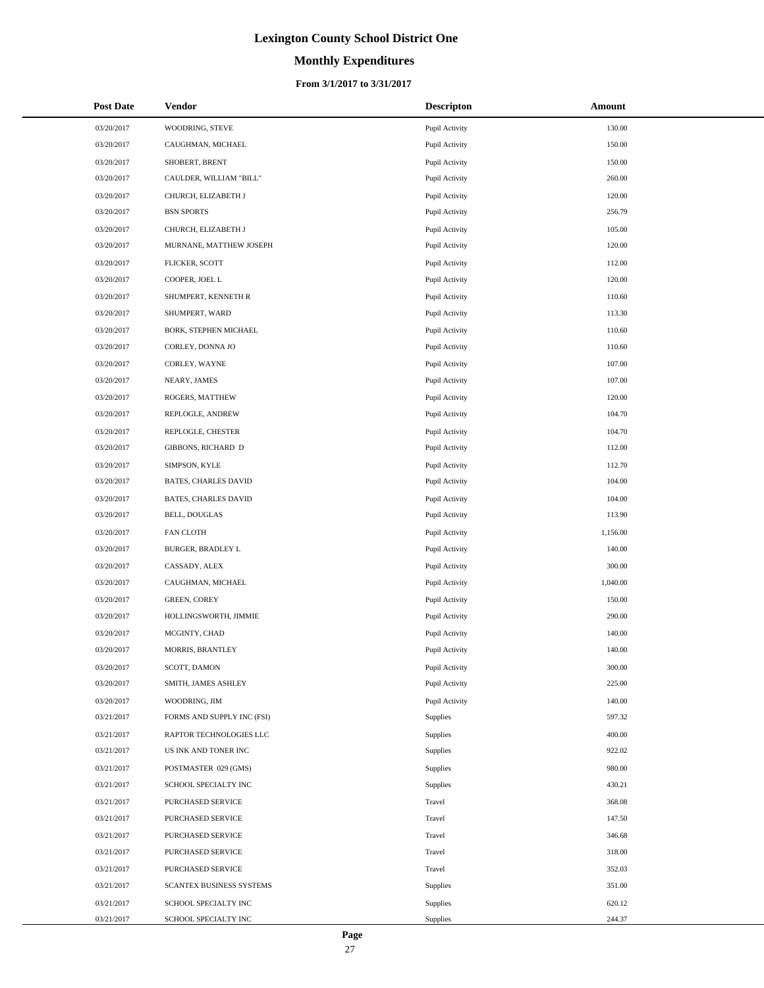# **Monthly Expenditures**

| <b>Post Date</b> | Vendor                     | <b>Descripton</b> | Amount   |
|------------------|----------------------------|-------------------|----------|
| 03/20/2017       | WOODRING, STEVE            | Pupil Activity    | 130.00   |
| 03/20/2017       | CAUGHMAN, MICHAEL          | Pupil Activity    | 150.00   |
| 03/20/2017       | SHOBERT, BRENT             | Pupil Activity    | 150.00   |
| 03/20/2017       | CAULDER, WILLIAM "BILL"    | Pupil Activity    | 260.00   |
| 03/20/2017       | CHURCH, ELIZABETH J        | Pupil Activity    | 120.00   |
| 03/20/2017       | <b>BSN SPORTS</b>          | Pupil Activity    | 256.79   |
| 03/20/2017       | CHURCH, ELIZABETH J        | Pupil Activity    | 105.00   |
| 03/20/2017       | MURNANE, MATTHEW JOSEPH    | Pupil Activity    | 120.00   |
| 03/20/2017       | FLICKER, SCOTT             | Pupil Activity    | 112.00   |
| 03/20/2017       | COOPER, JOEL L             | Pupil Activity    | 120.00   |
| 03/20/2017       | SHUMPERT, KENNETH R        | Pupil Activity    | 110.60   |
| 03/20/2017       | SHUMPERT, WARD             | Pupil Activity    | 113.30   |
| 03/20/2017       | BORK, STEPHEN MICHAEL      | Pupil Activity    | 110.60   |
| 03/20/2017       | CORLEY, DONNA JO           | Pupil Activity    | 110.60   |
| 03/20/2017       | CORLEY, WAYNE              | Pupil Activity    | 107.00   |
| 03/20/2017       | NEARY, JAMES               | Pupil Activity    | 107.00   |
| 03/20/2017       | ROGERS, MATTHEW            | Pupil Activity    | 120.00   |
| 03/20/2017       | REPLOGLE, ANDREW           | Pupil Activity    | 104.70   |
| 03/20/2017       | REPLOGLE, CHESTER          | Pupil Activity    | 104.70   |
| 03/20/2017       | GIBBONS, RICHARD D         | Pupil Activity    | 112.00   |
| 03/20/2017       | SIMPSON, KYLE              | Pupil Activity    | 112.70   |
| 03/20/2017       | BATES, CHARLES DAVID       | Pupil Activity    | 104.00   |
| 03/20/2017       | BATES, CHARLES DAVID       | Pupil Activity    | 104.00   |
| 03/20/2017       | <b>BELL, DOUGLAS</b>       | Pupil Activity    | 113.90   |
| 03/20/2017       | <b>FAN CLOTH</b>           | Pupil Activity    | 1,156.00 |
| 03/20/2017       | BURGER, BRADLEY L          | Pupil Activity    | 140.00   |
| 03/20/2017       | CASSADY, ALEX              | Pupil Activity    | 300.00   |
| 03/20/2017       | CAUGHMAN, MICHAEL          | Pupil Activity    | 1,040.00 |
| 03/20/2017       | <b>GREEN, COREY</b>        | Pupil Activity    | 150.00   |
| 03/20/2017       | HOLLINGSWORTH, JIMMIE      | Pupil Activity    | 290.00   |
| 03/20/2017       | MCGINTY, CHAD              | Pupil Activity    | 140.00   |
| 03/20/2017       | MORRIS, BRANTLEY           | Pupil Activity    | 140.00   |
| 03/20/2017       | SCOTT, DAMON               | Pupil Activity    | 300.00   |
| 03/20/2017       | SMITH, JAMES ASHLEY        | Pupil Activity    | 225.00   |
| 03/20/2017       | WOODRING, JIM              | Pupil Activity    | 140.00   |
| 03/21/2017       | FORMS AND SUPPLY INC (FSI) | Supplies          | 597.32   |
| 03/21/2017       | RAPTOR TECHNOLOGIES LLC    | Supplies          | 400.00   |
| 03/21/2017       | US INK AND TONER INC       | Supplies          | 922.02   |
| 03/21/2017       | POSTMASTER 029 (GMS)       | Supplies          | 980.00   |
| 03/21/2017       | SCHOOL SPECIALTY INC       | Supplies          | 430.21   |
| 03/21/2017       | PURCHASED SERVICE          | Travel            | 368.08   |
| 03/21/2017       | PURCHASED SERVICE          | Travel            | 147.50   |
| 03/21/2017       | PURCHASED SERVICE          | Travel            | 346.68   |
| 03/21/2017       | PURCHASED SERVICE          | Travel            | 318.00   |
| 03/21/2017       | PURCHASED SERVICE          | Travel            | 352.03   |
| 03/21/2017       | SCANTEX BUSINESS SYSTEMS   | Supplies          | 351.00   |
| 03/21/2017       | SCHOOL SPECIALTY INC       | Supplies          | 620.12   |
| 03/21/2017       | SCHOOL SPECIALTY INC       | Supplies          | 244.37   |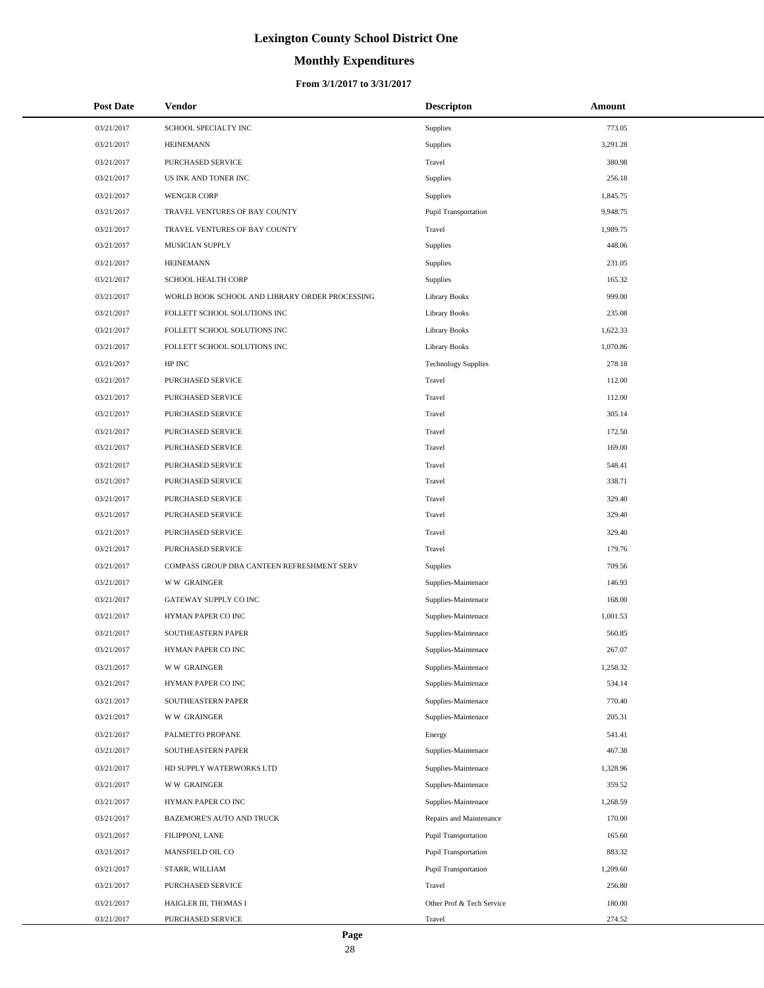# **Monthly Expenditures**

#### **From 3/1/2017 to 3/31/2017**

| <b>Post Date</b> | Vendor                                         | <b>Descripton</b>           | Amount   |
|------------------|------------------------------------------------|-----------------------------|----------|
| 03/21/2017       | SCHOOL SPECIALTY INC                           | Supplies                    | 773.05   |
| 03/21/2017       | <b>HEINEMANN</b>                               | Supplies                    | 3,291.28 |
| 03/21/2017       | PURCHASED SERVICE                              | Travel                      | 380.98   |
| 03/21/2017       | US INK AND TONER INC                           | Supplies                    | 256.18   |
| 03/21/2017       | <b>WENGER CORP</b>                             | Supplies                    | 1,845.75 |
| 03/21/2017       | TRAVEL VENTURES OF BAY COUNTY                  | <b>Pupil Transportation</b> | 9,948.75 |
| 03/21/2017       | TRAVEL VENTURES OF BAY COUNTY                  | Travel                      | 1,989.75 |
| 03/21/2017       | MUSICIAN SUPPLY                                | Supplies                    | 448.06   |
| 03/21/2017       | <b>HEINEMANN</b>                               | Supplies                    | 231.05   |
| 03/21/2017       | SCHOOL HEALTH CORP                             | Supplies                    | 165.32   |
| 03/21/2017       | WORLD BOOK SCHOOL AND LIBRARY ORDER PROCESSING | <b>Library Books</b>        | 999.00   |
| 03/21/2017       | FOLLETT SCHOOL SOLUTIONS INC                   | <b>Library Books</b>        | 235.08   |
| 03/21/2017       | FOLLETT SCHOOL SOLUTIONS INC                   | <b>Library Books</b>        | 1,622.33 |
| 03/21/2017       | FOLLETT SCHOOL SOLUTIONS INC                   | <b>Library Books</b>        | 1,070.86 |
| 03/21/2017       | HP INC                                         | <b>Technology Supplies</b>  | 278.18   |
| 03/21/2017       | PURCHASED SERVICE                              | Travel                      | 112.00   |
| 03/21/2017       | PURCHASED SERVICE                              | Travel                      | 112.00   |
| 03/21/2017       | PURCHASED SERVICE                              | Travel                      | 305.14   |
| 03/21/2017       | PURCHASED SERVICE                              | Travel                      | 172.50   |
| 03/21/2017       | PURCHASED SERVICE                              | Travel                      | 169.00   |
| 03/21/2017       | PURCHASED SERVICE                              | Travel                      | 548.41   |
| 03/21/2017       | PURCHASED SERVICE                              | Travel                      | 338.71   |
| 03/21/2017       | PURCHASED SERVICE                              | Travel                      | 329.40   |
| 03/21/2017       | PURCHASED SERVICE                              | Travel                      | 329.40   |
| 03/21/2017       | PURCHASED SERVICE                              | Travel                      | 329.40   |
| 03/21/2017       | PURCHASED SERVICE                              | Travel                      | 179.76   |
| 03/21/2017       | COMPASS GROUP DBA CANTEEN REFRESHMENT SERV     | Supplies                    | 709.56   |
| 03/21/2017       | <b>WW GRAINGER</b>                             | Supplies-Maintenace         | 146.93   |
| 03/21/2017       | GATEWAY SUPPLY CO INC                          | Supplies-Maintenace         | 168.00   |
| 03/21/2017       | HYMAN PAPER CO INC                             | Supplies-Maintenace         | 1,001.53 |
| 03/21/2017       | SOUTHEASTERN PAPER                             | Supplies-Maintenace         | 560.85   |
| 03/21/2017       | HYMAN PAPER CO INC                             | Supplies-Maintenace         | 267.07   |
| 03/21/2017       | <b>WW GRAINGER</b>                             | Supplies-Maintenace         | 1,258.32 |
| 03/21/2017       | HYMAN PAPER CO INC                             | Supplies-Maintenace         | 534.14   |
| 03/21/2017       | SOUTHEASTERN PAPER                             | Supplies-Maintenace         | 770.40   |
| 03/21/2017       | <b>WW GRAINGER</b>                             | Supplies-Maintenace         | 205.31   |
| 03/21/2017       | PALMETTO PROPANE                               | Energy                      | 541.41   |
| 03/21/2017       | SOUTHEASTERN PAPER                             | Supplies-Maintenace         | 467.38   |
| 03/21/2017       | HD SUPPLY WATERWORKS LTD                       | Supplies-Maintenace         | 1,328.96 |
| 03/21/2017       | <b>WW GRAINGER</b>                             | Supplies-Maintenace         | 359.52   |
| 03/21/2017       | HYMAN PAPER CO INC                             | Supplies-Maintenace         | 1,268.59 |
| 03/21/2017       | BAZEMORE'S AUTO AND TRUCK                      | Repairs and Maintenance     | 170.00   |
| 03/21/2017       | FILIPPONI, LANE                                | <b>Pupil Transportation</b> | 165.60   |
| 03/21/2017       | MANSFIELD OIL CO                               | <b>Pupil Transportation</b> | 883.32   |
| 03/21/2017       | STARR, WILLIAM                                 | <b>Pupil Transportation</b> | 1,209.60 |
| 03/21/2017       | PURCHASED SERVICE                              | Travel                      | 256.80   |
| 03/21/2017       | HAIGLER III, THOMAS I                          | Other Prof & Tech Service   | 180.00   |
| 03/21/2017       | PURCHASED SERVICE                              | Travel                      | 274.52   |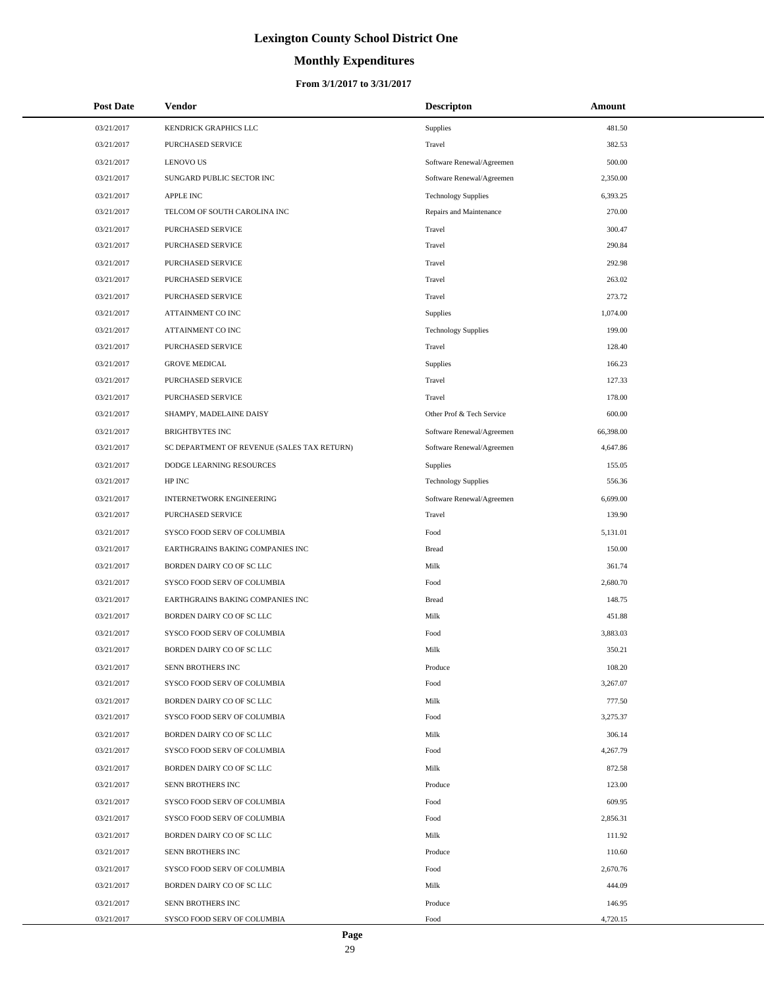# **Monthly Expenditures**

| <b>Post Date</b> | Vendor                                      | <b>Descripton</b>          | Amount    |
|------------------|---------------------------------------------|----------------------------|-----------|
| 03/21/2017       | KENDRICK GRAPHICS LLC                       | Supplies                   | 481.50    |
| 03/21/2017       | <b>PURCHASED SERVICE</b>                    | Travel                     | 382.53    |
| 03/21/2017       | <b>LENOVO US</b>                            | Software Renewal/Agreemen  | 500.00    |
| 03/21/2017       | SUNGARD PUBLIC SECTOR INC                   | Software Renewal/Agreemen  | 2,350.00  |
| 03/21/2017       | <b>APPLE INC</b>                            | <b>Technology Supplies</b> | 6,393.25  |
| 03/21/2017       | TELCOM OF SOUTH CAROLINA INC                | Repairs and Maintenance    | 270.00    |
| 03/21/2017       | PURCHASED SERVICE                           | Travel                     | 300.47    |
| 03/21/2017       | PURCHASED SERVICE                           | Travel                     | 290.84    |
| 03/21/2017       | PURCHASED SERVICE                           | Travel                     | 292.98    |
| 03/21/2017       | PURCHASED SERVICE                           | Travel                     | 263.02    |
| 03/21/2017       | PURCHASED SERVICE                           | Travel                     | 273.72    |
| 03/21/2017       | ATTAINMENT CO INC                           | Supplies                   | 1,074.00  |
| 03/21/2017       | ATTAINMENT CO INC                           | <b>Technology Supplies</b> | 199.00    |
| 03/21/2017       | PURCHASED SERVICE                           | Travel                     | 128.40    |
| 03/21/2017       | <b>GROVE MEDICAL</b>                        | Supplies                   | 166.23    |
| 03/21/2017       | PURCHASED SERVICE                           | Travel                     | 127.33    |
| 03/21/2017       | PURCHASED SERVICE                           | Travel                     | 178.00    |
| 03/21/2017       | SHAMPY, MADELAINE DAISY                     | Other Prof & Tech Service  | 600.00    |
| 03/21/2017       | <b>BRIGHTBYTES INC</b>                      | Software Renewal/Agreemen  | 66,398.00 |
| 03/21/2017       | SC DEPARTMENT OF REVENUE (SALES TAX RETURN) | Software Renewal/Agreemen  | 4,647.86  |
| 03/21/2017       | DODGE LEARNING RESOURCES                    | Supplies                   | 155.05    |
| 03/21/2017       | HP INC                                      | <b>Technology Supplies</b> | 556.36    |
| 03/21/2017       | INTERNETWORK ENGINEERING                    | Software Renewal/Agreemen  | 6,699.00  |
| 03/21/2017       | PURCHASED SERVICE                           | Travel                     | 139.90    |
| 03/21/2017       | SYSCO FOOD SERV OF COLUMBIA                 | Food                       | 5,131.01  |
| 03/21/2017       | EARTHGRAINS BAKING COMPANIES INC            | <b>Bread</b>               | 150.00    |
| 03/21/2017       | BORDEN DAIRY CO OF SC LLC                   | Milk                       | 361.74    |
| 03/21/2017       | SYSCO FOOD SERV OF COLUMBIA                 | Food                       | 2,680.70  |
| 03/21/2017       | EARTHGRAINS BAKING COMPANIES INC            | <b>Bread</b>               | 148.75    |
| 03/21/2017       | BORDEN DAIRY CO OF SC LLC                   | Milk                       | 451.88    |
| 03/21/2017       | SYSCO FOOD SERV OF COLUMBIA                 | Food                       | 3,883.03  |
| 03/21/2017       | BORDEN DAIRY CO OF SC LLC                   | Milk                       | 350.21    |
| 03/21/2017       | SENN BROTHERS INC                           | Produce                    | 108.20    |
| 03/21/2017       | SYSCO FOOD SERV OF COLUMBIA                 | Food                       | 3,267.07  |
| 03/21/2017       | BORDEN DAIRY CO OF SC LLC                   | Milk                       | 777.50    |
| 03/21/2017       | SYSCO FOOD SERV OF COLUMBIA                 | Food                       | 3,275.37  |
| 03/21/2017       | BORDEN DAIRY CO OF SC LLC                   | Milk                       | 306.14    |
| 03/21/2017       | SYSCO FOOD SERV OF COLUMBIA                 | Food                       | 4,267.79  |
| 03/21/2017       | BORDEN DAIRY CO OF SC LLC                   | Milk                       | 872.58    |
| 03/21/2017       | SENN BROTHERS INC                           | Produce                    | 123.00    |
| 03/21/2017       | SYSCO FOOD SERV OF COLUMBIA                 | Food                       | 609.95    |
| 03/21/2017       | SYSCO FOOD SERV OF COLUMBIA                 | Food                       | 2,856.31  |
| 03/21/2017       | BORDEN DAIRY CO OF SC LLC                   | Milk                       | 111.92    |
| 03/21/2017       | SENN BROTHERS INC                           | Produce                    | 110.60    |
| 03/21/2017       | SYSCO FOOD SERV OF COLUMBIA                 | Food                       | 2,670.76  |
| 03/21/2017       | BORDEN DAIRY CO OF SC LLC                   | Milk                       | 444.09    |
| 03/21/2017       | SENN BROTHERS INC                           | Produce                    | 146.95    |
| 03/21/2017       | SYSCO FOOD SERV OF COLUMBIA                 | Food                       | 4,720.15  |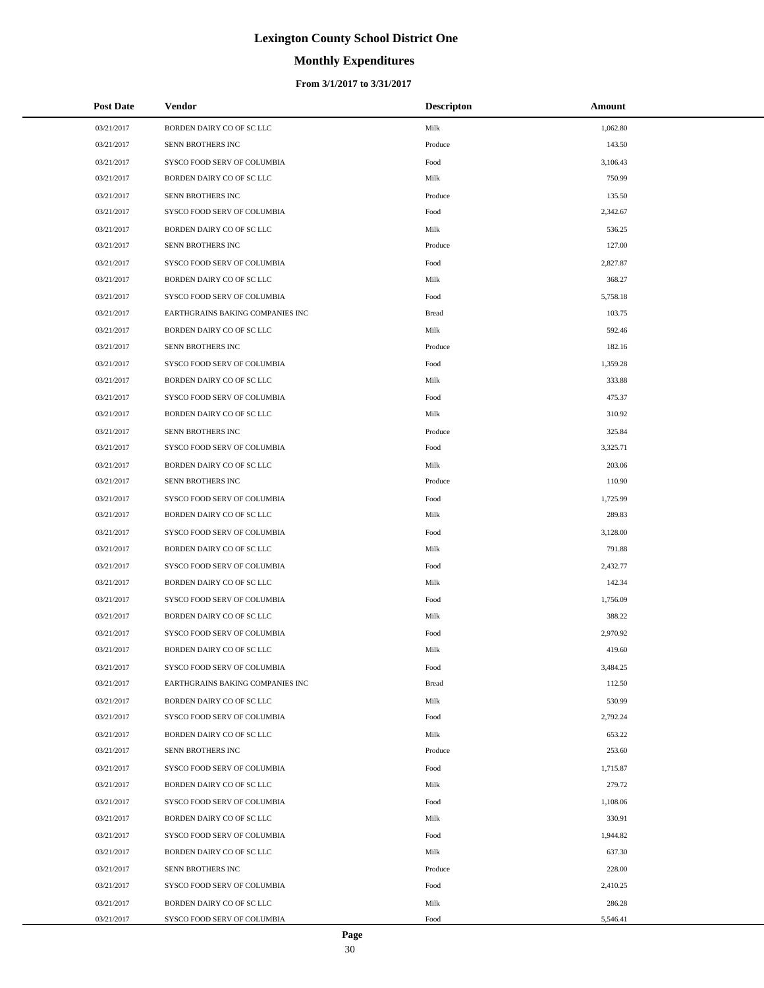# **Monthly Expenditures**

| <b>Post Date</b> | Vendor                           | <b>Descripton</b> | Amount   |
|------------------|----------------------------------|-------------------|----------|
| 03/21/2017       | BORDEN DAIRY CO OF SC LLC        | Milk              | 1,062.80 |
| 03/21/2017       | SENN BROTHERS INC                | Produce           | 143.50   |
| 03/21/2017       | SYSCO FOOD SERV OF COLUMBIA      | Food              | 3,106.43 |
| 03/21/2017       | BORDEN DAIRY CO OF SC LLC        | Milk              | 750.99   |
| 03/21/2017       | SENN BROTHERS INC                | Produce           | 135.50   |
| 03/21/2017       | SYSCO FOOD SERV OF COLUMBIA      | Food              | 2,342.67 |
| 03/21/2017       | BORDEN DAIRY CO OF SC LLC        | Milk              | 536.25   |
| 03/21/2017       | SENN BROTHERS INC                | Produce           | 127.00   |
| 03/21/2017       | SYSCO FOOD SERV OF COLUMBIA      | Food              | 2,827.87 |
| 03/21/2017       | BORDEN DAIRY CO OF SC LLC        | Milk              | 368.27   |
| 03/21/2017       | SYSCO FOOD SERV OF COLUMBIA      | Food              | 5,758.18 |
| 03/21/2017       | EARTHGRAINS BAKING COMPANIES INC | <b>Bread</b>      | 103.75   |
| 03/21/2017       | BORDEN DAIRY CO OF SC LLC        | Milk              | 592.46   |
| 03/21/2017       | SENN BROTHERS INC                | Produce           | 182.16   |
| 03/21/2017       | SYSCO FOOD SERV OF COLUMBIA      | Food              | 1,359.28 |
| 03/21/2017       | BORDEN DAIRY CO OF SC LLC        | Milk              | 333.88   |
| 03/21/2017       | SYSCO FOOD SERV OF COLUMBIA      | Food              | 475.37   |
| 03/21/2017       | BORDEN DAIRY CO OF SC LLC        | Milk              | 310.92   |
| 03/21/2017       | SENN BROTHERS INC                | Produce           | 325.84   |
| 03/21/2017       | SYSCO FOOD SERV OF COLUMBIA      | Food              | 3,325.71 |
| 03/21/2017       | BORDEN DAIRY CO OF SC LLC        | Milk              | 203.06   |
| 03/21/2017       | SENN BROTHERS INC                | Produce           | 110.90   |
| 03/21/2017       | SYSCO FOOD SERV OF COLUMBIA      | Food              | 1,725.99 |
| 03/21/2017       | BORDEN DAIRY CO OF SC LLC        | Milk              | 289.83   |
| 03/21/2017       | SYSCO FOOD SERV OF COLUMBIA      | Food              | 3,128.00 |
| 03/21/2017       | BORDEN DAIRY CO OF SC LLC        | Milk              | 791.88   |
| 03/21/2017       | SYSCO FOOD SERV OF COLUMBIA      | Food              | 2,432.77 |
| 03/21/2017       | BORDEN DAIRY CO OF SC LLC        | Milk              | 142.34   |
| 03/21/2017       | SYSCO FOOD SERV OF COLUMBIA      | Food              | 1,756.09 |
| 03/21/2017       | BORDEN DAIRY CO OF SC LLC        | Milk              | 388.22   |
| 03/21/2017       | SYSCO FOOD SERV OF COLUMBIA      | Food              | 2,970.92 |
| 03/21/2017       | BORDEN DAIRY CO OF SC LLC        | Milk              | 419.60   |
| 03/21/2017       | SYSCO FOOD SERV OF COLUMBIA      | Food              | 3,484.25 |
| 03/21/2017       | EARTHGRAINS BAKING COMPANIES INC | <b>Bread</b>      | 112.50   |
| 03/21/2017       | BORDEN DAIRY CO OF SC LLC        | Milk              | 530.99   |
| 03/21/2017       | SYSCO FOOD SERV OF COLUMBIA      | Food              | 2,792.24 |
| 03/21/2017       | BORDEN DAIRY CO OF SC LLC        | Milk              | 653.22   |
| 03/21/2017       | SENN BROTHERS INC                | Produce           | 253.60   |
| 03/21/2017       | SYSCO FOOD SERV OF COLUMBIA      | Food              | 1,715.87 |
| 03/21/2017       | BORDEN DAIRY CO OF SC LLC        | Milk              | 279.72   |
| 03/21/2017       | SYSCO FOOD SERV OF COLUMBIA      | Food              | 1,108.06 |
| 03/21/2017       | BORDEN DAIRY CO OF SC LLC        | Milk              | 330.91   |
| 03/21/2017       | SYSCO FOOD SERV OF COLUMBIA      | Food              | 1,944.82 |
| 03/21/2017       | BORDEN DAIRY CO OF SC LLC        | Milk              | 637.30   |
| 03/21/2017       | SENN BROTHERS INC                | Produce           | 228.00   |
| 03/21/2017       | SYSCO FOOD SERV OF COLUMBIA      | Food              | 2,410.25 |
| 03/21/2017       | BORDEN DAIRY CO OF SC LLC        | Milk              | 286.28   |
| 03/21/2017       | SYSCO FOOD SERV OF COLUMBIA      | Food              | 5,546.41 |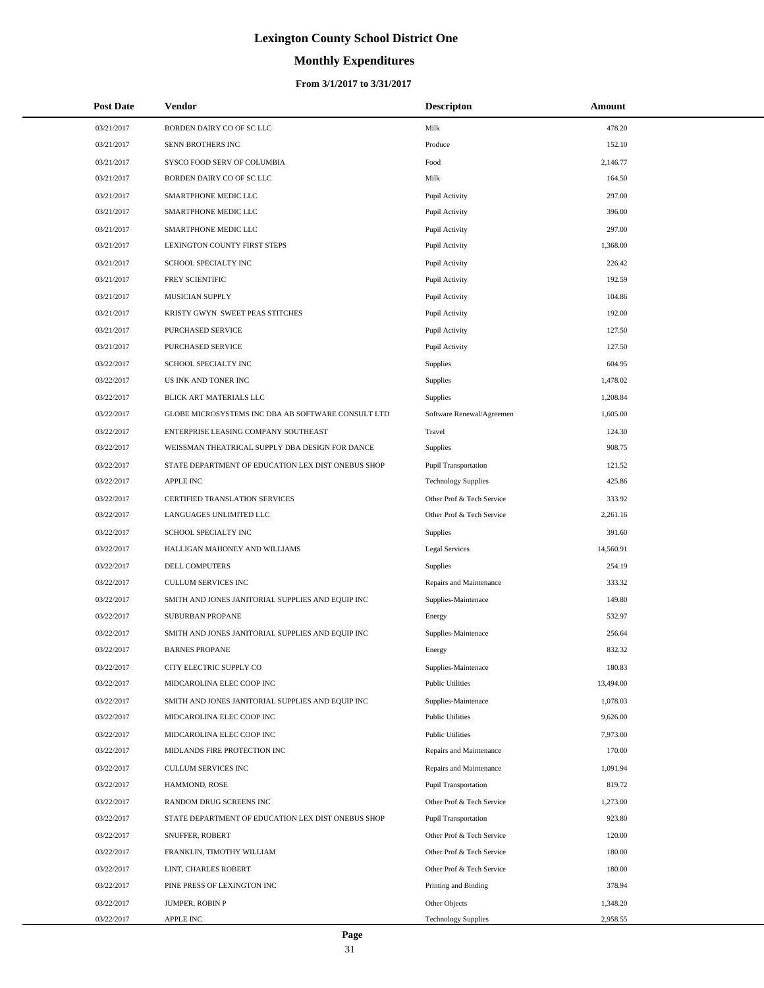# **Monthly Expenditures**

| <b>Post Date</b> | Vendor                                             | <b>Descripton</b>           | Amount    |
|------------------|----------------------------------------------------|-----------------------------|-----------|
| 03/21/2017       | BORDEN DAIRY CO OF SC LLC                          | Milk                        | 478.20    |
| 03/21/2017       | SENN BROTHERS INC                                  | Produce                     | 152.10    |
| 03/21/2017       | SYSCO FOOD SERV OF COLUMBIA                        | Food                        | 2,146.77  |
| 03/21/2017       | BORDEN DAIRY CO OF SC LLC                          | Milk                        | 164.50    |
| 03/21/2017       | SMARTPHONE MEDIC LLC                               | Pupil Activity              | 297.00    |
| 03/21/2017       | SMARTPHONE MEDIC LLC                               | Pupil Activity              | 396.00    |
| 03/21/2017       | SMARTPHONE MEDIC LLC                               | Pupil Activity              | 297.00    |
| 03/21/2017       | LEXINGTON COUNTY FIRST STEPS                       | Pupil Activity              | 1,368.00  |
| 03/21/2017       | SCHOOL SPECIALTY INC                               | Pupil Activity              | 226.42    |
| 03/21/2017       | FREY SCIENTIFIC                                    | Pupil Activity              | 192.59    |
| 03/21/2017       | MUSICIAN SUPPLY                                    | Pupil Activity              | 104.86    |
| 03/21/2017       | KRISTY GWYN SWEET PEAS STITCHES                    | Pupil Activity              | 192.00    |
| 03/21/2017       | PURCHASED SERVICE                                  | Pupil Activity              | 127.50    |
| 03/21/2017       | <b>PURCHASED SERVICE</b>                           | Pupil Activity              | 127.50    |
| 03/22/2017       | SCHOOL SPECIALTY INC                               | <b>Supplies</b>             | 604.95    |
| 03/22/2017       | US INK AND TONER INC                               | Supplies                    | 1,478.02  |
| 03/22/2017       | BLICK ART MATERIALS LLC                            | Supplies                    | 1,208.84  |
| 03/22/2017       | GLOBE MICROSYSTEMS INC DBA AB SOFTWARE CONSULT LTD | Software Renewal/Agreemen   | 1,605.00  |
| 03/22/2017       | ENTERPRISE LEASING COMPANY SOUTHEAST               | Travel                      | 124.30    |
| 03/22/2017       | WEISSMAN THEATRICAL SUPPLY DBA DESIGN FOR DANCE    | <b>Supplies</b>             | 908.75    |
| 03/22/2017       | STATE DEPARTMENT OF EDUCATION LEX DIST ONEBUS SHOP | <b>Pupil Transportation</b> | 121.52    |
| 03/22/2017       | <b>APPLE INC</b>                                   | <b>Technology Supplies</b>  | 425.86    |
| 03/22/2017       | CERTIFIED TRANSLATION SERVICES                     | Other Prof & Tech Service   | 333.92    |
| 03/22/2017       | LANGUAGES UNLIMITED LLC                            | Other Prof & Tech Service   | 2,261.16  |
| 03/22/2017       | SCHOOL SPECIALTY INC                               | Supplies                    | 391.60    |
| 03/22/2017       | HALLIGAN MAHONEY AND WILLIAMS                      | Legal Services              | 14,560.91 |
| 03/22/2017       | DELL COMPUTERS                                     | <b>Supplies</b>             | 254.19    |
| 03/22/2017       | <b>CULLUM SERVICES INC</b>                         | Repairs and Maintenance     | 333.32    |
| 03/22/2017       | SMITH AND JONES JANITORIAL SUPPLIES AND EQUIP INC  | Supplies-Maintenace         | 149.80    |
| 03/22/2017       | SUBURBAN PROPANE                                   | Energy                      | 532.97    |
| 03/22/2017       | SMITH AND JONES JANITORIAL SUPPLIES AND EQUIP INC  | Supplies-Maintenace         | 256.64    |
| 03/22/2017       | <b>BARNES PROPANE</b>                              | Energy                      | 832.32    |
| 03/22/2017       | CITY ELECTRIC SUPPLY CO                            | Supplies-Maintenace         | 180.83    |
| 03/22/2017       | MIDCAROLINA ELEC COOP INC                          | <b>Public Utilities</b>     | 13,494.00 |
| 03/22/2017       | SMITH AND JONES JANITORIAL SUPPLIES AND EQUIP INC  | Supplies-Maintenace         | 1,078.03  |
| 03/22/2017       | MIDCAROLINA ELEC COOP INC                          | <b>Public Utilities</b>     | 9,626.00  |
| 03/22/2017       | MIDCAROLINA ELEC COOP INC                          | <b>Public Utilities</b>     | 7,973.00  |
| 03/22/2017       | MIDLANDS FIRE PROTECTION INC                       | Repairs and Maintenance     | 170.00    |
| 03/22/2017       | CULLUM SERVICES INC                                | Repairs and Maintenance     | 1,091.94  |
| 03/22/2017       | HAMMOND, ROSE                                      | <b>Pupil Transportation</b> | 819.72    |
| 03/22/2017       | RANDOM DRUG SCREENS INC                            | Other Prof & Tech Service   | 1,273.00  |
| 03/22/2017       | STATE DEPARTMENT OF EDUCATION LEX DIST ONEBUS SHOP | Pupil Transportation        | 923.80    |
| 03/22/2017       | SNUFFER, ROBERT                                    | Other Prof & Tech Service   | 120.00    |
| 03/22/2017       | FRANKLIN, TIMOTHY WILLIAM                          | Other Prof & Tech Service   | 180.00    |
| 03/22/2017       | LINT, CHARLES ROBERT                               | Other Prof & Tech Service   | 180.00    |
| 03/22/2017       | PINE PRESS OF LEXINGTON INC                        | Printing and Binding        | 378.94    |
| 03/22/2017       | JUMPER, ROBIN P                                    | Other Objects               | 1,348.20  |
| 03/22/2017       | APPLE INC                                          | <b>Technology Supplies</b>  | 2,958.55  |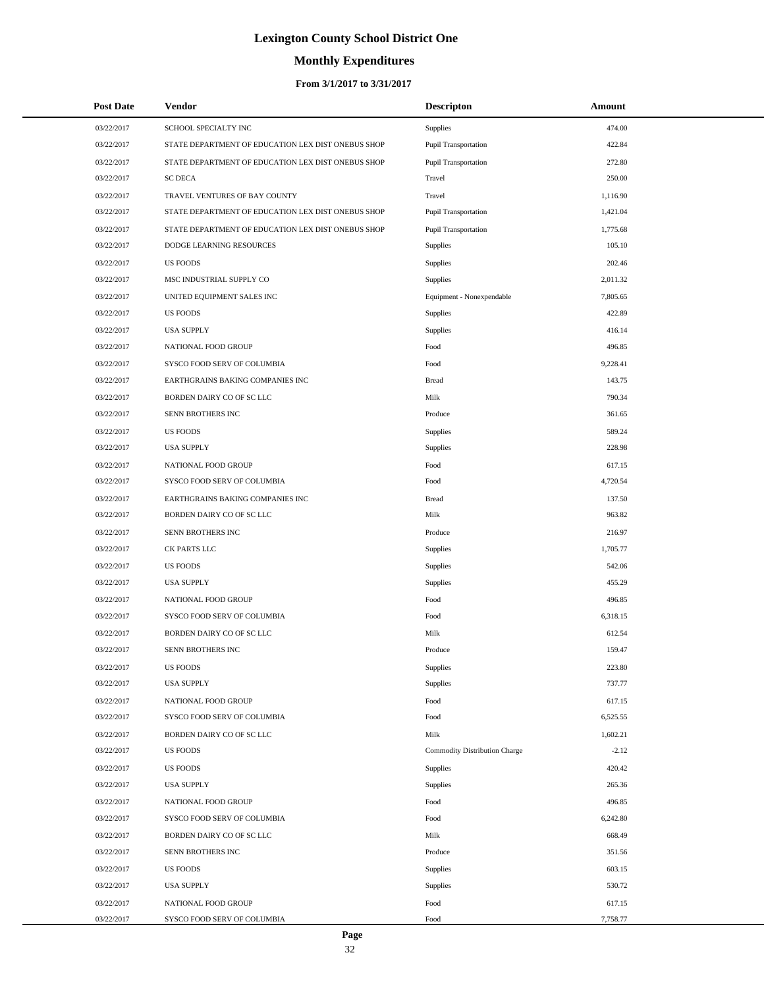# **Monthly Expenditures**

#### **From 3/1/2017 to 3/31/2017**

| <b>Post Date</b> | Vendor                                             | <b>Descripton</b>             | Amount   |
|------------------|----------------------------------------------------|-------------------------------|----------|
| 03/22/2017       | SCHOOL SPECIALTY INC                               | Supplies                      | 474.00   |
| 03/22/2017       | STATE DEPARTMENT OF EDUCATION LEX DIST ONEBUS SHOP | Pupil Transportation          | 422.84   |
| 03/22/2017       | STATE DEPARTMENT OF EDUCATION LEX DIST ONEBUS SHOP | Pupil Transportation          | 272.80   |
| 03/22/2017       | <b>SC DECA</b>                                     | Travel                        | 250.00   |
| 03/22/2017       | TRAVEL VENTURES OF BAY COUNTY                      | Travel                        | 1,116.90 |
| 03/22/2017       | STATE DEPARTMENT OF EDUCATION LEX DIST ONEBUS SHOP | Pupil Transportation          | 1,421.04 |
| 03/22/2017       | STATE DEPARTMENT OF EDUCATION LEX DIST ONEBUS SHOP | Pupil Transportation          | 1,775.68 |
| 03/22/2017       | DODGE LEARNING RESOURCES                           | <b>Supplies</b>               | 105.10   |
| 03/22/2017       | <b>US FOODS</b>                                    | Supplies                      | 202.46   |
| 03/22/2017       | MSC INDUSTRIAL SUPPLY CO                           | Supplies                      | 2,011.32 |
| 03/22/2017       | UNITED EQUIPMENT SALES INC                         | Equipment - Nonexpendable     | 7,805.65 |
| 03/22/2017       | <b>US FOODS</b>                                    | Supplies                      | 422.89   |
| 03/22/2017       | <b>USA SUPPLY</b>                                  | Supplies                      | 416.14   |
| 03/22/2017       | NATIONAL FOOD GROUP                                | Food                          | 496.85   |
| 03/22/2017       | SYSCO FOOD SERV OF COLUMBIA                        | Food                          | 9,228.41 |
| 03/22/2017       | EARTHGRAINS BAKING COMPANIES INC                   | <b>Bread</b>                  | 143.75   |
| 03/22/2017       | BORDEN DAIRY CO OF SC LLC                          | Milk                          | 790.34   |
| 03/22/2017       | SENN BROTHERS INC                                  | Produce                       | 361.65   |
| 03/22/2017       | <b>US FOODS</b>                                    | Supplies                      | 589.24   |
| 03/22/2017       | <b>USA SUPPLY</b>                                  | Supplies                      | 228.98   |
| 03/22/2017       | NATIONAL FOOD GROUP                                | Food                          | 617.15   |
| 03/22/2017       | SYSCO FOOD SERV OF COLUMBIA                        | Food                          | 4,720.54 |
| 03/22/2017       | EARTHGRAINS BAKING COMPANIES INC                   | <b>Bread</b>                  | 137.50   |
| 03/22/2017       | BORDEN DAIRY CO OF SC LLC                          | Milk                          | 963.82   |
| 03/22/2017       | SENN BROTHERS INC                                  | Produce                       | 216.97   |
| 03/22/2017       | CK PARTS LLC                                       | Supplies                      | 1,705.77 |
| 03/22/2017       | <b>US FOODS</b>                                    | Supplies                      | 542.06   |
| 03/22/2017       | <b>USA SUPPLY</b>                                  | Supplies                      | 455.29   |
| 03/22/2017       | NATIONAL FOOD GROUP                                | Food                          | 496.85   |
| 03/22/2017       | SYSCO FOOD SERV OF COLUMBIA                        | Food                          | 6,318.15 |
| 03/22/2017       | BORDEN DAIRY CO OF SC LLC                          | Milk                          | 612.54   |
| 03/22/2017       | SENN BROTHERS INC                                  | Produce                       | 159.47   |
| 03/22/2017       | <b>US FOODS</b>                                    | Supplies                      | 223.80   |
| 03/22/2017       | <b>USA SUPPLY</b>                                  | Supplies                      | 737.77   |
| 03/22/2017       | NATIONAL FOOD GROUP                                | Food                          | 617.15   |
| 03/22/2017       | SYSCO FOOD SERV OF COLUMBIA                        | Food                          | 6,525.55 |
| 03/22/2017       | BORDEN DAIRY CO OF SC LLC                          | Milk                          | 1,602.21 |
| 03/22/2017       | <b>US FOODS</b>                                    | Commodity Distribution Charge | $-2.12$  |
| 03/22/2017       | <b>US FOODS</b>                                    | Supplies                      | 420.42   |
| 03/22/2017       | <b>USA SUPPLY</b>                                  | Supplies                      | 265.36   |
| 03/22/2017       | NATIONAL FOOD GROUP                                | Food                          | 496.85   |
| 03/22/2017       | SYSCO FOOD SERV OF COLUMBIA                        | Food                          | 6,242.80 |
| 03/22/2017       | BORDEN DAIRY CO OF SC LLC                          | Milk                          | 668.49   |
| 03/22/2017       | SENN BROTHERS INC                                  | Produce                       | 351.56   |
| 03/22/2017       | <b>US FOODS</b>                                    | Supplies                      | 603.15   |
| 03/22/2017       | <b>USA SUPPLY</b>                                  | Supplies                      | 530.72   |
| 03/22/2017       | NATIONAL FOOD GROUP                                | Food                          | 617.15   |
| 03/22/2017       | SYSCO FOOD SERV OF COLUMBIA                        | Food                          | 7,758.77 |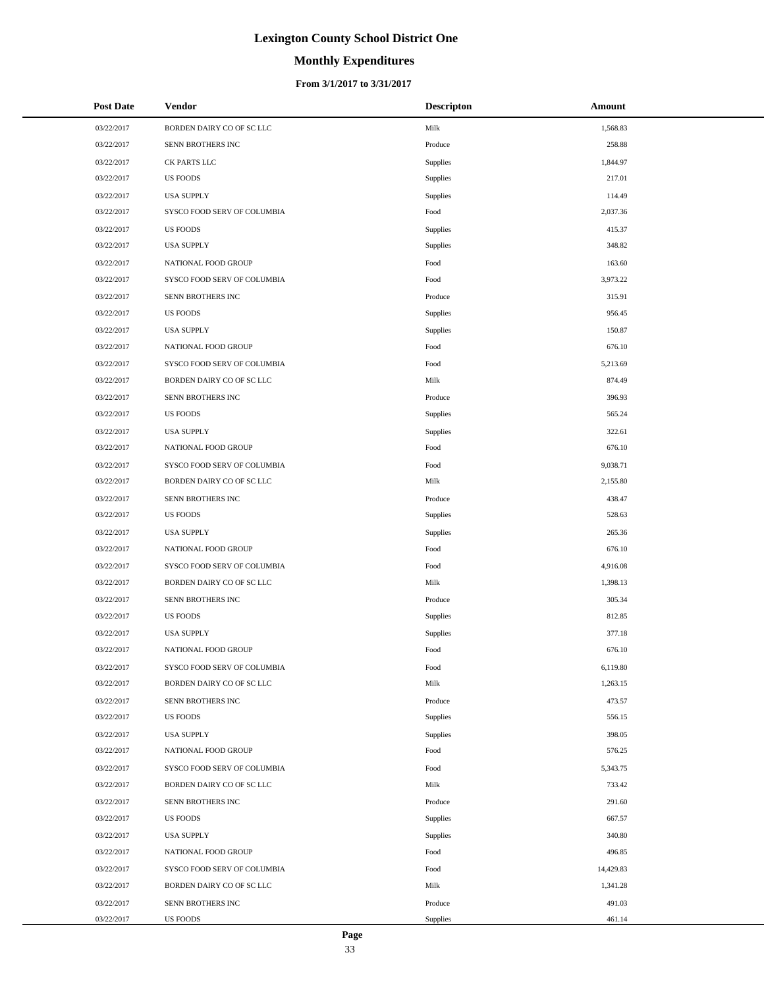# **Monthly Expenditures**

#### **From 3/1/2017 to 3/31/2017**

| <b>Post Date</b> | Vendor                      | <b>Descripton</b> | Amount    |
|------------------|-----------------------------|-------------------|-----------|
| 03/22/2017       | BORDEN DAIRY CO OF SC LLC   | Milk              | 1,568.83  |
| 03/22/2017       | SENN BROTHERS INC           | Produce           | 258.88    |
| 03/22/2017       | CK PARTS LLC                | Supplies          | 1,844.97  |
| 03/22/2017       | <b>US FOODS</b>             | Supplies          | 217.01    |
| 03/22/2017       | <b>USA SUPPLY</b>           | Supplies          | 114.49    |
| 03/22/2017       | SYSCO FOOD SERV OF COLUMBIA | Food              | 2,037.36  |
| 03/22/2017       | <b>US FOODS</b>             | <b>Supplies</b>   | 415.37    |
| 03/22/2017       | <b>USA SUPPLY</b>           | Supplies          | 348.82    |
| 03/22/2017       | NATIONAL FOOD GROUP         | Food              | 163.60    |
| 03/22/2017       | SYSCO FOOD SERV OF COLUMBIA | Food              | 3,973.22  |
| 03/22/2017       | SENN BROTHERS INC           | Produce           | 315.91    |
| 03/22/2017       | <b>US FOODS</b>             | Supplies          | 956.45    |
| 03/22/2017       | <b>USA SUPPLY</b>           | Supplies          | 150.87    |
| 03/22/2017       | NATIONAL FOOD GROUP         | Food              | 676.10    |
| 03/22/2017       | SYSCO FOOD SERV OF COLUMBIA | Food              | 5,213.69  |
| 03/22/2017       | BORDEN DAIRY CO OF SC LLC   | Milk              | 874.49    |
| 03/22/2017       | SENN BROTHERS INC           | Produce           | 396.93    |
| 03/22/2017       | <b>US FOODS</b>             | Supplies          | 565.24    |
| 03/22/2017       | <b>USA SUPPLY</b>           | Supplies          | 322.61    |
| 03/22/2017       | NATIONAL FOOD GROUP         | Food              | 676.10    |
| 03/22/2017       | SYSCO FOOD SERV OF COLUMBIA | Food              | 9,038.71  |
| 03/22/2017       | BORDEN DAIRY CO OF SC LLC   | Milk              | 2,155.80  |
| 03/22/2017       | SENN BROTHERS INC           | Produce           | 438.47    |
| 03/22/2017       | <b>US FOODS</b>             | Supplies          | 528.63    |
| 03/22/2017       | <b>USA SUPPLY</b>           | Supplies          | 265.36    |
| 03/22/2017       | NATIONAL FOOD GROUP         | Food              | 676.10    |
| 03/22/2017       | SYSCO FOOD SERV OF COLUMBIA | Food              | 4,916.08  |
| 03/22/2017       | BORDEN DAIRY CO OF SC LLC   | Milk              | 1,398.13  |
| 03/22/2017       | SENN BROTHERS INC           | Produce           | 305.34    |
| 03/22/2017       | <b>US FOODS</b>             | <b>Supplies</b>   | 812.85    |
| 03/22/2017       | <b>USA SUPPLY</b>           | Supplies          | 377.18    |
| 03/22/2017       | NATIONAL FOOD GROUP         | Food              | 676.10    |
| 03/22/2017       | SYSCO FOOD SERV OF COLUMBIA | Food              | 6,119.80  |
| 03/22/2017       | BORDEN DAIRY CO OF SC LLC   | Milk              | 1,263.15  |
| 03/22/2017       | SENN BROTHERS INC           | Produce           | 473.57    |
| 03/22/2017       | <b>US FOODS</b>             | Supplies          | 556.15    |
| 03/22/2017       | <b>USA SUPPLY</b>           | Supplies          | 398.05    |
| 03/22/2017       | NATIONAL FOOD GROUP         | Food              | 576.25    |
| 03/22/2017       | SYSCO FOOD SERV OF COLUMBIA | Food              | 5,343.75  |
| 03/22/2017       | BORDEN DAIRY CO OF SC LLC   | Milk              | 733.42    |
| 03/22/2017       | SENN BROTHERS INC           | Produce           | 291.60    |
| 03/22/2017       | <b>US FOODS</b>             | <b>Supplies</b>   | 667.57    |
| 03/22/2017       | <b>USA SUPPLY</b>           | Supplies          | 340.80    |
| 03/22/2017       | NATIONAL FOOD GROUP         | Food              | 496.85    |
| 03/22/2017       | SYSCO FOOD SERV OF COLUMBIA | Food              | 14,429.83 |
| 03/22/2017       | BORDEN DAIRY CO OF SC LLC   | Milk              | 1,341.28  |
| 03/22/2017       | SENN BROTHERS INC           | Produce           | 491.03    |
| 03/22/2017       | US FOODS                    | Supplies          | 461.14    |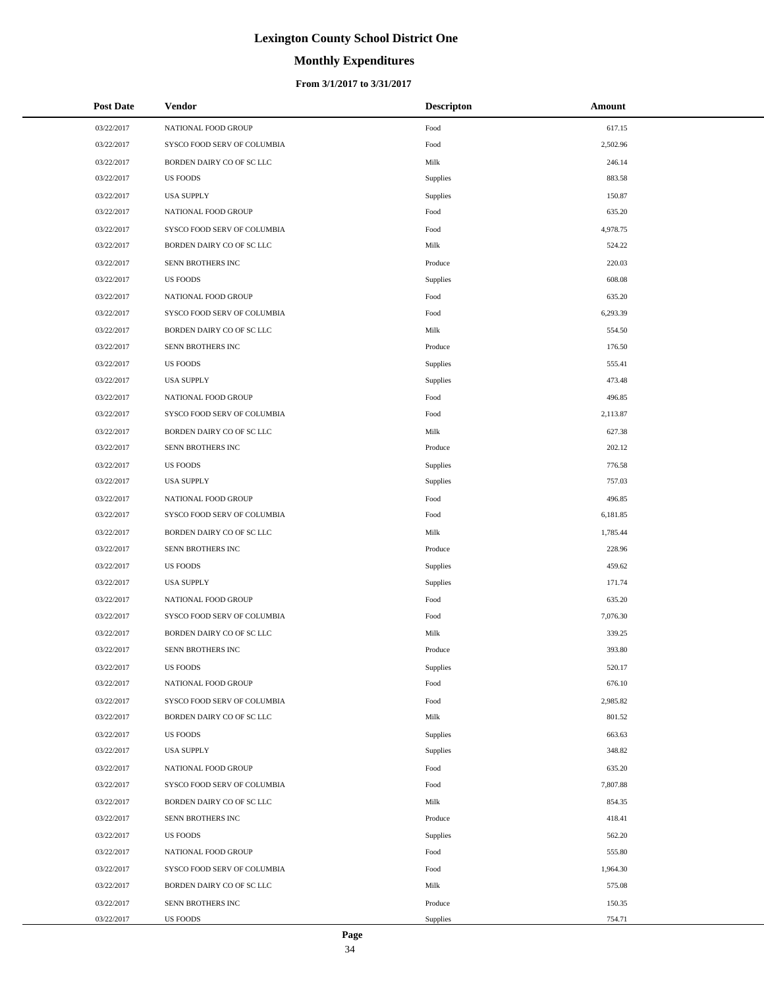# **Monthly Expenditures**

| <b>Post Date</b> | Vendor                      | <b>Descripton</b> | Amount   |  |
|------------------|-----------------------------|-------------------|----------|--|
| 03/22/2017       | NATIONAL FOOD GROUP         | Food              | 617.15   |  |
| 03/22/2017       | SYSCO FOOD SERV OF COLUMBIA | Food              | 2,502.96 |  |
| 03/22/2017       | BORDEN DAIRY CO OF SC LLC   | Milk              | 246.14   |  |
| 03/22/2017       | <b>US FOODS</b>             | Supplies          | 883.58   |  |
| 03/22/2017       | <b>USA SUPPLY</b>           | <b>Supplies</b>   | 150.87   |  |
| 03/22/2017       | NATIONAL FOOD GROUP         | Food              | 635.20   |  |
| 03/22/2017       | SYSCO FOOD SERV OF COLUMBIA | Food              | 4,978.75 |  |
| 03/22/2017       | BORDEN DAIRY CO OF SC LLC   | Milk              | 524.22   |  |
| 03/22/2017       | SENN BROTHERS INC           | Produce           | 220.03   |  |
| 03/22/2017       | <b>US FOODS</b>             | Supplies          | 608.08   |  |
| 03/22/2017       | NATIONAL FOOD GROUP         | Food              | 635.20   |  |
| 03/22/2017       | SYSCO FOOD SERV OF COLUMBIA | Food              | 6,293.39 |  |
| 03/22/2017       | BORDEN DAIRY CO OF SC LLC   | Milk              | 554.50   |  |
| 03/22/2017       | SENN BROTHERS INC           | Produce           | 176.50   |  |
| 03/22/2017       | <b>US FOODS</b>             | Supplies          | 555.41   |  |
| 03/22/2017       | <b>USA SUPPLY</b>           | Supplies          | 473.48   |  |
| 03/22/2017       | NATIONAL FOOD GROUP         | Food              | 496.85   |  |
| 03/22/2017       | SYSCO FOOD SERV OF COLUMBIA | Food              | 2,113.87 |  |
| 03/22/2017       | BORDEN DAIRY CO OF SC LLC   | Milk              | 627.38   |  |
| 03/22/2017       | SENN BROTHERS INC           | Produce           | 202.12   |  |
| 03/22/2017       | <b>US FOODS</b>             | <b>Supplies</b>   | 776.58   |  |
| 03/22/2017       | <b>USA SUPPLY</b>           | Supplies          | 757.03   |  |
| 03/22/2017       | NATIONAL FOOD GROUP         | Food              | 496.85   |  |
| 03/22/2017       | SYSCO FOOD SERV OF COLUMBIA | Food              | 6,181.85 |  |
| 03/22/2017       | BORDEN DAIRY CO OF SC LLC   | Milk              | 1,785.44 |  |
| 03/22/2017       | SENN BROTHERS INC           | Produce           | 228.96   |  |
| 03/22/2017       | <b>US FOODS</b>             | Supplies          | 459.62   |  |
| 03/22/2017       | <b>USA SUPPLY</b>           | Supplies          | 171.74   |  |
| 03/22/2017       | NATIONAL FOOD GROUP         | Food              | 635.20   |  |
| 03/22/2017       | SYSCO FOOD SERV OF COLUMBIA | Food              | 7,076.30 |  |
| 03/22/2017       | BORDEN DAIRY CO OF SC LLC   | Milk              | 339.25   |  |
| 03/22/2017       | SENN BROTHERS INC           | Produce           | 393.80   |  |
| 03/22/2017       | US FOODS                    | Supplies          | 520.17   |  |
| 03/22/2017       | NATIONAL FOOD GROUP         | Food              | 676.10   |  |
| 03/22/2017       | SYSCO FOOD SERV OF COLUMBIA | Food              | 2,985.82 |  |
| 03/22/2017       | BORDEN DAIRY CO OF SC LLC   | Milk              | 801.52   |  |
| 03/22/2017       | <b>US FOODS</b>             | <b>Supplies</b>   | 663.63   |  |
| 03/22/2017       | <b>USA SUPPLY</b>           | Supplies          | 348.82   |  |
| 03/22/2017       | NATIONAL FOOD GROUP         | Food              | 635.20   |  |
| 03/22/2017       | SYSCO FOOD SERV OF COLUMBIA | Food              | 7,807.88 |  |
| 03/22/2017       | BORDEN DAIRY CO OF SC LLC   | Milk              | 854.35   |  |
| 03/22/2017       | SENN BROTHERS INC           | Produce           | 418.41   |  |
| 03/22/2017       | <b>US FOODS</b>             | <b>Supplies</b>   | 562.20   |  |
| 03/22/2017       | NATIONAL FOOD GROUP         | Food              | 555.80   |  |
| 03/22/2017       | SYSCO FOOD SERV OF COLUMBIA | Food              | 1,964.30 |  |
| 03/22/2017       | BORDEN DAIRY CO OF SC LLC   | Milk              | 575.08   |  |
| 03/22/2017       | SENN BROTHERS INC           | Produce           | 150.35   |  |
| 03/22/2017       | US FOODS                    | Supplies          | 754.71   |  |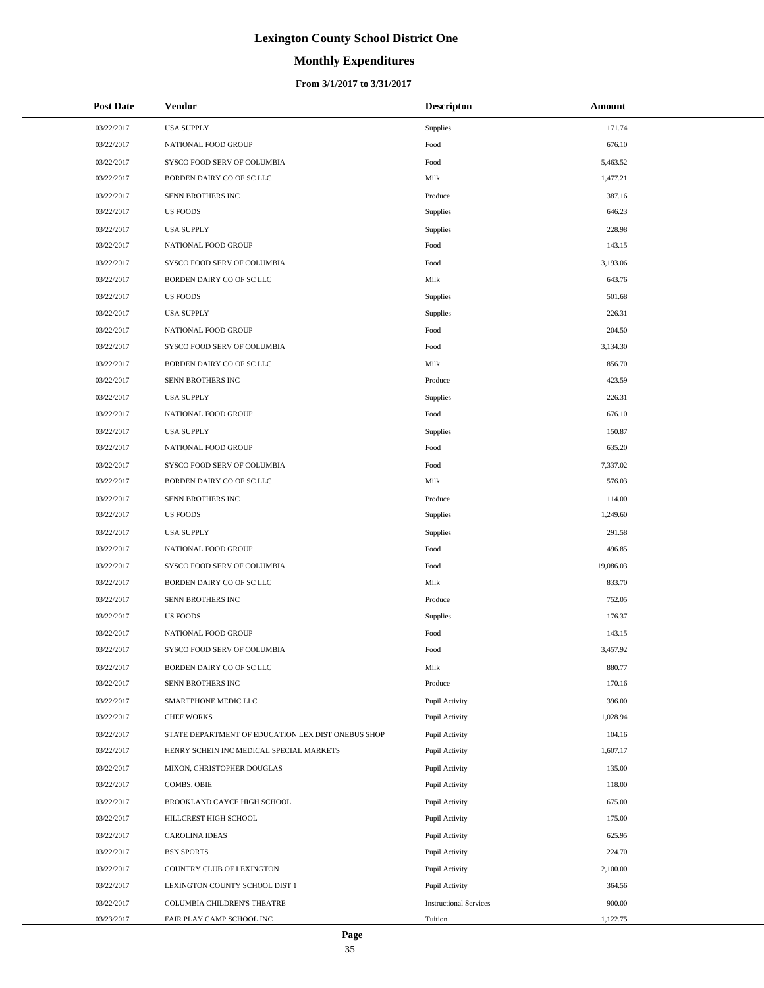# **Monthly Expenditures**

| <b>Post Date</b> | Vendor                                             | <b>Descripton</b>             | Amount    |
|------------------|----------------------------------------------------|-------------------------------|-----------|
| 03/22/2017       | <b>USA SUPPLY</b>                                  | Supplies                      | 171.74    |
| 03/22/2017       | NATIONAL FOOD GROUP                                | Food                          | 676.10    |
| 03/22/2017       | SYSCO FOOD SERV OF COLUMBIA                        | Food                          | 5,463.52  |
| 03/22/2017       | BORDEN DAIRY CO OF SC LLC                          | Milk                          | 1,477.21  |
| 03/22/2017       | SENN BROTHERS INC                                  | Produce                       | 387.16    |
| 03/22/2017       | <b>US FOODS</b>                                    | Supplies                      | 646.23    |
| 03/22/2017       | <b>USA SUPPLY</b>                                  | Supplies                      | 228.98    |
| 03/22/2017       | NATIONAL FOOD GROUP                                | Food                          | 143.15    |
| 03/22/2017       | SYSCO FOOD SERV OF COLUMBIA                        | Food                          | 3,193.06  |
| 03/22/2017       | BORDEN DAIRY CO OF SC LLC                          | Milk                          | 643.76    |
| 03/22/2017       | <b>US FOODS</b>                                    | Supplies                      | 501.68    |
| 03/22/2017       | <b>USA SUPPLY</b>                                  | Supplies                      | 226.31    |
| 03/22/2017       | NATIONAL FOOD GROUP                                | Food                          | 204.50    |
| 03/22/2017       | SYSCO FOOD SERV OF COLUMBIA                        | Food                          | 3,134.30  |
| 03/22/2017       | BORDEN DAIRY CO OF SC LLC                          | Milk                          | 856.70    |
| 03/22/2017       | SENN BROTHERS INC                                  | Produce                       | 423.59    |
| 03/22/2017       | <b>USA SUPPLY</b>                                  | Supplies                      | 226.31    |
| 03/22/2017       | NATIONAL FOOD GROUP                                | Food                          | 676.10    |
| 03/22/2017       | <b>USA SUPPLY</b>                                  | Supplies                      | 150.87    |
| 03/22/2017       | NATIONAL FOOD GROUP                                | Food                          | 635.20    |
| 03/22/2017       | SYSCO FOOD SERV OF COLUMBIA                        | Food                          | 7,337.02  |
| 03/22/2017       | BORDEN DAIRY CO OF SC LLC                          | Milk                          | 576.03    |
| 03/22/2017       | SENN BROTHERS INC                                  | Produce                       | 114.00    |
| 03/22/2017       | <b>US FOODS</b>                                    | Supplies                      | 1,249.60  |
| 03/22/2017       | <b>USA SUPPLY</b>                                  | Supplies                      | 291.58    |
| 03/22/2017       | NATIONAL FOOD GROUP                                | Food                          | 496.85    |
| 03/22/2017       | SYSCO FOOD SERV OF COLUMBIA                        | Food                          | 19,086.03 |
| 03/22/2017       | BORDEN DAIRY CO OF SC LLC                          | Milk                          | 833.70    |
| 03/22/2017       | SENN BROTHERS INC                                  | Produce                       | 752.05    |
| 03/22/2017       | <b>US FOODS</b>                                    | Supplies                      | 176.37    |
| 03/22/2017       | NATIONAL FOOD GROUP                                | Food                          | 143.15    |
| 03/22/2017       | SYSCO FOOD SERV OF COLUMBIA                        | Food                          | 3,457.92  |
| 03/22/2017       | BORDEN DAIRY CO OF SC LLC                          | Milk                          | 880.77    |
| 03/22/2017       | SENN BROTHERS INC                                  | Produce                       | 170.16    |
| 03/22/2017       | SMARTPHONE MEDIC LLC                               | Pupil Activity                | 396.00    |
| 03/22/2017       | <b>CHEF WORKS</b>                                  | Pupil Activity                | 1,028.94  |
| 03/22/2017       | STATE DEPARTMENT OF EDUCATION LEX DIST ONEBUS SHOP | Pupil Activity                | 104.16    |
| 03/22/2017       | HENRY SCHEIN INC MEDICAL SPECIAL MARKETS           | Pupil Activity                | 1,607.17  |
| 03/22/2017       | MIXON, CHRISTOPHER DOUGLAS                         | Pupil Activity                | 135.00    |
| 03/22/2017       | COMBS, OBIE                                        | Pupil Activity                | 118.00    |
| 03/22/2017       | BROOKLAND CAYCE HIGH SCHOOL                        | Pupil Activity                | 675.00    |
| 03/22/2017       | HILLCREST HIGH SCHOOL                              | Pupil Activity                | 175.00    |
| 03/22/2017       | <b>CAROLINA IDEAS</b>                              | Pupil Activity                | 625.95    |
| 03/22/2017       | <b>BSN SPORTS</b>                                  | Pupil Activity                | 224.70    |
| 03/22/2017       | COUNTRY CLUB OF LEXINGTON                          | Pupil Activity                | 2,100.00  |
| 03/22/2017       | LEXINGTON COUNTY SCHOOL DIST 1                     | Pupil Activity                | 364.56    |
| 03/22/2017       | COLUMBIA CHILDREN'S THEATRE                        | <b>Instructional Services</b> | 900.00    |
| 03/23/2017       | FAIR PLAY CAMP SCHOOL INC                          | Tuition                       | 1,122.75  |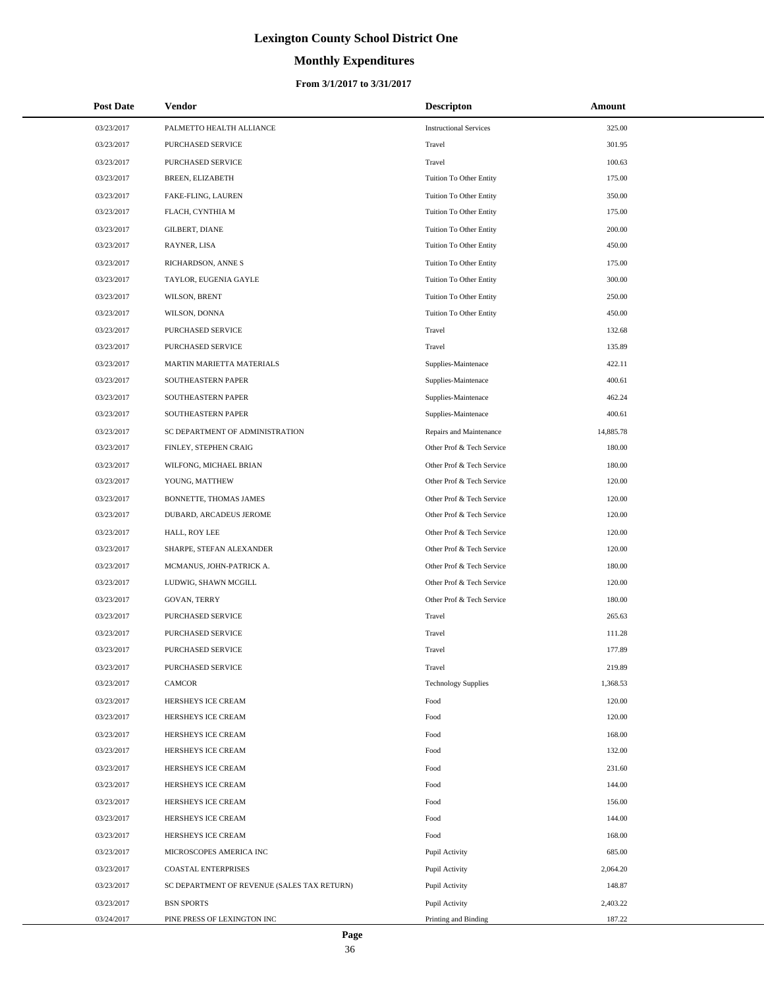# **Monthly Expenditures**

#### **From 3/1/2017 to 3/31/2017**

| <b>Post Date</b> | Vendor                                      | <b>Descripton</b>             | Amount    |
|------------------|---------------------------------------------|-------------------------------|-----------|
| 03/23/2017       | PALMETTO HEALTH ALLIANCE                    | <b>Instructional Services</b> | 325.00    |
| 03/23/2017       | PURCHASED SERVICE                           | Travel                        | 301.95    |
| 03/23/2017       | PURCHASED SERVICE                           | Travel                        | 100.63    |
| 03/23/2017       | BREEN, ELIZABETH                            | Tuition To Other Entity       | 175.00    |
| 03/23/2017       | FAKE-FLING, LAUREN                          | Tuition To Other Entity       | 350.00    |
| 03/23/2017       | FLACH, CYNTHIA M                            | Tuition To Other Entity       | 175.00    |
| 03/23/2017       | <b>GILBERT, DIANE</b>                       | Tuition To Other Entity       | 200.00    |
| 03/23/2017       | RAYNER, LISA                                | Tuition To Other Entity       | 450.00    |
| 03/23/2017       | RICHARDSON, ANNE S                          | Tuition To Other Entity       | 175.00    |
| 03/23/2017       | TAYLOR, EUGENIA GAYLE                       | Tuition To Other Entity       | 300.00    |
| 03/23/2017       | WILSON, BRENT                               | Tuition To Other Entity       | 250.00    |
| 03/23/2017       | WILSON, DONNA                               | Tuition To Other Entity       | 450.00    |
| 03/23/2017       | PURCHASED SERVICE                           | Travel                        | 132.68    |
| 03/23/2017       | PURCHASED SERVICE                           | Travel                        | 135.89    |
| 03/23/2017       | MARTIN MARIETTA MATERIALS                   | Supplies-Maintenace           | 422.11    |
| 03/23/2017       | SOUTHEASTERN PAPER                          | Supplies-Maintenace           | 400.61    |
| 03/23/2017       | SOUTHEASTERN PAPER                          | Supplies-Maintenace           | 462.24    |
| 03/23/2017       | SOUTHEASTERN PAPER                          | Supplies-Maintenace           | 400.61    |
| 03/23/2017       | SC DEPARTMENT OF ADMINISTRATION             | Repairs and Maintenance       | 14,885.78 |
| 03/23/2017       | FINLEY, STEPHEN CRAIG                       | Other Prof & Tech Service     | 180.00    |
| 03/23/2017       | WILFONG, MICHAEL BRIAN                      | Other Prof & Tech Service     | 180.00    |
| 03/23/2017       | YOUNG, MATTHEW                              | Other Prof & Tech Service     | 120.00    |
| 03/23/2017       | BONNETTE, THOMAS JAMES                      | Other Prof & Tech Service     | 120.00    |
| 03/23/2017       | DUBARD, ARCADEUS JEROME                     | Other Prof & Tech Service     | 120.00    |
| 03/23/2017       | HALL, ROY LEE                               | Other Prof & Tech Service     | 120.00    |
| 03/23/2017       | SHARPE, STEFAN ALEXANDER                    | Other Prof & Tech Service     | 120.00    |
| 03/23/2017       | MCMANUS, JOHN-PATRICK A.                    | Other Prof & Tech Service     | 180.00    |
| 03/23/2017       | LUDWIG, SHAWN MCGILL                        | Other Prof & Tech Service     | 120.00    |
| 03/23/2017       | GOVAN, TERRY                                | Other Prof & Tech Service     | 180.00    |
| 03/23/2017       | PURCHASED SERVICE                           | Travel                        | 265.63    |
| 03/23/2017       | PURCHASED SERVICE                           | Travel                        | 111.28    |
| 03/23/2017       | PURCHASED SERVICE                           | Travel                        | 177.89    |
| 03/23/2017       | PURCHASED SERVICE                           | Travel                        | 219.89    |
| 03/23/2017       | <b>CAMCOR</b>                               | <b>Technology Supplies</b>    | 1,368.53  |
| 03/23/2017       | HERSHEYS ICE CREAM                          | Food                          | 120.00    |
| 03/23/2017       | HERSHEYS ICE CREAM                          | Food                          | 120.00    |
| 03/23/2017       | HERSHEYS ICE CREAM                          | Food                          | 168.00    |
| 03/23/2017       | HERSHEYS ICE CREAM                          | Food                          | 132.00    |
| 03/23/2017       | HERSHEYS ICE CREAM                          | Food                          | 231.60    |
| 03/23/2017       | HERSHEYS ICE CREAM                          | Food                          | 144.00    |
| 03/23/2017       | HERSHEYS ICE CREAM                          | Food                          | 156.00    |
| 03/23/2017       | HERSHEYS ICE CREAM                          | Food                          | 144.00    |
| 03/23/2017       | HERSHEYS ICE CREAM                          | Food                          | 168.00    |
| 03/23/2017       | MICROSCOPES AMERICA INC                     | Pupil Activity                | 685.00    |
| 03/23/2017       | <b>COASTAL ENTERPRISES</b>                  | Pupil Activity                | 2,064.20  |
| 03/23/2017       | SC DEPARTMENT OF REVENUE (SALES TAX RETURN) | Pupil Activity                | 148.87    |
| 03/23/2017       | <b>BSN SPORTS</b>                           | Pupil Activity                | 2,403.22  |
| 03/24/2017       | PINE PRESS OF LEXINGTON INC                 | Printing and Binding          | 187.22    |

 $\overline{a}$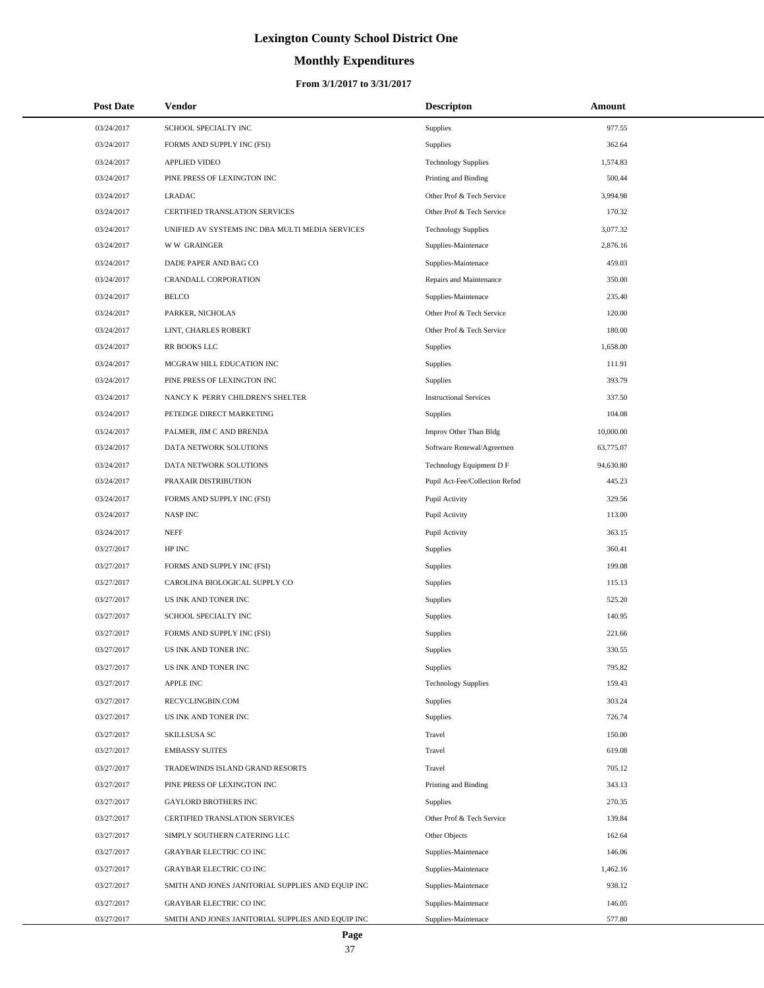# **Monthly Expenditures**

| <b>Post Date</b> | Vendor                                            | <b>Descripton</b>              | Amount    |
|------------------|---------------------------------------------------|--------------------------------|-----------|
| 03/24/2017       | SCHOOL SPECIALTY INC                              | Supplies                       | 977.55    |
| 03/24/2017       | FORMS AND SUPPLY INC (FSI)                        | Supplies                       | 362.64    |
| 03/24/2017       | <b>APPLIED VIDEO</b>                              | <b>Technology Supplies</b>     | 1,574.83  |
| 03/24/2017       | PINE PRESS OF LEXINGTON INC                       | Printing and Binding           | 500.44    |
| 03/24/2017       | <b>LRADAC</b>                                     | Other Prof & Tech Service      | 3,994.98  |
| 03/24/2017       | CERTIFIED TRANSLATION SERVICES                    | Other Prof & Tech Service      | 170.32    |
| 03/24/2017       | UNIFIED AV SYSTEMS INC DBA MULTI MEDIA SERVICES   | <b>Technology Supplies</b>     | 3,077.32  |
| 03/24/2017       | <b>WW GRAINGER</b>                                | Supplies-Maintenace            | 2,876.16  |
| 03/24/2017       | DADE PAPER AND BAG CO                             | Supplies-Maintenace            | 459.03    |
| 03/24/2017       | CRANDALL CORPORATION                              | Repairs and Maintenance        | 350.00    |
| 03/24/2017       | <b>BELCO</b>                                      | Supplies-Maintenace            | 235.40    |
| 03/24/2017       | PARKER, NICHOLAS                                  | Other Prof & Tech Service      | 120.00    |
| 03/24/2017       | LINT, CHARLES ROBERT                              | Other Prof & Tech Service      | 180.00    |
| 03/24/2017       | RR BOOKS LLC                                      | <b>Supplies</b>                | 1,658.00  |
| 03/24/2017       | MCGRAW HILL EDUCATION INC                         | <b>Supplies</b>                | 111.91    |
| 03/24/2017       | PINE PRESS OF LEXINGTON INC                       | Supplies                       | 393.79    |
| 03/24/2017       | NANCY K PERRY CHILDREN'S SHELTER                  | <b>Instructional Services</b>  | 337.50    |
| 03/24/2017       | PETEDGE DIRECT MARKETING                          | <b>Supplies</b>                | 104.08    |
| 03/24/2017       | PALMER, JIM C AND BRENDA                          | Improv Other Than Bldg         | 10,000.00 |
| 03/24/2017       | DATA NETWORK SOLUTIONS                            | Software Renewal/Agreemen      | 63,775.07 |
| 03/24/2017       | DATA NETWORK SOLUTIONS                            | Technology Equipment D F       | 94,630.80 |
| 03/24/2017       | PRAXAIR DISTRIBUTION                              | Pupil Act-Fee/Collection Refnd | 445.23    |
| 03/24/2017       | FORMS AND SUPPLY INC (FSI)                        | Pupil Activity                 | 329.56    |
| 03/24/2017       | <b>NASPINC</b>                                    | Pupil Activity                 | 113.00    |
| 03/24/2017       | <b>NEFF</b>                                       | Pupil Activity                 | 363.15    |
| 03/27/2017       | HP INC                                            | Supplies                       | 360.41    |
| 03/27/2017       | FORMS AND SUPPLY INC (FSI)                        | <b>Supplies</b>                | 199.08    |
| 03/27/2017       | CAROLINA BIOLOGICAL SUPPLY CO                     | Supplies                       | 115.13    |
| 03/27/2017       | US INK AND TONER INC                              | Supplies                       | 525.20    |
| 03/27/2017       | SCHOOL SPECIALTY INC                              | Supplies                       | 140.95    |
| 03/27/2017       | FORMS AND SUPPLY INC (FSI)                        | Supplies                       | 221.66    |
| 03/27/2017       | US INK AND TONER INC                              | Supplies                       | 330.55    |
| 03/27/2017       | US INK AND TONER INC                              | Supplies                       | 795.82    |
| 03/27/2017       | <b>APPLE INC</b>                                  | <b>Technology Supplies</b>     | 159.43    |
| 03/27/2017       | RECYCLINGBIN.COM                                  | Supplies                       | 303.24    |
| 03/27/2017       | US INK AND TONER INC                              | Supplies                       | 726.74    |
| 03/27/2017       | SKILLSUSA SC                                      | Travel                         | 150.00    |
| 03/27/2017       | <b>EMBASSY SUITES</b>                             | Travel                         | 619.08    |
| 03/27/2017       | TRADEWINDS ISLAND GRAND RESORTS                   | Travel                         | 705.12    |
| 03/27/2017       | PINE PRESS OF LEXINGTON INC                       | Printing and Binding           | 343.13    |
| 03/27/2017       | <b>GAYLORD BROTHERS INC</b>                       | Supplies                       | 270.35    |
| 03/27/2017       | CERTIFIED TRANSLATION SERVICES                    | Other Prof & Tech Service      | 139.84    |
| 03/27/2017       | SIMPLY SOUTHERN CATERING LLC                      | Other Objects                  | 162.64    |
| 03/27/2017       | GRAYBAR ELECTRIC CO INC                           | Supplies-Maintenace            | 146.06    |
| 03/27/2017       | <b>GRAYBAR ELECTRIC CO INC</b>                    | Supplies-Maintenace            | 1,462.16  |
| 03/27/2017       | SMITH AND JONES JANITORIAL SUPPLIES AND EQUIP INC | Supplies-Maintenace            | 938.12    |
| 03/27/2017       | <b>GRAYBAR ELECTRIC CO INC</b>                    | Supplies-Maintenace            | 146.05    |
| 03/27/2017       | SMITH AND JONES JANITORIAL SUPPLIES AND EQUIP INC | Supplies-Maintenace            | 577.80    |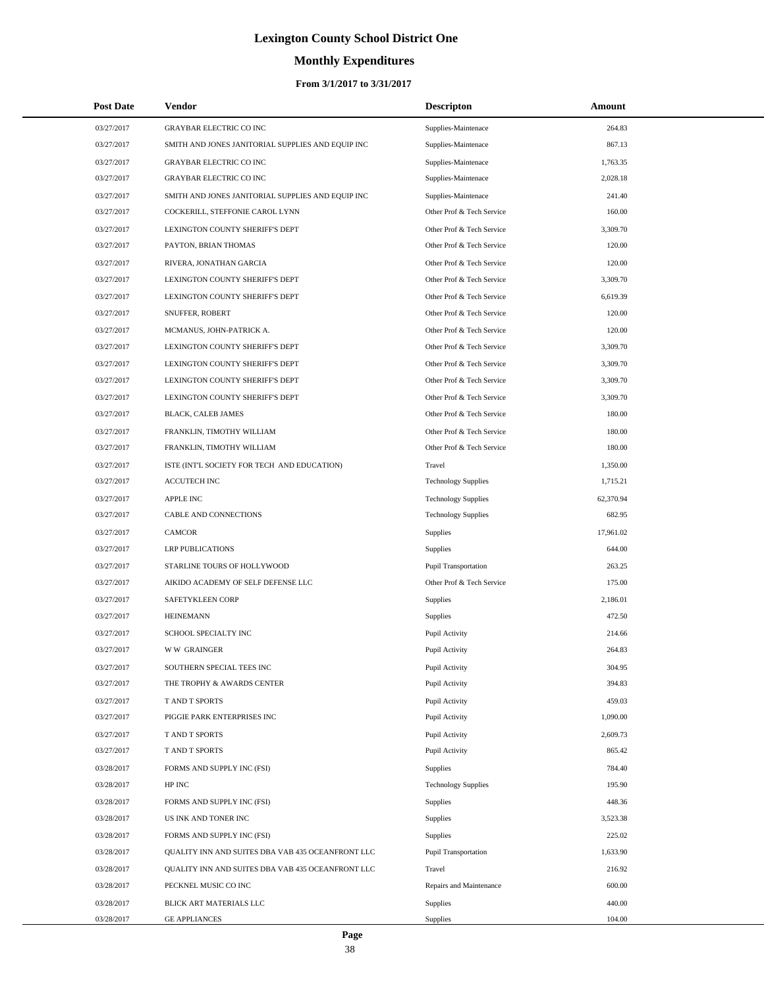# **Monthly Expenditures**

#### **From 3/1/2017 to 3/31/2017**

| <b>Post Date</b> | Vendor                                            | <b>Descripton</b>           | Amount    |
|------------------|---------------------------------------------------|-----------------------------|-----------|
| 03/27/2017       | <b>GRAYBAR ELECTRIC CO INC</b>                    | Supplies-Maintenace         | 264.83    |
| 03/27/2017       | SMITH AND JONES JANITORIAL SUPPLIES AND EQUIP INC | Supplies-Maintenace         | 867.13    |
| 03/27/2017       | <b>GRAYBAR ELECTRIC CO INC</b>                    | Supplies-Maintenace         | 1,763.35  |
| 03/27/2017       | <b>GRAYBAR ELECTRIC CO INC</b>                    | Supplies-Maintenace         | 2,028.18  |
| 03/27/2017       | SMITH AND JONES JANITORIAL SUPPLIES AND EQUIP INC | Supplies-Maintenace         | 241.40    |
| 03/27/2017       | COCKERILL, STEFFONIE CAROL LYNN                   | Other Prof & Tech Service   | 160.00    |
| 03/27/2017       | LEXINGTON COUNTY SHERIFF'S DEPT                   | Other Prof & Tech Service   | 3,309.70  |
| 03/27/2017       | PAYTON, BRIAN THOMAS                              | Other Prof & Tech Service   | 120.00    |
| 03/27/2017       | RIVERA, JONATHAN GARCIA                           | Other Prof & Tech Service   | 120.00    |
| 03/27/2017       | LEXINGTON COUNTY SHERIFF'S DEPT                   | Other Prof & Tech Service   | 3,309.70  |
| 03/27/2017       | LEXINGTON COUNTY SHERIFF'S DEPT                   | Other Prof & Tech Service   | 6,619.39  |
| 03/27/2017       | SNUFFER, ROBERT                                   | Other Prof & Tech Service   | 120.00    |
| 03/27/2017       | MCMANUS, JOHN-PATRICK A.                          | Other Prof & Tech Service   | 120.00    |
| 03/27/2017       | LEXINGTON COUNTY SHERIFF'S DEPT                   | Other Prof & Tech Service   | 3,309.70  |
| 03/27/2017       | LEXINGTON COUNTY SHERIFF'S DEPT                   | Other Prof & Tech Service   | 3,309.70  |
| 03/27/2017       | LEXINGTON COUNTY SHERIFF'S DEPT                   | Other Prof & Tech Service   | 3,309.70  |
| 03/27/2017       | LEXINGTON COUNTY SHERIFF'S DEPT                   | Other Prof & Tech Service   | 3,309.70  |
| 03/27/2017       | BLACK, CALEB JAMES                                | Other Prof & Tech Service   | 180.00    |
| 03/27/2017       | FRANKLIN, TIMOTHY WILLIAM                         | Other Prof & Tech Service   | 180.00    |
| 03/27/2017       | FRANKLIN, TIMOTHY WILLIAM                         | Other Prof & Tech Service   | 180.00    |
| 03/27/2017       | ISTE (INT'L SOCIETY FOR TECH AND EDUCATION)       | Travel                      | 1,350.00  |
| 03/27/2017       | <b>ACCUTECH INC</b>                               | <b>Technology Supplies</b>  | 1,715.21  |
| 03/27/2017       | <b>APPLE INC</b>                                  | <b>Technology Supplies</b>  | 62,370.94 |
| 03/27/2017       | CABLE AND CONNECTIONS                             | <b>Technology Supplies</b>  | 682.95    |
| 03/27/2017       | CAMCOR                                            | Supplies                    | 17,961.02 |
| 03/27/2017       | <b>LRP PUBLICATIONS</b>                           | Supplies                    | 644.00    |
| 03/27/2017       | STARLINE TOURS OF HOLLYWOOD                       | <b>Pupil Transportation</b> | 263.25    |
| 03/27/2017       | AIKIDO ACADEMY OF SELF DEFENSE LLC                | Other Prof & Tech Service   | 175.00    |
| 03/27/2017       | SAFETYKLEEN CORP                                  | Supplies                    | 2,186.01  |
| 03/27/2017       | <b>HEINEMANN</b>                                  | Supplies                    | 472.50    |
| 03/27/2017       | SCHOOL SPECIALTY INC                              | Pupil Activity              | 214.66    |
| 03/27/2017       | <b>WW GRAINGER</b>                                | Pupil Activity              | 264.83    |
| 03/27/2017       | SOUTHERN SPECIAL TEES INC                         | Pupil Activity              | 304.95    |
| 03/27/2017       | THE TROPHY & AWARDS CENTER                        | Pupil Activity              | 394.83    |
| 03/27/2017       | T AND T SPORTS                                    | Pupil Activity              | 459.03    |
| 03/27/2017       | PIGGIE PARK ENTERPRISES INC                       | Pupil Activity              | 1,090.00  |
| 03/27/2017       | T AND T SPORTS                                    | Pupil Activity              | 2,609.73  |
| 03/27/2017       | T AND T SPORTS                                    | Pupil Activity              | 865.42    |
| 03/28/2017       | FORMS AND SUPPLY INC (FSI)                        | Supplies                    | 784.40    |
| 03/28/2017       | HP INC                                            | <b>Technology Supplies</b>  | 195.90    |
| 03/28/2017       | FORMS AND SUPPLY INC (FSI)                        | Supplies                    | 448.36    |
| 03/28/2017       | US INK AND TONER INC                              | Supplies                    | 3,523.38  |
| 03/28/2017       | FORMS AND SUPPLY INC (FSI)                        | Supplies                    | 225.02    |
| 03/28/2017       | QUALITY INN AND SUITES DBA VAB 435 OCEANFRONT LLC | Pupil Transportation        | 1,633.90  |
| 03/28/2017       | QUALITY INN AND SUITES DBA VAB 435 OCEANFRONT LLC | Travel                      | 216.92    |
| 03/28/2017       | PECKNEL MUSIC CO INC                              | Repairs and Maintenance     | 600.00    |
| 03/28/2017       | BLICK ART MATERIALS LLC                           | Supplies                    | 440.00    |
| 03/28/2017       | <b>GE APPLIANCES</b>                              | Supplies                    | 104.00    |

L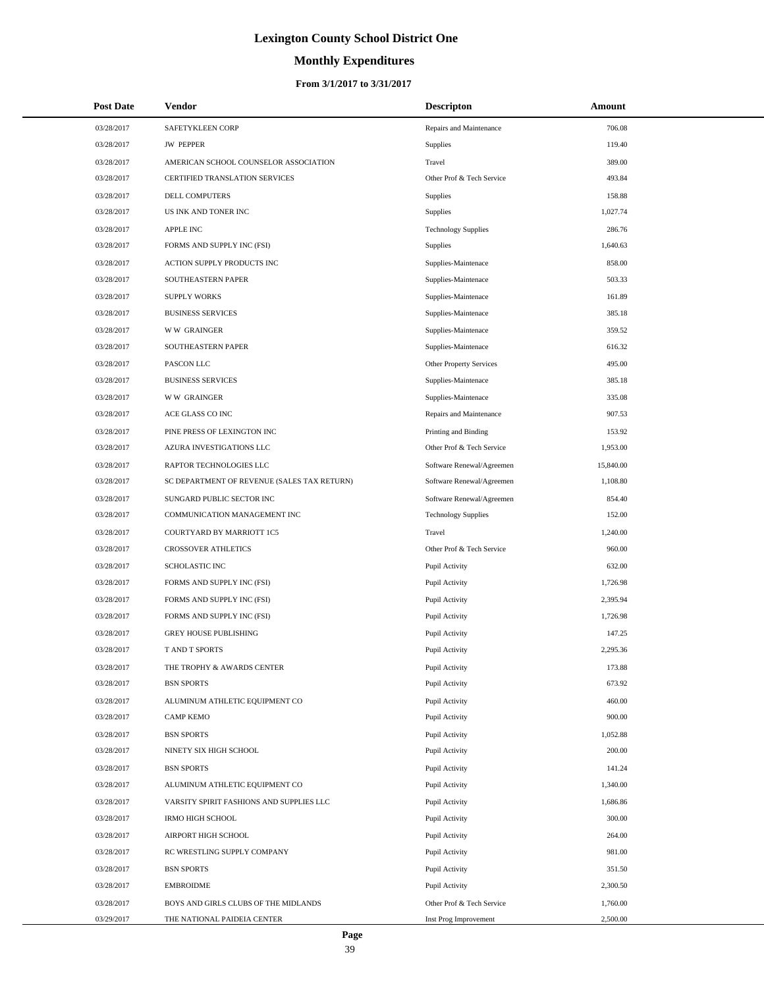# **Monthly Expenditures**

| <b>Post Date</b> | Vendor                                      | <b>Descripton</b>          | Amount    |
|------------------|---------------------------------------------|----------------------------|-----------|
| 03/28/2017       | SAFETYKLEEN CORP                            | Repairs and Maintenance    | 706.08    |
| 03/28/2017       | <b>JW PEPPER</b>                            | Supplies                   | 119.40    |
| 03/28/2017       | AMERICAN SCHOOL COUNSELOR ASSOCIATION       | Travel                     | 389.00    |
| 03/28/2017       | CERTIFIED TRANSLATION SERVICES              | Other Prof & Tech Service  | 493.84    |
| 03/28/2017       | DELL COMPUTERS                              | Supplies                   | 158.88    |
| 03/28/2017       | US INK AND TONER INC                        | Supplies                   | 1,027.74  |
| 03/28/2017       | APPLE INC                                   | <b>Technology Supplies</b> | 286.76    |
| 03/28/2017       | FORMS AND SUPPLY INC (FSI)                  | Supplies                   | 1,640.63  |
| 03/28/2017       | ACTION SUPPLY PRODUCTS INC                  | Supplies-Maintenace        | 858.00    |
| 03/28/2017       | SOUTHEASTERN PAPER                          | Supplies-Maintenace        | 503.33    |
| 03/28/2017       | <b>SUPPLY WORKS</b>                         | Supplies-Maintenace        | 161.89    |
| 03/28/2017       | <b>BUSINESS SERVICES</b>                    | Supplies-Maintenace        | 385.18    |
| 03/28/2017       | <b>WW GRAINGER</b>                          | Supplies-Maintenace        | 359.52    |
| 03/28/2017       | SOUTHEASTERN PAPER                          | Supplies-Maintenace        | 616.32    |
| 03/28/2017       | PASCON LLC                                  | Other Property Services    | 495.00    |
| 03/28/2017       | <b>BUSINESS SERVICES</b>                    | Supplies-Maintenace        | 385.18    |
| 03/28/2017       | <b>WW GRAINGER</b>                          | Supplies-Maintenace        | 335.08    |
| 03/28/2017       | ACE GLASS CO INC                            | Repairs and Maintenance    | 907.53    |
| 03/28/2017       | PINE PRESS OF LEXINGTON INC                 | Printing and Binding       | 153.92    |
| 03/28/2017       | AZURA INVESTIGATIONS LLC                    | Other Prof & Tech Service  | 1,953.00  |
| 03/28/2017       | RAPTOR TECHNOLOGIES LLC                     | Software Renewal/Agreemen  | 15,840.00 |
| 03/28/2017       | SC DEPARTMENT OF REVENUE (SALES TAX RETURN) | Software Renewal/Agreemen  | 1,108.80  |
| 03/28/2017       | SUNGARD PUBLIC SECTOR INC                   | Software Renewal/Agreemen  | 854.40    |
| 03/28/2017       | COMMUNICATION MANAGEMENT INC                | <b>Technology Supplies</b> | 152.00    |
| 03/28/2017       | COURTYARD BY MARRIOTT 1C5                   | Travel                     | 1,240.00  |
| 03/28/2017       | <b>CROSSOVER ATHLETICS</b>                  | Other Prof & Tech Service  | 960.00    |
| 03/28/2017       | SCHOLASTIC INC                              | Pupil Activity             | 632.00    |
| 03/28/2017       | FORMS AND SUPPLY INC (FSI)                  | Pupil Activity             | 1,726.98  |
| 03/28/2017       | FORMS AND SUPPLY INC (FSI)                  | Pupil Activity             | 2,395.94  |
| 03/28/2017       | FORMS AND SUPPLY INC (FSI)                  | Pupil Activity             | 1,726.98  |
| 03/28/2017       | <b>GREY HOUSE PUBLISHING</b>                | Pupil Activity             | 147.25    |
| 03/28/2017       | T AND T SPORTS                              | Pupil Activity             | 2,295.36  |
| 03/28/2017       | THE TROPHY & AWARDS CENTER                  | Pupil Activity             | 173.88    |
| 03/28/2017       | <b>BSN SPORTS</b>                           | Pupil Activity             | 673.92    |
| 03/28/2017       | ALUMINUM ATHLETIC EQUIPMENT CO              | Pupil Activity             | 460.00    |
| 03/28/2017       | <b>CAMP KEMO</b>                            | Pupil Activity             | 900.00    |
| 03/28/2017       | <b>BSN SPORTS</b>                           | Pupil Activity             | 1,052.88  |
| 03/28/2017       | NINETY SIX HIGH SCHOOL                      | Pupil Activity             | 200.00    |
| 03/28/2017       | <b>BSN SPORTS</b>                           | Pupil Activity             | 141.24    |
| 03/28/2017       | ALUMINUM ATHLETIC EQUIPMENT CO              | Pupil Activity             | 1,340.00  |
| 03/28/2017       | VARSITY SPIRIT FASHIONS AND SUPPLIES LLC    | Pupil Activity             | 1,686.86  |
| 03/28/2017       | <b>IRMO HIGH SCHOOL</b>                     | Pupil Activity             | 300.00    |
| 03/28/2017       | AIRPORT HIGH SCHOOL                         | Pupil Activity             | 264.00    |
| 03/28/2017       | RC WRESTLING SUPPLY COMPANY                 | Pupil Activity             | 981.00    |
| 03/28/2017       | <b>BSN SPORTS</b>                           | Pupil Activity             | 351.50    |
| 03/28/2017       | <b>EMBROIDME</b>                            | Pupil Activity             | 2,300.50  |
| 03/28/2017       | BOYS AND GIRLS CLUBS OF THE MIDLANDS        | Other Prof & Tech Service  | 1,760.00  |
| 03/29/2017       | THE NATIONAL PAIDEIA CENTER                 | Inst Prog Improvement      | 2,500.00  |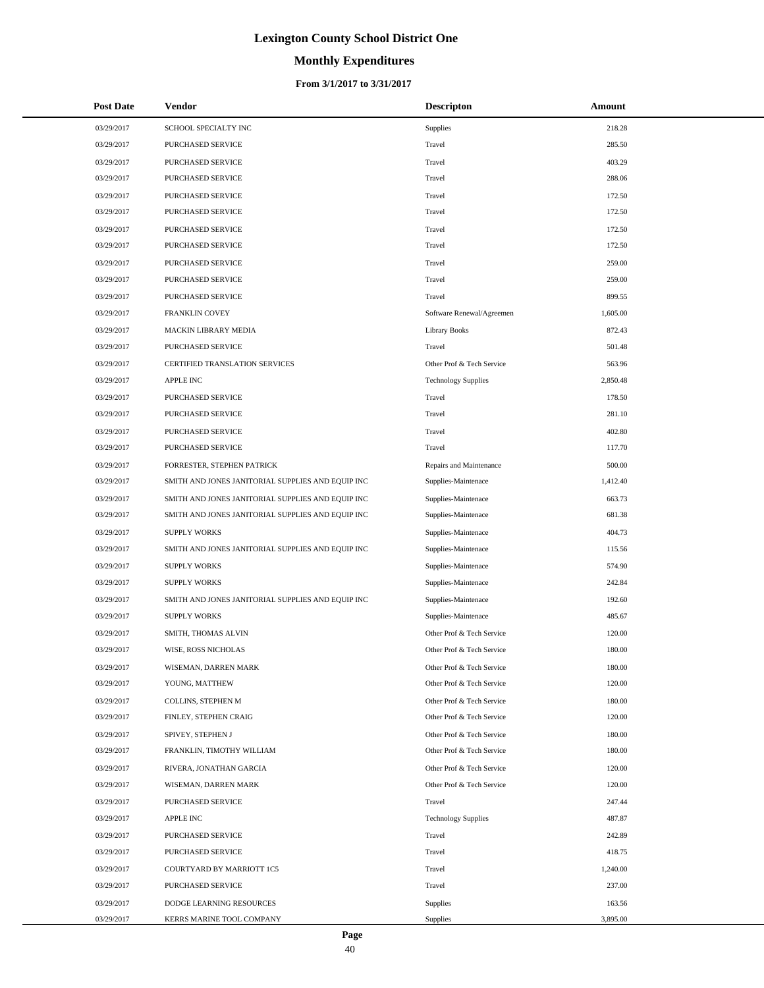# **Monthly Expenditures**

#### **From 3/1/2017 to 3/31/2017**

| <b>Post Date</b> | <b>Vendor</b>                                     | <b>Descripton</b>          | Amount   |
|------------------|---------------------------------------------------|----------------------------|----------|
| 03/29/2017       | SCHOOL SPECIALTY INC                              | Supplies                   | 218.28   |
| 03/29/2017       | PURCHASED SERVICE                                 | Travel                     | 285.50   |
| 03/29/2017       | PURCHASED SERVICE                                 | Travel                     | 403.29   |
| 03/29/2017       | PURCHASED SERVICE                                 | Travel                     | 288.06   |
| 03/29/2017       | PURCHASED SERVICE                                 | Travel                     | 172.50   |
| 03/29/2017       | PURCHASED SERVICE                                 | Travel                     | 172.50   |
| 03/29/2017       | PURCHASED SERVICE                                 | Travel                     | 172.50   |
| 03/29/2017       | PURCHASED SERVICE                                 | Travel                     | 172.50   |
| 03/29/2017       | PURCHASED SERVICE                                 | Travel                     | 259.00   |
| 03/29/2017       | PURCHASED SERVICE                                 | Travel                     | 259.00   |
| 03/29/2017       | PURCHASED SERVICE                                 | Travel                     | 899.55   |
| 03/29/2017       | FRANKLIN COVEY                                    | Software Renewal/Agreemen  | 1,605.00 |
| 03/29/2017       | <b>MACKIN LIBRARY MEDIA</b>                       | <b>Library Books</b>       | 872.43   |
| 03/29/2017       | PURCHASED SERVICE                                 | Travel                     | 501.48   |
| 03/29/2017       | CERTIFIED TRANSLATION SERVICES                    | Other Prof & Tech Service  | 563.96   |
| 03/29/2017       | APPLE INC                                         | <b>Technology Supplies</b> | 2,850.48 |
| 03/29/2017       | PURCHASED SERVICE                                 | Travel                     | 178.50   |
| 03/29/2017       | PURCHASED SERVICE                                 | Travel                     | 281.10   |
| 03/29/2017       | PURCHASED SERVICE                                 | Travel                     | 402.80   |
| 03/29/2017       | PURCHASED SERVICE                                 | Travel                     | 117.70   |
| 03/29/2017       | FORRESTER, STEPHEN PATRICK                        | Repairs and Maintenance    | 500.00   |
| 03/29/2017       | SMITH AND JONES JANITORIAL SUPPLIES AND EQUIP INC | Supplies-Maintenace        | 1,412.40 |
| 03/29/2017       | SMITH AND JONES JANITORIAL SUPPLIES AND EQUIP INC | Supplies-Maintenace        | 663.73   |
| 03/29/2017       | SMITH AND JONES JANITORIAL SUPPLIES AND EQUIP INC | Supplies-Maintenace        | 681.38   |
| 03/29/2017       | <b>SUPPLY WORKS</b>                               | Supplies-Maintenace        | 404.73   |
| 03/29/2017       | SMITH AND JONES JANITORIAL SUPPLIES AND EQUIP INC | Supplies-Maintenace        | 115.56   |
| 03/29/2017       | <b>SUPPLY WORKS</b>                               | Supplies-Maintenace        | 574.90   |
| 03/29/2017       | <b>SUPPLY WORKS</b>                               | Supplies-Maintenace        | 242.84   |
| 03/29/2017       | SMITH AND JONES JANITORIAL SUPPLIES AND EQUIP INC | Supplies-Maintenace        | 192.60   |
| 03/29/2017       | <b>SUPPLY WORKS</b>                               | Supplies-Maintenace        | 485.67   |
| 03/29/2017       | SMITH, THOMAS ALVIN                               | Other Prof & Tech Service  | 120.00   |
| 03/29/2017       | WISE, ROSS NICHOLAS                               | Other Prof & Tech Service  | 180.00   |
| 03/29/2017       | WISEMAN, DARREN MARK                              | Other Prof & Tech Service  | 180.00   |
| 03/29/2017       | YOUNG, MATTHEW                                    | Other Prof & Tech Service  | 120.00   |
| 03/29/2017       | COLLINS, STEPHEN M                                | Other Prof & Tech Service  | 180.00   |
| 03/29/2017       | FINLEY, STEPHEN CRAIG                             | Other Prof & Tech Service  | 120.00   |
| 03/29/2017       | SPIVEY, STEPHEN J                                 | Other Prof & Tech Service  | 180.00   |
| 03/29/2017       | FRANKLIN, TIMOTHY WILLIAM                         | Other Prof & Tech Service  | 180.00   |
| 03/29/2017       | RIVERA, JONATHAN GARCIA                           | Other Prof & Tech Service  | 120.00   |
| 03/29/2017       | WISEMAN, DARREN MARK                              | Other Prof & Tech Service  | 120.00   |
| 03/29/2017       | PURCHASED SERVICE                                 | Travel                     | 247.44   |
| 03/29/2017       | <b>APPLE INC</b>                                  | <b>Technology Supplies</b> | 487.87   |
| 03/29/2017       | PURCHASED SERVICE                                 | Travel                     | 242.89   |
| 03/29/2017       | PURCHASED SERVICE                                 | Travel                     | 418.75   |
| 03/29/2017       | COURTYARD BY MARRIOTT 1C5                         | Travel                     | 1,240.00 |
| 03/29/2017       | PURCHASED SERVICE                                 | Travel                     | 237.00   |
| 03/29/2017       | DODGE LEARNING RESOURCES                          | Supplies                   | 163.56   |
| 03/29/2017       | KERRS MARINE TOOL COMPANY                         | Supplies                   | 3,895.00 |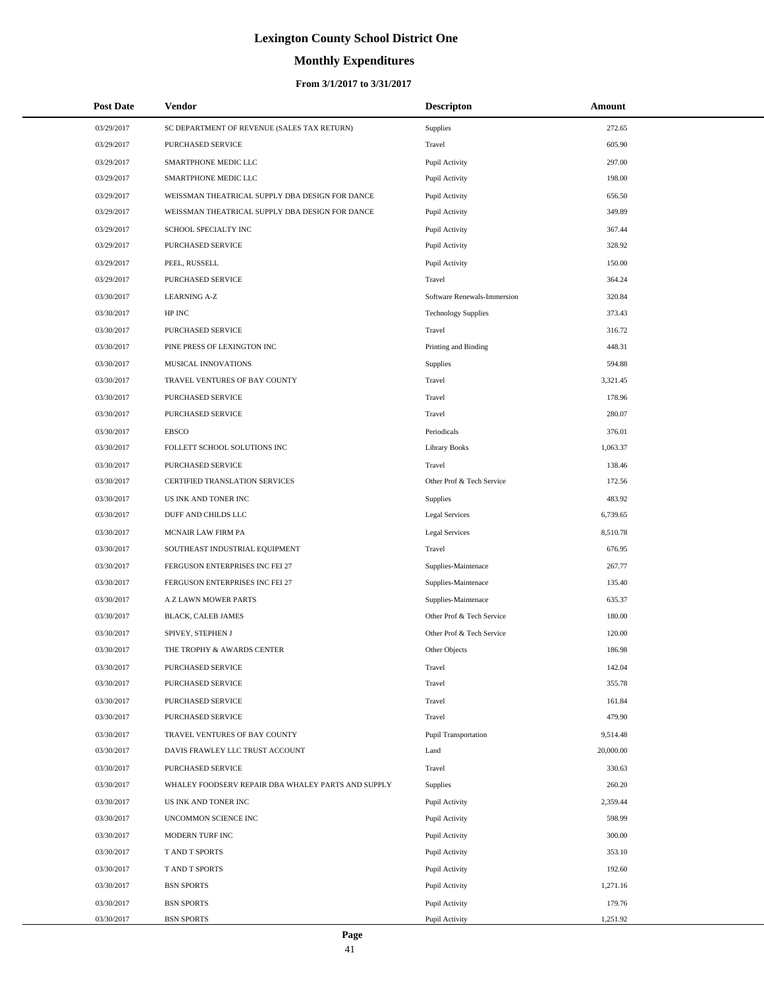# **Monthly Expenditures**

#### **From 3/1/2017 to 3/31/2017**

| <b>Post Date</b> | Vendor                                             | <b>Descripton</b>           | Amount    |
|------------------|----------------------------------------------------|-----------------------------|-----------|
| 03/29/2017       | SC DEPARTMENT OF REVENUE (SALES TAX RETURN)        | <b>Supplies</b>             | 272.65    |
| 03/29/2017       | PURCHASED SERVICE                                  | Travel                      | 605.90    |
| 03/29/2017       | SMARTPHONE MEDIC LLC                               | Pupil Activity              | 297.00    |
| 03/29/2017       | SMARTPHONE MEDIC LLC                               | Pupil Activity              | 198.00    |
| 03/29/2017       | WEISSMAN THEATRICAL SUPPLY DBA DESIGN FOR DANCE    | Pupil Activity              | 656.50    |
| 03/29/2017       | WEISSMAN THEATRICAL SUPPLY DBA DESIGN FOR DANCE    | Pupil Activity              | 349.89    |
| 03/29/2017       | SCHOOL SPECIALTY INC                               | Pupil Activity              | 367.44    |
| 03/29/2017       | PURCHASED SERVICE                                  | Pupil Activity              | 328.92    |
| 03/29/2017       | PEEL, RUSSELL                                      | Pupil Activity              | 150.00    |
| 03/29/2017       | PURCHASED SERVICE                                  | Travel                      | 364.24    |
| 03/30/2017       | <b>LEARNING A-Z</b>                                | Software Renewals-Immersion | 320.84    |
| 03/30/2017       | HP INC                                             | <b>Technology Supplies</b>  | 373.43    |
| 03/30/2017       | PURCHASED SERVICE                                  | Travel                      | 316.72    |
| 03/30/2017       | PINE PRESS OF LEXINGTON INC                        | Printing and Binding        | 448.31    |
| 03/30/2017       | MUSICAL INNOVATIONS                                | <b>Supplies</b>             | 594.88    |
| 03/30/2017       | TRAVEL VENTURES OF BAY COUNTY                      | Travel                      | 3,321.45  |
| 03/30/2017       | PURCHASED SERVICE                                  | Travel                      | 178.96    |
| 03/30/2017       | PURCHASED SERVICE                                  | Travel                      | 280.07    |
| 03/30/2017       | <b>EBSCO</b>                                       | Periodicals                 | 376.01    |
| 03/30/2017       | FOLLETT SCHOOL SOLUTIONS INC                       | <b>Library Books</b>        | 1,063.37  |
| 03/30/2017       | PURCHASED SERVICE                                  | Travel                      | 138.46    |
| 03/30/2017       | CERTIFIED TRANSLATION SERVICES                     | Other Prof & Tech Service   | 172.56    |
| 03/30/2017       | US INK AND TONER INC                               | <b>Supplies</b>             | 483.92    |
| 03/30/2017       | DUFF AND CHILDS LLC                                | <b>Legal Services</b>       | 6,739.65  |
| 03/30/2017       | MCNAIR LAW FIRM PA                                 | <b>Legal Services</b>       | 8,510.78  |
| 03/30/2017       | SOUTHEAST INDUSTRIAL EQUIPMENT                     | Travel                      | 676.95    |
| 03/30/2017       | FERGUSON ENTERPRISES INC FEI 27                    | Supplies-Maintenace         | 267.77    |
| 03/30/2017       | FERGUSON ENTERPRISES INC FEI 27                    | Supplies-Maintenace         | 135.40    |
| 03/30/2017       | A Z LAWN MOWER PARTS                               | Supplies-Maintenace         | 635.37    |
| 03/30/2017       | <b>BLACK, CALEB JAMES</b>                          | Other Prof & Tech Service   | 180.00    |
| 03/30/2017       | SPIVEY, STEPHEN J                                  | Other Prof & Tech Service   | 120.00    |
| 03/30/2017       | THE TROPHY & AWARDS CENTER                         | Other Objects               | 186.98    |
| 03/30/2017       | PURCHASED SERVICE                                  | Travel                      | 142.04    |
| 03/30/2017       | PURCHASED SERVICE                                  | Travel                      | 355.78    |
| 03/30/2017       | PURCHASED SERVICE                                  | Travel                      | 161.84    |
| 03/30/2017       | PURCHASED SERVICE                                  | Travel                      | 479.90    |
| 03/30/2017       | TRAVEL VENTURES OF BAY COUNTY                      | <b>Pupil Transportation</b> | 9,514.48  |
| 03/30/2017       | DAVIS FRAWLEY LLC TRUST ACCOUNT                    | Land                        | 20,000.00 |
| 03/30/2017       | PURCHASED SERVICE                                  | Travel                      | 330.63    |
| 03/30/2017       | WHALEY FOODSERV REPAIR DBA WHALEY PARTS AND SUPPLY | <b>Supplies</b>             | 260.20    |
| 03/30/2017       | US INK AND TONER INC                               | Pupil Activity              | 2,359.44  |
| 03/30/2017       | UNCOMMON SCIENCE INC                               | Pupil Activity              | 598.99    |
| 03/30/2017       | MODERN TURF INC                                    | Pupil Activity              | 300.00    |
| 03/30/2017       | T AND T SPORTS                                     | Pupil Activity              | 353.10    |
| 03/30/2017       | T AND T SPORTS                                     | Pupil Activity              | 192.60    |
| 03/30/2017       | <b>BSN SPORTS</b>                                  | Pupil Activity              | 1,271.16  |
| 03/30/2017       | <b>BSN SPORTS</b>                                  | Pupil Activity              | 179.76    |
| 03/30/2017       | <b>BSN SPORTS</b>                                  | Pupil Activity              | 1,251.92  |